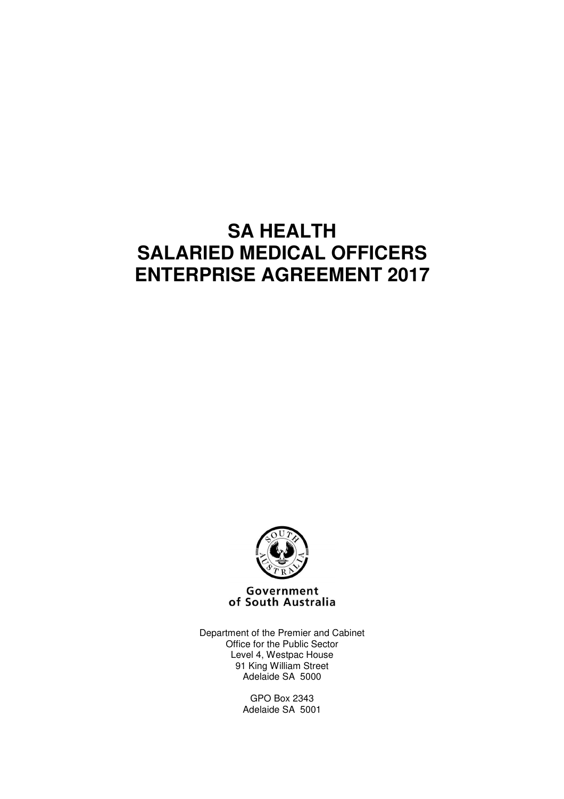# **SA HEALTH SALARIED MEDICAL OFFICERS ENTERPRISE AGREEMENT 2017**



Government of South Australia

Department of the Premier and Cabinet Office for the Public Sector Level 4, Westpac House 91 King William Street Adelaide SA 5000

> GPO Box 2343 Adelaide SA 5001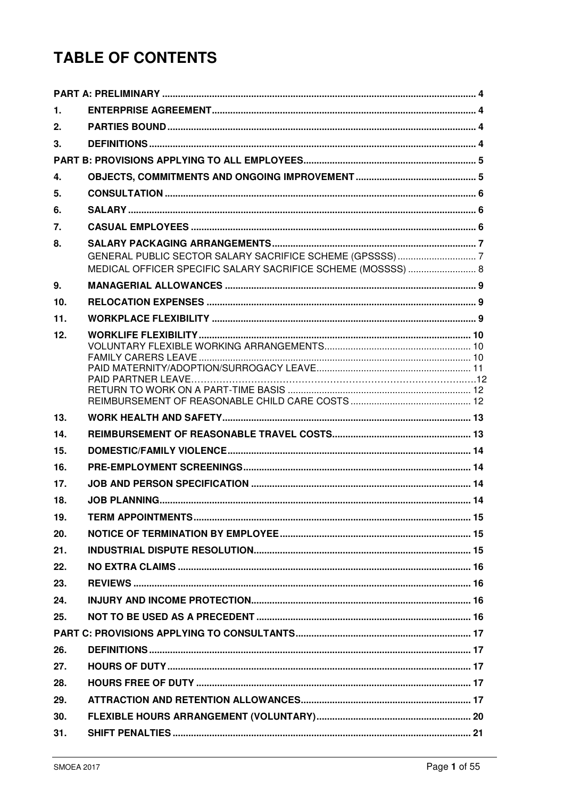# **TABLE OF CONTENTS**

| 1.  |                                                              |  |
|-----|--------------------------------------------------------------|--|
| 2.  |                                                              |  |
| 3.  |                                                              |  |
|     |                                                              |  |
| 4.  |                                                              |  |
| 5.  |                                                              |  |
| 6.  |                                                              |  |
| 7.  |                                                              |  |
| 8.  | MEDICAL OFFICER SPECIFIC SALARY SACRIFICE SCHEME (MOSSSS)  8 |  |
| 9.  |                                                              |  |
| 10. |                                                              |  |
| 11. |                                                              |  |
| 12. |                                                              |  |
| 13. |                                                              |  |
| 14. |                                                              |  |
| 15. |                                                              |  |
| 16. |                                                              |  |
| 17. |                                                              |  |
| 18. |                                                              |  |
| 19. |                                                              |  |
| 20. |                                                              |  |
| 21. |                                                              |  |
| 22. |                                                              |  |
| 23. |                                                              |  |
| 24. |                                                              |  |
| 25. |                                                              |  |
|     |                                                              |  |
| 26. |                                                              |  |
| 27. |                                                              |  |
| 28. |                                                              |  |
| 29. |                                                              |  |
| 30. |                                                              |  |
| 31. |                                                              |  |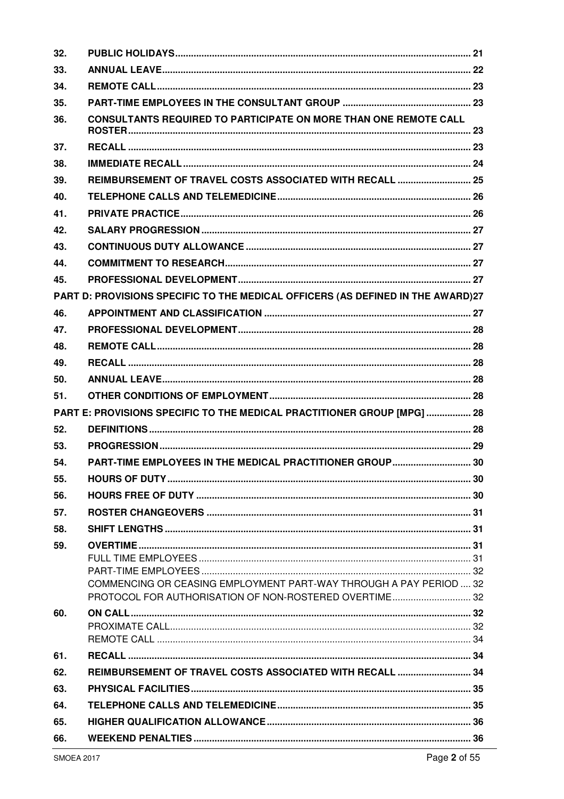| 32. |                                                                                 |  |
|-----|---------------------------------------------------------------------------------|--|
| 33. |                                                                                 |  |
| 34. |                                                                                 |  |
| 35. |                                                                                 |  |
| 36. | CONSULTANTS REQUIRED TO PARTICIPATE ON MORE THAN ONE REMOTE CALL                |  |
| 37. |                                                                                 |  |
| 38. |                                                                                 |  |
| 39. | REIMBURSEMENT OF TRAVEL COSTS ASSOCIATED WITH RECALL  25                        |  |
| 40. |                                                                                 |  |
| 41. |                                                                                 |  |
| 42. |                                                                                 |  |
| 43. |                                                                                 |  |
| 44. |                                                                                 |  |
| 45. |                                                                                 |  |
|     | PART D: PROVISIONS SPECIFIC TO THE MEDICAL OFFICERS (AS DEFINED IN THE AWARD)27 |  |
| 46. |                                                                                 |  |
| 47. |                                                                                 |  |
| 48. |                                                                                 |  |
| 49. |                                                                                 |  |
| 50. |                                                                                 |  |
| 51. |                                                                                 |  |
|     | PART E: PROVISIONS SPECIFIC TO THE MEDICAL PRACTITIONER GROUP [MPG]  28         |  |
| 52. |                                                                                 |  |
| 53. |                                                                                 |  |
| 54. | PART-TIME EMPLOYEES IN THE MEDICAL PRACTITIONER GROUP 30                        |  |
| 55. |                                                                                 |  |
| 56. |                                                                                 |  |
| 57. |                                                                                 |  |
| 58. |                                                                                 |  |
| 59. |                                                                                 |  |
|     |                                                                                 |  |
|     | COMMENCING OR CEASING EMPLOYMENT PART-WAY THROUGH A PAY PERIOD  32              |  |
|     | PROTOCOL FOR AUTHORISATION OF NON-ROSTERED OVERTIME 32                          |  |
| 60. |                                                                                 |  |
|     |                                                                                 |  |
|     |                                                                                 |  |
| 61. |                                                                                 |  |
| 62. | REIMBURSEMENT OF TRAVEL COSTS ASSOCIATED WITH RECALL  34                        |  |
| 63. |                                                                                 |  |
| 64. |                                                                                 |  |
| 65. |                                                                                 |  |
| 66. |                                                                                 |  |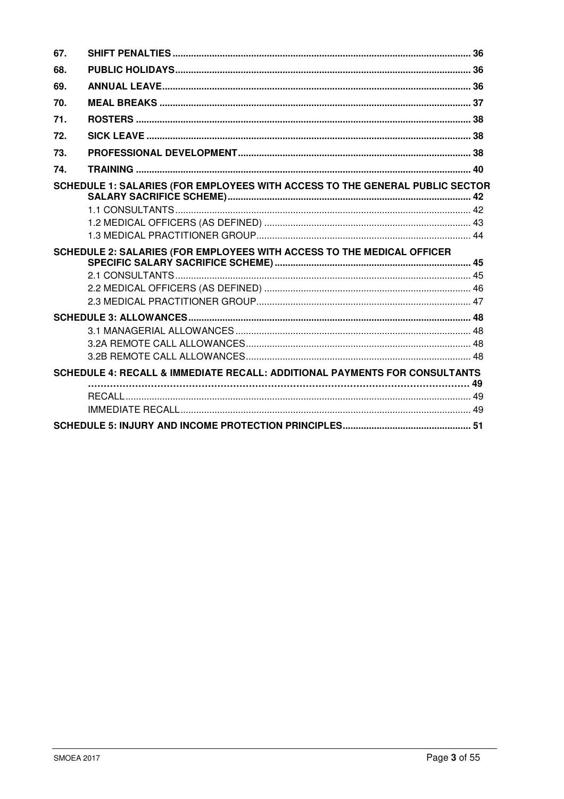| 67. |                                                                              |  |
|-----|------------------------------------------------------------------------------|--|
| 68. |                                                                              |  |
| 69. |                                                                              |  |
| 70. |                                                                              |  |
| 71. |                                                                              |  |
| 72. |                                                                              |  |
| 73. |                                                                              |  |
| 74. |                                                                              |  |
|     | SCHEDULE 1: SALARIES (FOR EMPLOYEES WITH ACCESS TO THE GENERAL PUBLIC SECTOR |  |
|     |                                                                              |  |
|     |                                                                              |  |
|     | SCHEDULE 2: SALARIES (FOR EMPLOYEES WITH ACCESS TO THE MEDICAL OFFICER       |  |
|     |                                                                              |  |
|     |                                                                              |  |
|     |                                                                              |  |
|     |                                                                              |  |
|     |                                                                              |  |
|     | SCHEDULE 4: RECALL & IMMEDIATE RECALL: ADDITIONAL PAYMENTS FOR CONSULTANTS   |  |
|     |                                                                              |  |
|     |                                                                              |  |
|     |                                                                              |  |
|     |                                                                              |  |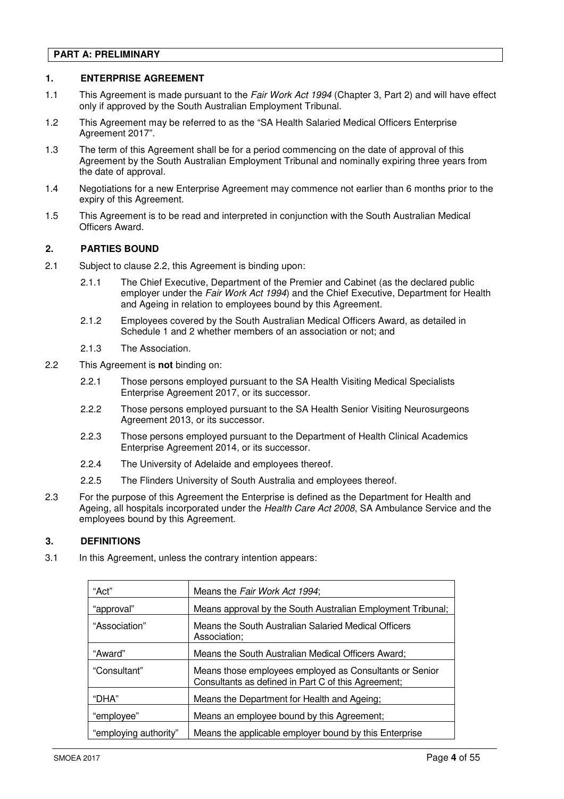# **PART A: PRELIMINARY**

# **1. ENTERPRISE AGREEMENT**

- 1.1 This Agreement is made pursuant to the Fair Work Act 1994 (Chapter 3, Part 2) and will have effect only if approved by the South Australian Employment Tribunal.
- 1.2 This Agreement may be referred to as the "SA Health Salaried Medical Officers Enterprise Agreement 2017".
- 1.3 The term of this Agreement shall be for a period commencing on the date of approval of this Agreement by the South Australian Employment Tribunal and nominally expiring three years from the date of approval.
- 1.4 Negotiations for a new Enterprise Agreement may commence not earlier than 6 months prior to the expiry of this Agreement.
- 1.5 This Agreement is to be read and interpreted in conjunction with the South Australian Medical Officers Award.

# **2. PARTIES BOUND**

- 2.1 Subject to clause 2.2, this Agreement is binding upon:
	- 2.1.1 The Chief Executive, Department of the Premier and Cabinet (as the declared public employer under the Fair Work Act 1994) and the Chief Executive, Department for Health and Ageing in relation to employees bound by this Agreement.
	- 2.1.2 Employees covered by the South Australian Medical Officers Award, as detailed in Schedule 1 and 2 whether members of an association or not; and
	- 2.1.3 The Association.
- 2.2 This Agreement is **not** binding on:
	- 2.2.1 Those persons employed pursuant to the SA Health Visiting Medical Specialists Enterprise Agreement 2017, or its successor.
	- 2.2.2 Those persons employed pursuant to the SA Health Senior Visiting Neurosurgeons Agreement 2013, or its successor.
	- 2.2.3 Those persons employed pursuant to the Department of Health Clinical Academics Enterprise Agreement 2014, or its successor.
	- 2.2.4 The University of Adelaide and employees thereof.
	- 2.2.5 The Flinders University of South Australia and employees thereof.
- 2.3 For the purpose of this Agreement the Enterprise is defined as the Department for Health and Ageing, all hospitals incorporated under the Health Care Act 2008, SA Ambulance Service and the employees bound by this Agreement.

# **3. DEFINITIONS**

3.1 In this Agreement, unless the contrary intention appears:

| "Act"                 | Means the Fair Work Act 1994;                                                                                  |  |
|-----------------------|----------------------------------------------------------------------------------------------------------------|--|
| "approval"            | Means approval by the South Australian Employment Tribunal;                                                    |  |
| "Association"         | Means the South Australian Salaried Medical Officers<br>Association;                                           |  |
| "Award"               | Means the South Australian Medical Officers Award;                                                             |  |
| "Consultant"          | Means those employees employed as Consultants or Senior<br>Consultants as defined in Part C of this Agreement; |  |
| "DHA"                 | Means the Department for Health and Ageing;                                                                    |  |
| "employee"            | Means an employee bound by this Agreement;                                                                     |  |
| "employing authority" | Means the applicable employer bound by this Enterprise                                                         |  |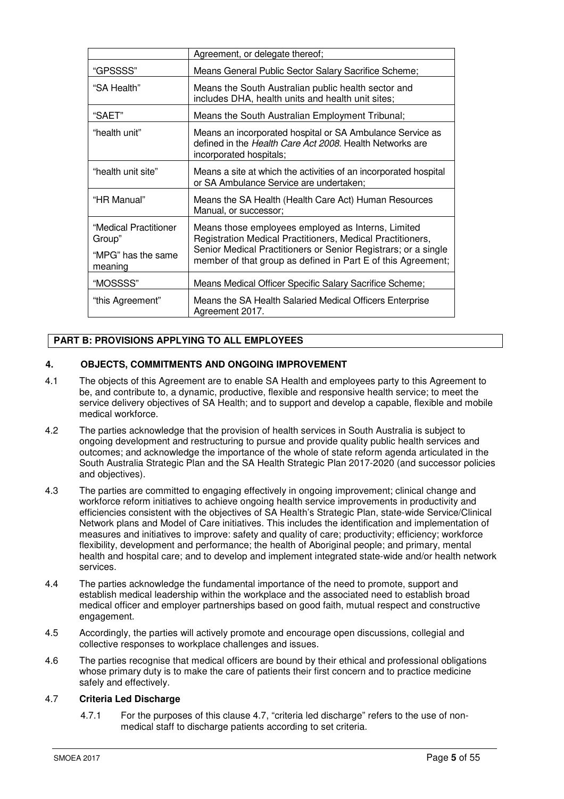| Agreement, or delegate thereof;                                  |                                                                                                                                                                                                                                                    |
|------------------------------------------------------------------|----------------------------------------------------------------------------------------------------------------------------------------------------------------------------------------------------------------------------------------------------|
| "GPSSSS"                                                         | Means General Public Sector Salary Sacrifice Scheme;                                                                                                                                                                                               |
| "SA Health"                                                      | Means the South Australian public health sector and<br>includes DHA, health units and health unit sites;                                                                                                                                           |
| "SAET"                                                           | Means the South Australian Employment Tribunal;                                                                                                                                                                                                    |
| "health unit"                                                    | Means an incorporated hospital or SA Ambulance Service as<br>defined in the Health Care Act 2008. Health Networks are<br>incorporated hospitals;                                                                                                   |
| "health unit site"                                               | Means a site at which the activities of an incorporated hospital<br>or SA Ambulance Service are undertaken;                                                                                                                                        |
| "HR Manual"                                                      | Means the SA Health (Health Care Act) Human Resources<br>Manual, or successor;                                                                                                                                                                     |
| "Medical Practitioner<br>Group"<br>"MPG" has the same<br>meaning | Means those employees employed as Interns, Limited<br>Registration Medical Practitioners, Medical Practitioners,<br>Senior Medical Practitioners or Senior Registrars; or a single<br>member of that group as defined in Part E of this Agreement; |
| "MOSSSS"                                                         | Means Medical Officer Specific Salary Sacrifice Scheme;                                                                                                                                                                                            |
| "this Agreement"                                                 | Means the SA Health Salaried Medical Officers Enterprise<br>Agreement 2017.                                                                                                                                                                        |

# **PART B: PROVISIONS APPLYING TO ALL EMPLOYEES**

# **4. OBJECTS, COMMITMENTS AND ONGOING IMPROVEMENT**

- 4.1 The objects of this Agreement are to enable SA Health and employees party to this Agreement to be, and contribute to, a dynamic, productive, flexible and responsive health service; to meet the service delivery objectives of SA Health; and to support and develop a capable, flexible and mobile medical workforce.
- 4.2 The parties acknowledge that the provision of health services in South Australia is subject to ongoing development and restructuring to pursue and provide quality public health services and outcomes; and acknowledge the importance of the whole of state reform agenda articulated in the South Australia Strategic Plan and the SA Health Strategic Plan 2017-2020 (and successor policies and objectives).
- 4.3 The parties are committed to engaging effectively in ongoing improvement; clinical change and workforce reform initiatives to achieve ongoing health service improvements in productivity and efficiencies consistent with the objectives of SA Health's Strategic Plan, state-wide Service/Clinical Network plans and Model of Care initiatives. This includes the identification and implementation of measures and initiatives to improve: safety and quality of care; productivity; efficiency; workforce flexibility, development and performance; the health of Aboriginal people; and primary, mental health and hospital care; and to develop and implement integrated state-wide and/or health network services.
- 4.4 The parties acknowledge the fundamental importance of the need to promote, support and establish medical leadership within the workplace and the associated need to establish broad medical officer and employer partnerships based on good faith, mutual respect and constructive engagement.
- 4.5 Accordingly, the parties will actively promote and encourage open discussions, collegial and collective responses to workplace challenges and issues.
- 4.6 The parties recognise that medical officers are bound by their ethical and professional obligations whose primary duty is to make the care of patients their first concern and to practice medicine safely and effectively.

# 4.7 **Criteria Led Discharge**

4.7.1 For the purposes of this clause 4.7, "criteria led discharge" refers to the use of nonmedical staff to discharge patients according to set criteria.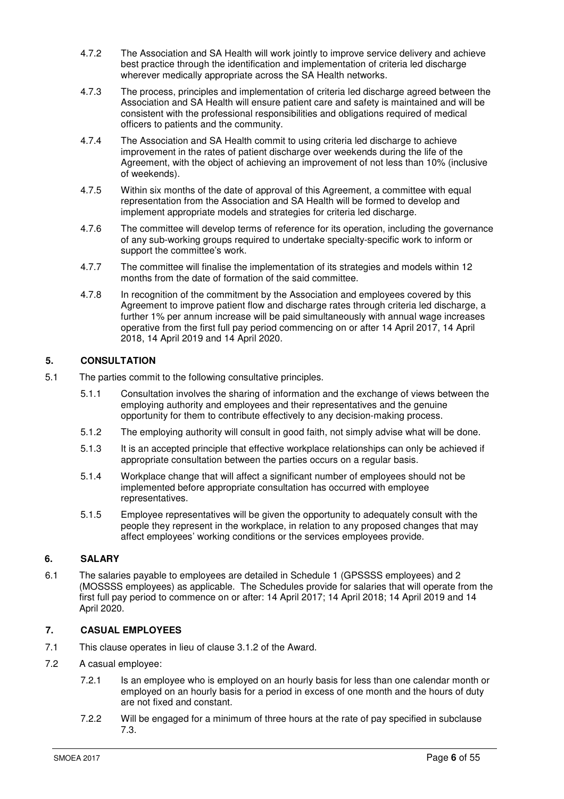- 4.7.2 The Association and SA Health will work jointly to improve service delivery and achieve best practice through the identification and implementation of criteria led discharge wherever medically appropriate across the SA Health networks.
- 4.7.3 The process, principles and implementation of criteria led discharge agreed between the Association and SA Health will ensure patient care and safety is maintained and will be consistent with the professional responsibilities and obligations required of medical officers to patients and the community.
- 4.7.4 The Association and SA Health commit to using criteria led discharge to achieve improvement in the rates of patient discharge over weekends during the life of the Agreement, with the object of achieving an improvement of not less than 10% (inclusive of weekends).
- 4.7.5 Within six months of the date of approval of this Agreement, a committee with equal representation from the Association and SA Health will be formed to develop and implement appropriate models and strategies for criteria led discharge.
- 4.7.6 The committee will develop terms of reference for its operation, including the governance of any sub-working groups required to undertake specialty-specific work to inform or support the committee's work.
- 4.7.7 The committee will finalise the implementation of its strategies and models within 12 months from the date of formation of the said committee.
- 4.7.8 In recognition of the commitment by the Association and employees covered by this Agreement to improve patient flow and discharge rates through criteria led discharge, a further 1% per annum increase will be paid simultaneously with annual wage increases operative from the first full pay period commencing on or after 14 April 2017, 14 April 2018, 14 April 2019 and 14 April 2020.

# **5. CONSULTATION**

- 5.1 The parties commit to the following consultative principles.
	- 5.1.1 Consultation involves the sharing of information and the exchange of views between the employing authority and employees and their representatives and the genuine opportunity for them to contribute effectively to any decision-making process.
	- 5.1.2 The employing authority will consult in good faith, not simply advise what will be done.
	- 5.1.3 It is an accepted principle that effective workplace relationships can only be achieved if appropriate consultation between the parties occurs on a regular basis.
	- 5.1.4 Workplace change that will affect a significant number of employees should not be implemented before appropriate consultation has occurred with employee representatives.
	- 5.1.5 Employee representatives will be given the opportunity to adequately consult with the people they represent in the workplace, in relation to any proposed changes that may affect employees' working conditions or the services employees provide.

# **6. SALARY**

6.1 The salaries payable to employees are detailed in Schedule 1 (GPSSSS employees) and 2 (MOSSSS employees) as applicable. The Schedules provide for salaries that will operate from the first full pay period to commence on or after: 14 April 2017; 14 April 2018; 14 April 2019 and 14 April 2020.

# **7. CASUAL EMPLOYEES**

- 7.1 This clause operates in lieu of clause 3.1.2 of the Award.
- 7.2 A casual employee:
	- 7.2.1 Is an employee who is employed on an hourly basis for less than one calendar month or employed on an hourly basis for a period in excess of one month and the hours of duty are not fixed and constant.
	- 7.2.2 Will be engaged for a minimum of three hours at the rate of pay specified in subclause 7.3.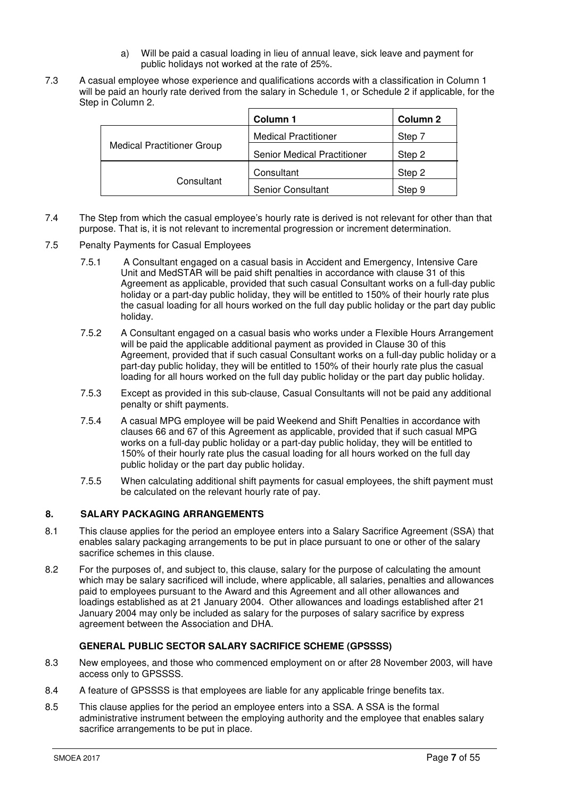- a) Will be paid a casual loading in lieu of annual leave, sick leave and payment for public holidays not worked at the rate of 25%.
- 7.3 A casual employee whose experience and qualifications accords with a classification in Column 1 will be paid an hourly rate derived from the salary in Schedule 1, or Schedule 2 if applicable, for the Step in Column 2.

|                                   | Column 1                           | Column 2 |
|-----------------------------------|------------------------------------|----------|
|                                   | <b>Medical Practitioner</b>        | Step 7   |
| <b>Medical Practitioner Group</b> | <b>Senior Medical Practitioner</b> | Step 2   |
|                                   | Consultant                         | Step 2   |
| Consultant                        | <b>Senior Consultant</b>           | Step 9   |

- 7.4 The Step from which the casual employee's hourly rate is derived is not relevant for other than that purpose. That is, it is not relevant to incremental progression or increment determination.
- 7.5 Penalty Payments for Casual Employees
	- 7.5.1 A Consultant engaged on a casual basis in Accident and Emergency, Intensive Care Unit and MedSTAR will be paid shift penalties in accordance with clause 31 of this Agreement as applicable, provided that such casual Consultant works on a full-day public holiday or a part-day public holiday, they will be entitled to 150% of their hourly rate plus the casual loading for all hours worked on the full day public holiday or the part day public holiday.
	- 7.5.2 A Consultant engaged on a casual basis who works under a Flexible Hours Arrangement will be paid the applicable additional payment as provided in Clause 30 of this Agreement, provided that if such casual Consultant works on a full-day public holiday or a part-day public holiday, they will be entitled to 150% of their hourly rate plus the casual loading for all hours worked on the full day public holiday or the part day public holiday.
	- 7.5.3 Except as provided in this sub-clause, Casual Consultants will not be paid any additional penalty or shift payments.
	- 7.5.4 A casual MPG employee will be paid Weekend and Shift Penalties in accordance with clauses 66 and 67 of this Agreement as applicable, provided that if such casual MPG works on a full-day public holiday or a part-day public holiday, they will be entitled to 150% of their hourly rate plus the casual loading for all hours worked on the full day public holiday or the part day public holiday.
	- 7.5.5 When calculating additional shift payments for casual employees, the shift payment must be calculated on the relevant hourly rate of pay.

# **8. SALARY PACKAGING ARRANGEMENTS**

- 8.1 This clause applies for the period an employee enters into a Salary Sacrifice Agreement (SSA) that enables salary packaging arrangements to be put in place pursuant to one or other of the salary sacrifice schemes in this clause.
- 8.2 For the purposes of, and subject to, this clause, salary for the purpose of calculating the amount which may be salary sacrificed will include, where applicable, all salaries, penalties and allowances paid to employees pursuant to the Award and this Agreement and all other allowances and loadings established as at 21 January 2004. Other allowances and loadings established after 21 January 2004 may only be included as salary for the purposes of salary sacrifice by express agreement between the Association and DHA.

# **GENERAL PUBLIC SECTOR SALARY SACRIFICE SCHEME (GPSSSS)**

- 8.3 New employees, and those who commenced employment on or after 28 November 2003, will have access only to GPSSSS.
- 8.4 A feature of GPSSSS is that employees are liable for any applicable fringe benefits tax.
- 8.5 This clause applies for the period an employee enters into a SSA. A SSA is the formal administrative instrument between the employing authority and the employee that enables salary sacrifice arrangements to be put in place.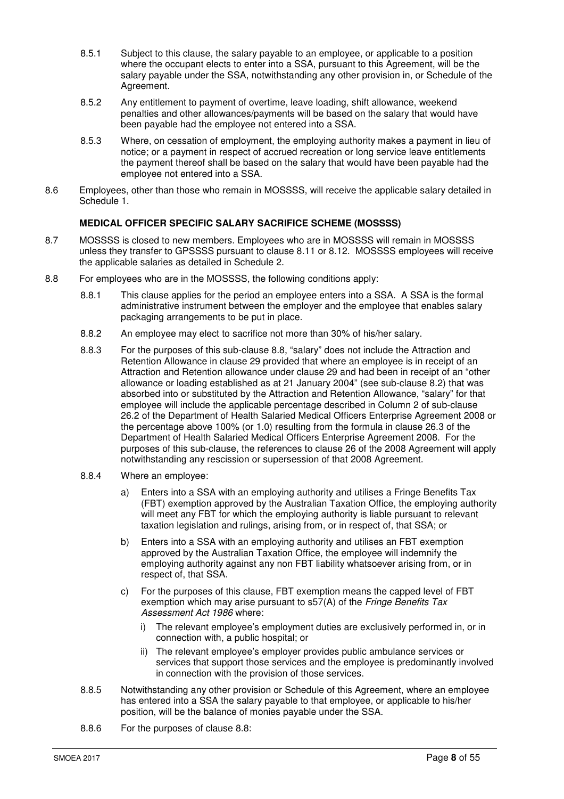- 8.5.1 Subject to this clause, the salary payable to an employee, or applicable to a position where the occupant elects to enter into a SSA, pursuant to this Agreement, will be the salary payable under the SSA, notwithstanding any other provision in, or Schedule of the Agreement.
- 8.5.2 Any entitlement to payment of overtime, leave loading, shift allowance, weekend penalties and other allowances/payments will be based on the salary that would have been payable had the employee not entered into a SSA.
- 8.5.3 Where, on cessation of employment, the employing authority makes a payment in lieu of notice; or a payment in respect of accrued recreation or long service leave entitlements the payment thereof shall be based on the salary that would have been payable had the employee not entered into a SSA.
- 8.6 Employees, other than those who remain in MOSSSS, will receive the applicable salary detailed in Schedule 1.

# **MEDICAL OFFICER SPECIFIC SALARY SACRIFICE SCHEME (MOSSSS)**

- 8.7 MOSSSS is closed to new members. Employees who are in MOSSSS will remain in MOSSSS unless they transfer to GPSSSS pursuant to clause 8.11 or 8.12. MOSSSS employees will receive the applicable salaries as detailed in Schedule 2.
- 8.8 For employees who are in the MOSSSS, the following conditions apply:
	- 8.8.1 This clause applies for the period an employee enters into a SSA. A SSA is the formal administrative instrument between the employer and the employee that enables salary packaging arrangements to be put in place.
	- 8.8.2 An employee may elect to sacrifice not more than 30% of his/her salary.
	- 8.8.3 For the purposes of this sub-clause 8.8, "salary" does not include the Attraction and Retention Allowance in clause 29 provided that where an employee is in receipt of an Attraction and Retention allowance under clause 29 and had been in receipt of an "other allowance or loading established as at 21 January 2004" (see sub-clause  $8.2$ ) that was absorbed into or substituted by the Attraction and Retention Allowance, "salary" for that employee will include the applicable percentage described in Column 2 of sub-clause 26.2 of the Department of Health Salaried Medical Officers Enterprise Agreement 2008 or the percentage above 100% (or 1.0) resulting from the formula in clause 26.3 of the Department of Health Salaried Medical Officers Enterprise Agreement 2008. For the purposes of this sub-clause, the references to clause 26 of the 2008 Agreement will apply notwithstanding any rescission or supersession of that 2008 Agreement.
	- 8.8.4 Where an employee:
		- a) Enters into a SSA with an employing authority and utilises a Fringe Benefits Tax (FBT) exemption approved by the Australian Taxation Office, the employing authority will meet any FBT for which the employing authority is liable pursuant to relevant taxation legislation and rulings, arising from, or in respect of, that SSA; or
		- b) Enters into a SSA with an employing authority and utilises an FBT exemption approved by the Australian Taxation Office, the employee will indemnify the employing authority against any non FBT liability whatsoever arising from, or in respect of, that SSA.
		- c) For the purposes of this clause, FBT exemption means the capped level of FBT exemption which may arise pursuant to s57(A) of the Fringe Benefits Tax Assessment Act 1986 where:
			- i) The relevant employee's employment duties are exclusively performed in, or in connection with, a public hospital; or
			- ii) The relevant employee's employer provides public ambulance services or services that support those services and the employee is predominantly involved in connection with the provision of those services.
	- 8.8.5 Notwithstanding any other provision or Schedule of this Agreement, where an employee has entered into a SSA the salary payable to that employee, or applicable to his/her position, will be the balance of monies payable under the SSA.
	- 8.8.6 For the purposes of clause 8.8: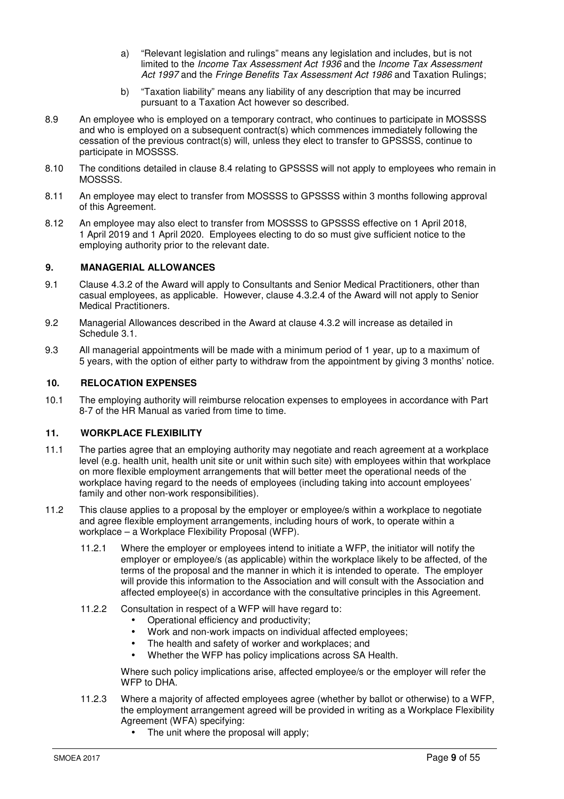- a) "Relevant legislation and rulings" means any legislation and includes, but is not limited to the Income Tax Assessment Act 1936 and the Income Tax Assessment Act 1997 and the Fringe Benefits Tax Assessment Act 1986 and Taxation Rulings;
- b) "Taxation liability" means any liability of any description that may be incurred pursuant to a Taxation Act however so described.
- 8.9 An employee who is employed on a temporary contract, who continues to participate in MOSSSS and who is employed on a subsequent contract(s) which commences immediately following the cessation of the previous contract(s) will, unless they elect to transfer to GPSSSS, continue to participate in MOSSSS.
- 8.10 The conditions detailed in clause 8.4 relating to GPSSSS will not apply to employees who remain in MOSSSS.
- 8.11 An employee may elect to transfer from MOSSSS to GPSSSS within 3 months following approval of this Agreement.
- 8.12 An employee may also elect to transfer from MOSSSS to GPSSSS effective on 1 April 2018, 1 April 2019 and 1 April 2020. Employees electing to do so must give sufficient notice to the employing authority prior to the relevant date.

# **9. MANAGERIAL ALLOWANCES**

- 9.1 Clause 4.3.2 of the Award will apply to Consultants and Senior Medical Practitioners, other than casual employees, as applicable. However, clause 4.3.2.4 of the Award will not apply to Senior Medical Practitioners.
- 9.2 Managerial Allowances described in the Award at clause 4.3.2 will increase as detailed in Schedule 3.1.
- 9.3 All managerial appointments will be made with a minimum period of 1 year, up to a maximum of 5 years, with the option of either party to withdraw from the appointment by giving 3 months' notice.

# **10. RELOCATION EXPENSES**

10.1 The employing authority will reimburse relocation expenses to employees in accordance with Part 8-7 of the HR Manual as varied from time to time.

# **11. WORKPLACE FLEXIBILITY**

- 11.1 The parties agree that an employing authority may negotiate and reach agreement at a workplace level (e.g. health unit, health unit site or unit within such site) with employees within that workplace on more flexible employment arrangements that will better meet the operational needs of the workplace having regard to the needs of employees (including taking into account employees' family and other non-work responsibilities).
- 11.2 This clause applies to a proposal by the employer or employee/s within a workplace to negotiate and agree flexible employment arrangements, including hours of work, to operate within a workplace – a Workplace Flexibility Proposal (WFP).
	- 11.2.1 Where the employer or employees intend to initiate a WFP, the initiator will notify the employer or employee/s (as applicable) within the workplace likely to be affected, of the terms of the proposal and the manner in which it is intended to operate. The employer will provide this information to the Association and will consult with the Association and affected employee(s) in accordance with the consultative principles in this Agreement.
	- 11.2.2 Consultation in respect of a WFP will have regard to:
		- Operational efficiency and productivity;
		- Work and non-work impacts on individual affected employees;
		- The health and safety of worker and workplaces; and
		- Whether the WFP has policy implications across SA Health.

Where such policy implications arise, affected employee/s or the employer will refer the WFP to DHA

- 11.2.3 Where a majority of affected employees agree (whether by ballot or otherwise) to a WFP, the employment arrangement agreed will be provided in writing as a Workplace Flexibility Agreement (WFA) specifying:
	- The unit where the proposal will apply;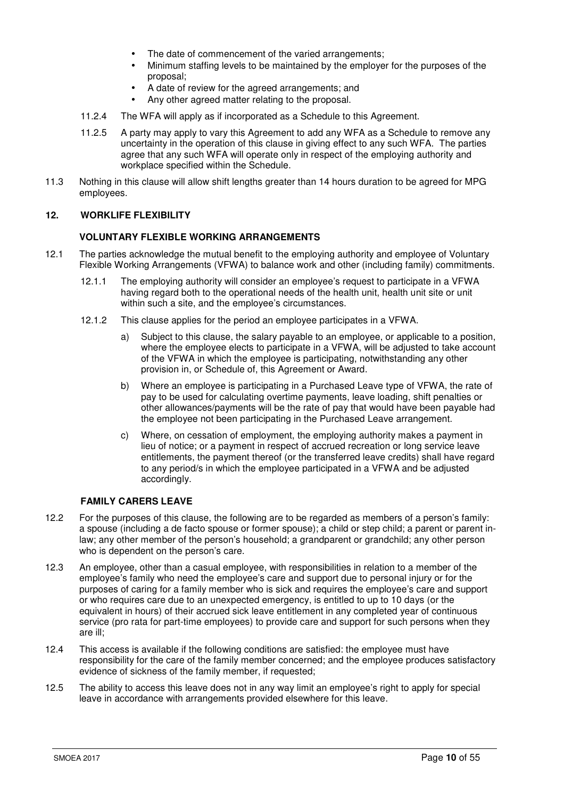- The date of commencement of the varied arrangements;
- Minimum staffing levels to be maintained by the employer for the purposes of the proposal;
- A date of review for the agreed arrangements; and
- Any other agreed matter relating to the proposal.
- 11.2.4 The WFA will apply as if incorporated as a Schedule to this Agreement.
- 11.2.5 A party may apply to vary this Agreement to add any WFA as a Schedule to remove any uncertainty in the operation of this clause in giving effect to any such WFA. The parties agree that any such WFA will operate only in respect of the employing authority and workplace specified within the Schedule.
- 11.3 Nothing in this clause will allow shift lengths greater than 14 hours duration to be agreed for MPG employees.

# **12. WORKLIFE FLEXIBILITY**

#### **VOLUNTARY FLEXIBLE WORKING ARRANGEMENTS**

- 12.1 The parties acknowledge the mutual benefit to the employing authority and employee of Voluntary Flexible Working Arrangements (VFWA) to balance work and other (including family) commitments.
	- 12.1.1 The employing authority will consider an employee's request to participate in a VFWA having regard both to the operational needs of the health unit, health unit site or unit within such a site, and the employee's circumstances.
	- 12.1.2 This clause applies for the period an employee participates in a VFWA.
		- a) Subject to this clause, the salary payable to an employee, or applicable to a position, where the employee elects to participate in a VFWA, will be adjusted to take account of the VFWA in which the employee is participating, notwithstanding any other provision in, or Schedule of, this Agreement or Award.
		- b) Where an employee is participating in a Purchased Leave type of VFWA, the rate of pay to be used for calculating overtime payments, leave loading, shift penalties or other allowances/payments will be the rate of pay that would have been payable had the employee not been participating in the Purchased Leave arrangement.
		- c) Where, on cessation of employment, the employing authority makes a payment in lieu of notice; or a payment in respect of accrued recreation or long service leave entitlements, the payment thereof (or the transferred leave credits) shall have regard to any period/s in which the employee participated in a VFWA and be adjusted accordingly.

#### **FAMILY CARERS LEAVE**

- 12.2 For the purposes of this clause, the following are to be regarded as members of a person's family: a spouse (including a de facto spouse or former spouse); a child or step child; a parent or parent inlaw; any other member of the person's household; a grandparent or grandchild; any other person who is dependent on the person's care.
- 12.3 An employee, other than a casual employee, with responsibilities in relation to a member of the employee's family who need the employee's care and support due to personal injury or for the purposes of caring for a family member who is sick and requires the employee's care and support or who requires care due to an unexpected emergency, is entitled to up to 10 days (or the equivalent in hours) of their accrued sick leave entitlement in any completed year of continuous service (pro rata for part-time employees) to provide care and support for such persons when they are ill;
- 12.4 This access is available if the following conditions are satisfied: the employee must have responsibility for the care of the family member concerned; and the employee produces satisfactory evidence of sickness of the family member, if requested:
- 12.5 The ability to access this leave does not in any way limit an employee's right to apply for special leave in accordance with arrangements provided elsewhere for this leave.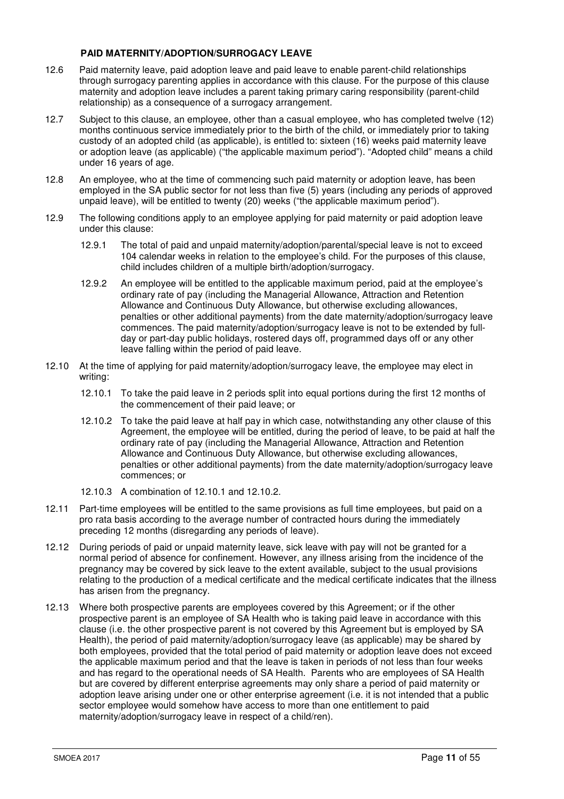# **PAID MATERNITY/ADOPTION/SURROGACY LEAVE**

- 12.6 Paid maternity leave, paid adoption leave and paid leave to enable parent-child relationships through surrogacy parenting applies in accordance with this clause. For the purpose of this clause maternity and adoption leave includes a parent taking primary caring responsibility (parent-child relationship) as a consequence of a surrogacy arrangement.
- 12.7 Subject to this clause, an employee, other than a casual employee, who has completed twelve (12) months continuous service immediately prior to the birth of the child, or immediately prior to taking custody of an adopted child (as applicable), is entitled to: sixteen (16) weeks paid maternity leave or adoption leave (as applicable) ("the applicable maximum period"). "Adopted child" means a child under 16 years of age.
- 12.8 An employee, who at the time of commencing such paid maternity or adoption leave, has been employed in the SA public sector for not less than five (5) years (including any periods of approved unpaid leave), will be entitled to twenty (20) weeks ("the applicable maximum period").
- 12.9 The following conditions apply to an employee applying for paid maternity or paid adoption leave under this clause:
	- 12.9.1 The total of paid and unpaid maternity/adoption/parental/special leave is not to exceed 104 calendar weeks in relation to the employee's child. For the purposes of this clause, child includes children of a multiple birth/adoption/surrogacy.
	- 12.9.2 An employee will be entitled to the applicable maximum period, paid at the employee's ordinary rate of pay (including the Managerial Allowance, Attraction and Retention Allowance and Continuous Duty Allowance, but otherwise excluding allowances, penalties or other additional payments) from the date maternity/adoption/surrogacy leave commences. The paid maternity/adoption/surrogacy leave is not to be extended by fullday or part-day public holidays, rostered days off, programmed days off or any other leave falling within the period of paid leave.
- 12.10 At the time of applying for paid maternity/adoption/surrogacy leave, the employee may elect in writing:
	- 12.10.1 To take the paid leave in 2 periods split into equal portions during the first 12 months of the commencement of their paid leave; or
	- 12.10.2 To take the paid leave at half pay in which case, notwithstanding any other clause of this Agreement, the employee will be entitled, during the period of leave, to be paid at half the ordinary rate of pay (including the Managerial Allowance, Attraction and Retention Allowance and Continuous Duty Allowance, but otherwise excluding allowances, penalties or other additional payments) from the date maternity/adoption/surrogacy leave commences; or
	- 12.10.3 A combination of 12.10.1 and 12.10.2.
- 12.11 Part-time employees will be entitled to the same provisions as full time employees, but paid on a pro rata basis according to the average number of contracted hours during the immediately preceding 12 months (disregarding any periods of leave).
- 12.12 During periods of paid or unpaid maternity leave, sick leave with pay will not be granted for a normal period of absence for confinement. However, any illness arising from the incidence of the pregnancy may be covered by sick leave to the extent available, subject to the usual provisions relating to the production of a medical certificate and the medical certificate indicates that the illness has arisen from the pregnancy.
- 12.13 Where both prospective parents are employees covered by this Agreement; or if the other prospective parent is an employee of SA Health who is taking paid leave in accordance with this clause (i.e. the other prospective parent is not covered by this Agreement but is employed by SA Health), the period of paid maternity/adoption/surrogacy leave (as applicable) may be shared by both employees, provided that the total period of paid maternity or adoption leave does not exceed the applicable maximum period and that the leave is taken in periods of not less than four weeks and has regard to the operational needs of SA Health. Parents who are employees of SA Health but are covered by different enterprise agreements may only share a period of paid maternity or adoption leave arising under one or other enterprise agreement (i.e. it is not intended that a public sector employee would somehow have access to more than one entitlement to paid maternity/adoption/surrogacy leave in respect of a child/ren).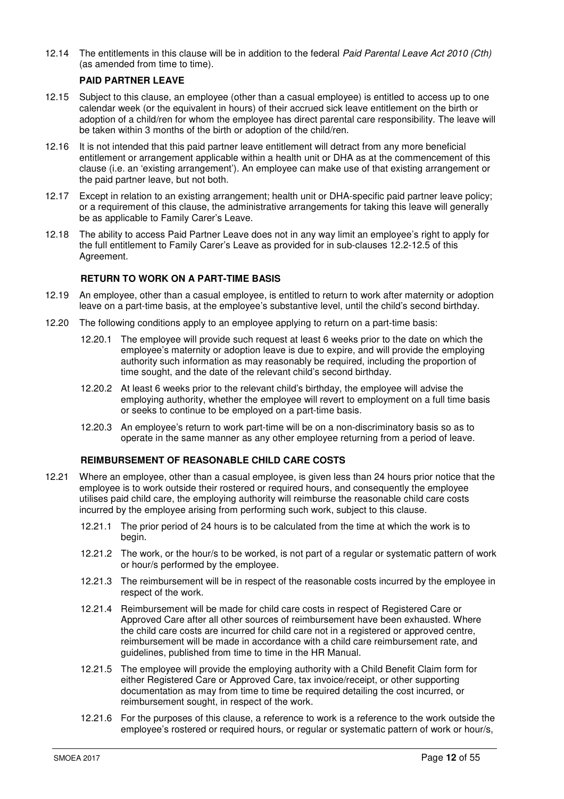12.14 The entitlements in this clause will be in addition to the federal Paid Parental Leave Act 2010 (Cth) (as amended from time to time).

# **PAID PARTNER LEAVE**

- 12.15 Subject to this clause, an employee (other than a casual employee) is entitled to access up to one calendar week (or the equivalent in hours) of their accrued sick leave entitlement on the birth or adoption of a child/ren for whom the employee has direct parental care responsibility. The leave will be taken within 3 months of the birth or adoption of the child/ren.
- 12.16 It is not intended that this paid partner leave entitlement will detract from any more beneficial entitlement or arrangement applicable within a health unit or DHA as at the commencement of this clause (i.e. an 'existing arrangement'). An employee can make use of that existing arrangement or the paid partner leave, but not both.
- 12.17 Except in relation to an existing arrangement; health unit or DHA-specific paid partner leave policy; or a requirement of this clause, the administrative arrangements for taking this leave will generally be as applicable to Family Carer's Leave.
- 12.18 The ability to access Paid Partner Leave does not in any way limit an employee's right to apply for the full entitlement to Family Carer's Leave as provided for in sub-clauses 12.2-12.5 of this Agreement.

# **RETURN TO WORK ON A PART-TIME BASIS**

- 12.19 An employee, other than a casual employee, is entitled to return to work after maternity or adoption leave on a part-time basis, at the employee's substantive level, until the child's second birthday.
- 12.20 The following conditions apply to an employee applying to return on a part-time basis:
	- 12.20.1 The employee will provide such request at least 6 weeks prior to the date on which the employee's maternity or adoption leave is due to expire, and will provide the employing authority such information as may reasonably be required, including the proportion of time sought, and the date of the relevant child's second birthday.
	- 12.20.2 At least 6 weeks prior to the relevant child's birthday, the employee will advise the employing authority, whether the employee will revert to employment on a full time basis or seeks to continue to be employed on a part-time basis.
	- 12.20.3 An employee's return to work part-time will be on a non-discriminatory basis so as to operate in the same manner as any other employee returning from a period of leave.

# **REIMBURSEMENT OF REASONABLE CHILD CARE COSTS**

- 12.21 Where an employee, other than a casual employee, is given less than 24 hours prior notice that the employee is to work outside their rostered or required hours, and consequently the employee utilises paid child care, the employing authority will reimburse the reasonable child care costs incurred by the employee arising from performing such work, subject to this clause.
	- 12.21.1 The prior period of 24 hours is to be calculated from the time at which the work is to begin.
	- 12.21.2 The work, or the hour/s to be worked, is not part of a regular or systematic pattern of work or hour/s performed by the employee.
	- 12.21.3 The reimbursement will be in respect of the reasonable costs incurred by the employee in respect of the work.
	- 12.21.4 Reimbursement will be made for child care costs in respect of Registered Care or Approved Care after all other sources of reimbursement have been exhausted. Where the child care costs are incurred for child care not in a registered or approved centre, reimbursement will be made in accordance with a child care reimbursement rate, and guidelines, published from time to time in the HR Manual.
	- 12.21.5 The employee will provide the employing authority with a Child Benefit Claim form for either Registered Care or Approved Care, tax invoice/receipt, or other supporting documentation as may from time to time be required detailing the cost incurred, or reimbursement sought, in respect of the work.
	- 12.21.6 For the purposes of this clause, a reference to work is a reference to the work outside the employee's rostered or required hours, or regular or systematic pattern of work or hour/s,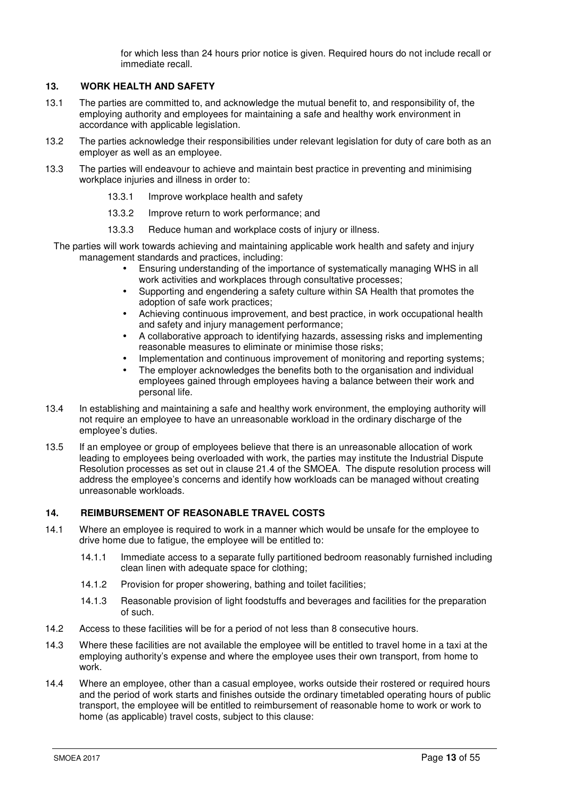for which less than 24 hours prior notice is given. Required hours do not include recall or immediate recall.

#### **13. WORK HEALTH AND SAFETY**

- 13.1 The parties are committed to, and acknowledge the mutual benefit to, and responsibility of, the employing authority and employees for maintaining a safe and healthy work environment in accordance with applicable legislation.
- 13.2 The parties acknowledge their responsibilities under relevant legislation for duty of care both as an employer as well as an employee.
- 13.3 The parties will endeavour to achieve and maintain best practice in preventing and minimising workplace injuries and illness in order to:
	- 13.3.1 Improve workplace health and safety
	- 13.3.2 Improve return to work performance; and
	- 13.3.3 Reduce human and workplace costs of injury or illness.

The parties will work towards achieving and maintaining applicable work health and safety and injury management standards and practices, including:

- Ensuring understanding of the importance of systematically managing WHS in all work activities and workplaces through consultative processes;
- Supporting and engendering a safety culture within SA Health that promotes the adoption of safe work practices;
- Achieving continuous improvement, and best practice, in work occupational health and safety and injury management performance;
- A collaborative approach to identifying hazards, assessing risks and implementing reasonable measures to eliminate or minimise those risks;
- Implementation and continuous improvement of monitoring and reporting systems;
- The employer acknowledges the benefits both to the organisation and individual employees gained through employees having a balance between their work and personal life.
- 13.4 In establishing and maintaining a safe and healthy work environment, the employing authority will not require an employee to have an unreasonable workload in the ordinary discharge of the employee's duties.
- 13.5 If an employee or group of employees believe that there is an unreasonable allocation of work leading to employees being overloaded with work, the parties may institute the Industrial Dispute Resolution processes as set out in clause 21.4 of the SMOEA. The dispute resolution process will address the employee's concerns and identify how workloads can be managed without creating unreasonable workloads.

# **14. REIMBURSEMENT OF REASONABLE TRAVEL COSTS**

- 14.1 Where an employee is required to work in a manner which would be unsafe for the employee to drive home due to fatigue, the employee will be entitled to:
	- 14.1.1 Immediate access to a separate fully partitioned bedroom reasonably furnished including clean linen with adequate space for clothing;
	- 14.1.2 Provision for proper showering, bathing and toilet facilities;
	- 14.1.3 Reasonable provision of light foodstuffs and beverages and facilities for the preparation of such.
- 14.2 Access to these facilities will be for a period of not less than 8 consecutive hours.
- 14.3 Where these facilities are not available the employee will be entitled to travel home in a taxi at the employing authority's expense and where the employee uses their own transport, from home to work.
- 14.4 Where an employee, other than a casual employee, works outside their rostered or required hours and the period of work starts and finishes outside the ordinary timetabled operating hours of public transport, the employee will be entitled to reimbursement of reasonable home to work or work to home (as applicable) travel costs, subject to this clause: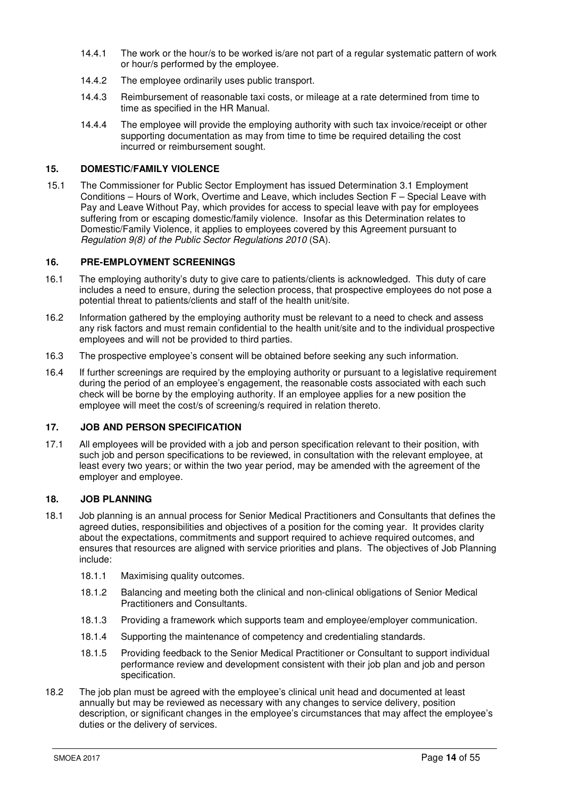- 14.4.1 The work or the hour/s to be worked is/are not part of a regular systematic pattern of work or hour/s performed by the employee.
- 14.4.2 The employee ordinarily uses public transport.
- 14.4.3 Reimbursement of reasonable taxi costs, or mileage at a rate determined from time to time as specified in the HR Manual.
- 14.4.4 The employee will provide the employing authority with such tax invoice/receipt or other supporting documentation as may from time to time be required detailing the cost incurred or reimbursement sought.

# **15. DOMESTIC/FAMILY VIOLENCE**

15.1 The Commissioner for Public Sector Employment has issued Determination 3.1 Employment Conditions – Hours of Work, Overtime and Leave, which includes Section F – Special Leave with Pay and Leave Without Pay, which provides for access to special leave with pay for employees suffering from or escaping domestic/family violence. Insofar as this Determination relates to Domestic/Family Violence, it applies to employees covered by this Agreement pursuant to Regulation 9(8) of the Public Sector Regulations 2010 (SA).

#### **16. PRE-EMPLOYMENT SCREENINGS**

- 16.1 The employing authority's duty to give care to patients/clients is acknowledged. This duty of care includes a need to ensure, during the selection process, that prospective employees do not pose a potential threat to patients/clients and staff of the health unit/site.
- 16.2 Information gathered by the employing authority must be relevant to a need to check and assess any risk factors and must remain confidential to the health unit/site and to the individual prospective employees and will not be provided to third parties.
- 16.3 The prospective employee's consent will be obtained before seeking any such information.
- 16.4 If further screenings are required by the employing authority or pursuant to a legislative requirement during the period of an employee's engagement, the reasonable costs associated with each such check will be borne by the employing authority. If an employee applies for a new position the employee will meet the cost/s of screening/s required in relation thereto.

# **17. JOB AND PERSON SPECIFICATION**

17.1 All employees will be provided with a job and person specification relevant to their position, with such job and person specifications to be reviewed, in consultation with the relevant employee, at least every two years; or within the two year period, may be amended with the agreement of the employer and employee.

# **18. JOB PLANNING**

- 18.1 Job planning is an annual process for Senior Medical Practitioners and Consultants that defines the agreed duties, responsibilities and objectives of a position for the coming year. It provides clarity about the expectations, commitments and support required to achieve required outcomes, and ensures that resources are aligned with service priorities and plans. The objectives of Job Planning include:
	- 18.1.1 Maximising quality outcomes.
	- 18.1.2 Balancing and meeting both the clinical and non-clinical obligations of Senior Medical Practitioners and Consultants.
	- 18.1.3 Providing a framework which supports team and employee/employer communication.
	- 18.1.4 Supporting the maintenance of competency and credentialing standards.
	- 18.1.5 Providing feedback to the Senior Medical Practitioner or Consultant to support individual performance review and development consistent with their job plan and job and person specification.
- 18.2 The job plan must be agreed with the employee's clinical unit head and documented at least annually but may be reviewed as necessary with any changes to service delivery, position description, or significant changes in the employee's circumstances that may affect the employee's duties or the delivery of services.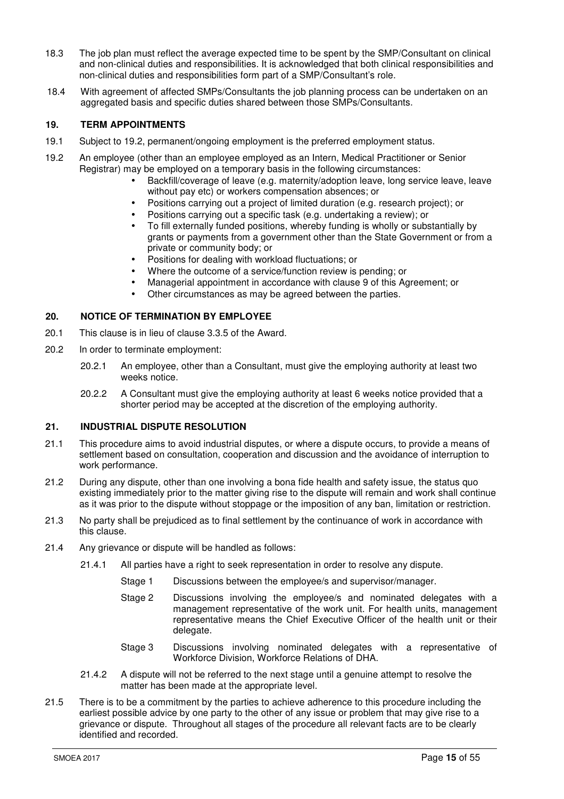- 18.3 The job plan must reflect the average expected time to be spent by the SMP/Consultant on clinical and non-clinical duties and responsibilities. It is acknowledged that both clinical responsibilities and non-clinical duties and responsibilities form part of a SMP/Consultant's role.
- 18.4 With agreement of affected SMPs/Consultants the job planning process can be undertaken on an aggregated basis and specific duties shared between those SMPs/Consultants.

# **19. TERM APPOINTMENTS**

- 19.1 Subject to 19.2, permanent/ongoing employment is the preferred employment status.
- 19.2 An employee (other than an employee employed as an Intern, Medical Practitioner or Senior Registrar) may be employed on a temporary basis in the following circumstances:
	- Backfill/coverage of leave (e.g. maternity/adoption leave, long service leave, leave without pay etc) or workers compensation absences; or
	- Positions carrying out a project of limited duration (e.g. research project); or
	- Positions carrying out a specific task (e.g. undertaking a review); or
	- To fill externally funded positions, whereby funding is wholly or substantially by grants or payments from a government other than the State Government or from a private or community body; or
	- Positions for dealing with workload fluctuations; or
	- Where the outcome of a service/function review is pending; or
	- Managerial appointment in accordance with clause 9 of this Agreement; or
	- Other circumstances as may be agreed between the parties.

#### **20. NOTICE OF TERMINATION BY EMPLOYEE**

- 20.1 This clause is in lieu of clause 3.3.5 of the Award.
- 20.2 In order to terminate employment:
	- 20.2.1 An employee, other than a Consultant, must give the employing authority at least two weeks notice.
	- 20.2.2 A Consultant must give the employing authority at least 6 weeks notice provided that a shorter period may be accepted at the discretion of the employing authority.

# **21. INDUSTRIAL DISPUTE RESOLUTION**

- 21.1 This procedure aims to avoid industrial disputes, or where a dispute occurs, to provide a means of settlement based on consultation, cooperation and discussion and the avoidance of interruption to work performance.
- 21.2 During any dispute, other than one involving a bona fide health and safety issue, the status quo existing immediately prior to the matter giving rise to the dispute will remain and work shall continue as it was prior to the dispute without stoppage or the imposition of any ban, limitation or restriction.
- 21.3 No party shall be prejudiced as to final settlement by the continuance of work in accordance with this clause.
- 21.4 Any grievance or dispute will be handled as follows:
	- 21.4.1 All parties have a right to seek representation in order to resolve any dispute.
		- Stage 1 Discussions between the employee/s and supervisor/manager.
		- Stage 2 Discussions involving the employee/s and nominated delegates with a management representative of the work unit. For health units, management representative means the Chief Executive Officer of the health unit or their delegate.
		- Stage 3 Discussions involving nominated delegates with a representative of Workforce Division, Workforce Relations of DHA.
	- 21.4.2 A dispute will not be referred to the next stage until a genuine attempt to resolve the matter has been made at the appropriate level.
- 21.5 There is to be a commitment by the parties to achieve adherence to this procedure including the earliest possible advice by one party to the other of any issue or problem that may give rise to a grievance or dispute. Throughout all stages of the procedure all relevant facts are to be clearly identified and recorded.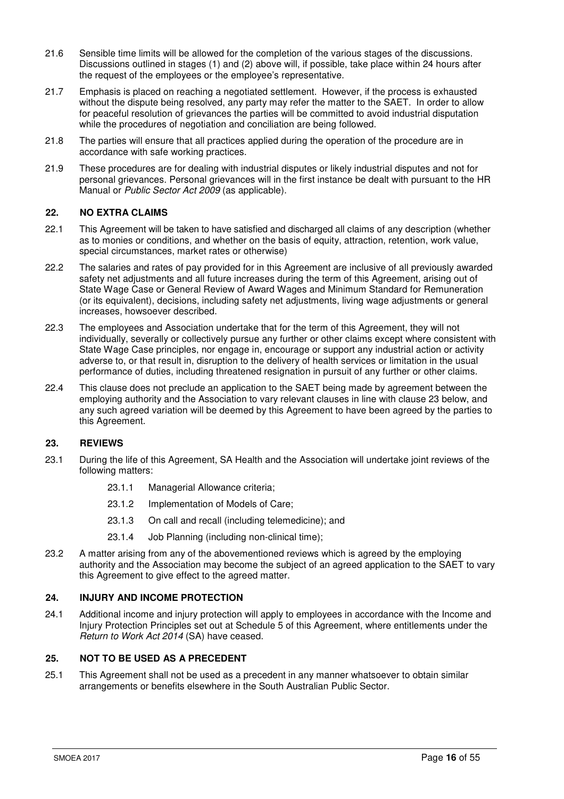- 21.6 Sensible time limits will be allowed for the completion of the various stages of the discussions. Discussions outlined in stages (1) and (2) above will, if possible, take place within 24 hours after the request of the employees or the employee's representative.
- 21.7 Emphasis is placed on reaching a negotiated settlement. However, if the process is exhausted without the dispute being resolved, any party may refer the matter to the SAET. In order to allow for peaceful resolution of grievances the parties will be committed to avoid industrial disputation while the procedures of negotiation and conciliation are being followed.
- 21.8 The parties will ensure that all practices applied during the operation of the procedure are in accordance with safe working practices.
- 21.9 These procedures are for dealing with industrial disputes or likely industrial disputes and not for personal grievances. Personal grievances will in the first instance be dealt with pursuant to the HR Manual or Public Sector Act 2009 (as applicable).

# **22. NO EXTRA CLAIMS**

- 22.1 This Agreement will be taken to have satisfied and discharged all claims of any description (whether as to monies or conditions, and whether on the basis of equity, attraction, retention, work value, special circumstances, market rates or otherwise)
- 22.2 The salaries and rates of pay provided for in this Agreement are inclusive of all previously awarded safety net adjustments and all future increases during the term of this Agreement, arising out of State Wage Case or General Review of Award Wages and Minimum Standard for Remuneration (or its equivalent), decisions, including safety net adjustments, living wage adjustments or general increases, howsoever described.
- 22.3 The employees and Association undertake that for the term of this Agreement, they will not individually, severally or collectively pursue any further or other claims except where consistent with State Wage Case principles, nor engage in, encourage or support any industrial action or activity adverse to, or that result in, disruption to the delivery of health services or limitation in the usual performance of duties, including threatened resignation in pursuit of any further or other claims.
- 22.4 This clause does not preclude an application to the SAET being made by agreement between the employing authority and the Association to vary relevant clauses in line with clause 23 below, and any such agreed variation will be deemed by this Agreement to have been agreed by the parties to this Agreement.

# **23. REVIEWS**

- 23.1 During the life of this Agreement, SA Health and the Association will undertake joint reviews of the following matters:
	- 23.1.1 Managerial Allowance criteria;
	- 23.1.2 Implementation of Models of Care;
	- 23.1.3 On call and recall (including telemedicine); and
	- 23.1.4 Job Planning (including non-clinical time);
- 23.2 A matter arising from any of the abovementioned reviews which is agreed by the employing authority and the Association may become the subject of an agreed application to the SAET to vary this Agreement to give effect to the agreed matter.

# **24. INJURY AND INCOME PROTECTION**

24.1 Additional income and injury protection will apply to employees in accordance with the Income and Injury Protection Principles set out at Schedule 5 of this Agreement, where entitlements under the Return to Work Act 2014 (SA) have ceased.

# **25. NOT TO BE USED AS A PRECEDENT**

25.1 This Agreement shall not be used as a precedent in any manner whatsoever to obtain similar arrangements or benefits elsewhere in the South Australian Public Sector.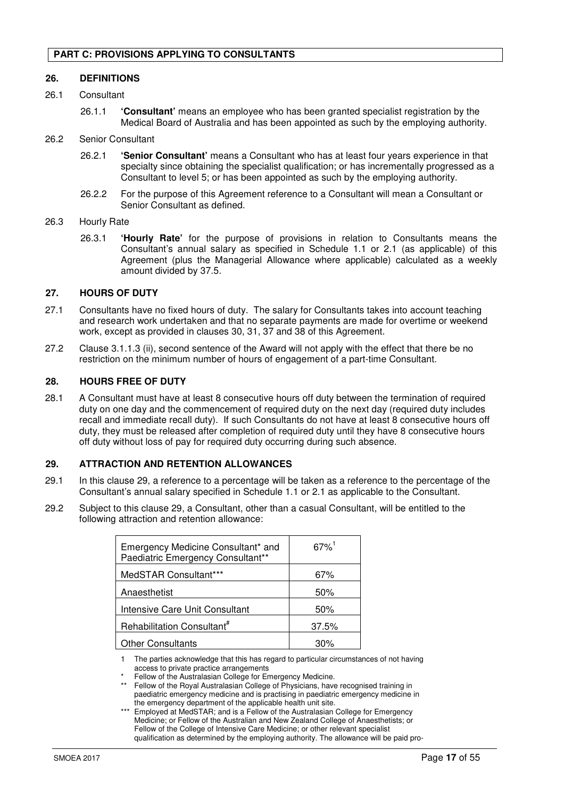#### **26. DEFINITIONS**

- 26.1 Consultant
	- 26.1.1 **'Consultant'** means an employee who has been granted specialist registration by the Medical Board of Australia and has been appointed as such by the employing authority.

#### 26.2 Senior Consultant

- 26.2.1 **'Senior Consultant'** means a Consultant who has at least four years experience in that specialty since obtaining the specialist qualification; or has incrementally progressed as a Consultant to level 5; or has been appointed as such by the employing authority.
- 26.2.2 For the purpose of this Agreement reference to a Consultant will mean a Consultant or Senior Consultant as defined.

#### 26.3 Hourly Rate

26.3.1 **'Hourly Rate'** for the purpose of provisions in relation to Consultants means the Consultant's annual salary as specified in Schedule 1.1 or 2.1 (as applicable) of this Agreement (plus the Managerial Allowance where applicable) calculated as a weekly amount divided by 37.5.

#### **27. HOURS OF DUTY**

- 27.1 Consultants have no fixed hours of duty. The salary for Consultants takes into account teaching and research work undertaken and that no separate payments are made for overtime or weekend work, except as provided in clauses 30, 31, 37 and 38 of this Agreement.
- 27.2 Clause 3.1.1.3 (ii), second sentence of the Award will not apply with the effect that there be no restriction on the minimum number of hours of engagement of a part-time Consultant.

#### **28. HOURS FREE OF DUTY**

28.1 A Consultant must have at least 8 consecutive hours off duty between the termination of required duty on one day and the commencement of required duty on the next day (required duty includes recall and immediate recall duty). If such Consultants do not have at least 8 consecutive hours off duty, they must be released after completion of required duty until they have 8 consecutive hours off duty without loss of pay for required duty occurring during such absence.

#### **29. ATTRACTION AND RETENTION ALLOWANCES**

- 29.1 In this clause 29, a reference to a percentage will be taken as a reference to the percentage of the Consultant's annual salary specified in Schedule 1.1 or 2.1 as applicable to the Consultant.
- 29.2 Subject to this clause 29, a Consultant, other than a casual Consultant, will be entitled to the following attraction and retention allowance:

| Emergency Medicine Consultant* and<br>Paediatric Emergency Consultant** | $67\%$ <sup>1</sup> |
|-------------------------------------------------------------------------|---------------------|
| MedSTAR Consultant***                                                   | 67%                 |
| Anaesthetist                                                            | 50%                 |
| Intensive Care Unit Consultant                                          | 50%                 |
| Rehabilitation Consultant <sup>#</sup>                                  | 37.5%               |
| <b>Other Consultants</b>                                                | 30%                 |

1 The parties acknowledge that this has regard to particular circumstances of not having access to private practice arrangements

Fellow of the Australasian College for Emergency Medicine.

- \*\* Fellow of the Royal Australasian College of Physicians, have recognised training in paediatric emergency medicine and is practising in paediatric emergency medicine in the emergency department of the applicable health unit site.
- Employed at MedSTAR; and is a Fellow of the Australasian College for Emergency Medicine; or Fellow of the Australian and New Zealand College of Anaesthetists; or Fellow of the College of Intensive Care Medicine; or other relevant specialist qualification as determined by the employing authority. The allowance will be paid pro-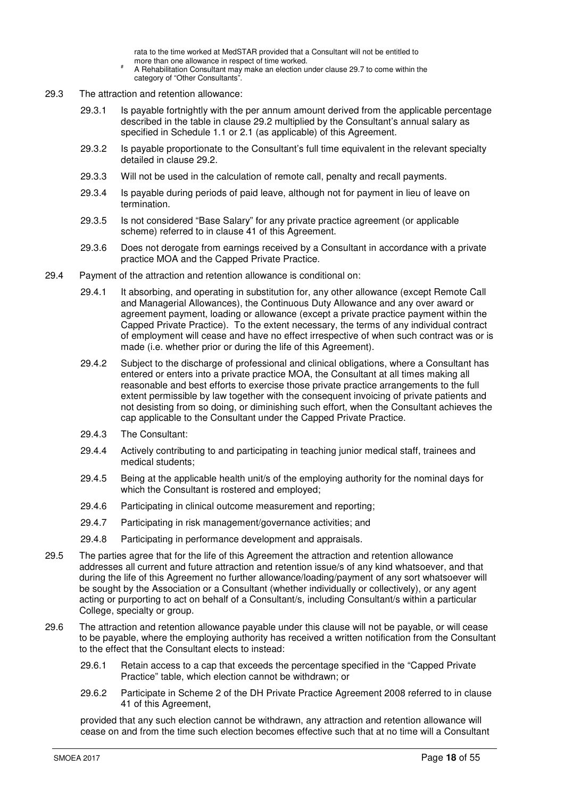rata to the time worked at MedSTAR provided that a Consultant will not be entitled to more than one allowance in respect of time worked.

- # A Rehabilitation Consultant may make an election under clause 29.7 to come within the category of "Other Consultants".
- 29.3 The attraction and retention allowance:
	- 29.3.1 Is payable fortnightly with the per annum amount derived from the applicable percentage described in the table in clause 29.2 multiplied by the Consultant's annual salary as specified in Schedule 1.1 or 2.1 (as applicable) of this Agreement.
	- 29.3.2 Is payable proportionate to the Consultant's full time equivalent in the relevant specialty detailed in clause 29.2.
	- 29.3.3 Will not be used in the calculation of remote call, penalty and recall payments.
	- 29.3.4 Is payable during periods of paid leave, although not for payment in lieu of leave on termination.
	- 29.3.5 Is not considered "Base Salary" for any private practice agreement (or applicable scheme) referred to in clause 41 of this Agreement.
	- 29.3.6 Does not derogate from earnings received by a Consultant in accordance with a private practice MOA and the Capped Private Practice.
- 29.4 Payment of the attraction and retention allowance is conditional on:
	- 29.4.1 It absorbing, and operating in substitution for, any other allowance (except Remote Call and Managerial Allowances), the Continuous Duty Allowance and any over award or agreement payment, loading or allowance (except a private practice payment within the Capped Private Practice). To the extent necessary, the terms of any individual contract of employment will cease and have no effect irrespective of when such contract was or is made (i.e. whether prior or during the life of this Agreement).
	- 29.4.2 Subject to the discharge of professional and clinical obligations, where a Consultant has entered or enters into a private practice MOA, the Consultant at all times making all reasonable and best efforts to exercise those private practice arrangements to the full extent permissible by law together with the consequent invoicing of private patients and not desisting from so doing, or diminishing such effort, when the Consultant achieves the cap applicable to the Consultant under the Capped Private Practice.
	- 29.4.3 The Consultant:
	- 29.4.4 Actively contributing to and participating in teaching junior medical staff, trainees and medical students;
	- 29.4.5 Being at the applicable health unit/s of the employing authority for the nominal days for which the Consultant is rostered and employed;
	- 29.4.6 Participating in clinical outcome measurement and reporting;
	- 29.4.7 Participating in risk management/governance activities; and
	- 29.4.8 Participating in performance development and appraisals.
- 29.5 The parties agree that for the life of this Agreement the attraction and retention allowance addresses all current and future attraction and retention issue/s of any kind whatsoever, and that during the life of this Agreement no further allowance/loading/payment of any sort whatsoever will be sought by the Association or a Consultant (whether individually or collectively), or any agent acting or purporting to act on behalf of a Consultant/s, including Consultant/s within a particular College, specialty or group.
- 29.6 The attraction and retention allowance payable under this clause will not be payable, or will cease to be payable, where the employing authority has received a written notification from the Consultant to the effect that the Consultant elects to instead:
	- 29.6.1 Retain access to a cap that exceeds the percentage specified in the "Capped Private Practice" table, which election cannot be withdrawn; or
	- 29.6.2 Participate in Scheme 2 of the DH Private Practice Agreement 2008 referred to in clause 41 of this Agreement,

provided that any such election cannot be withdrawn, any attraction and retention allowance will cease on and from the time such election becomes effective such that at no time will a Consultant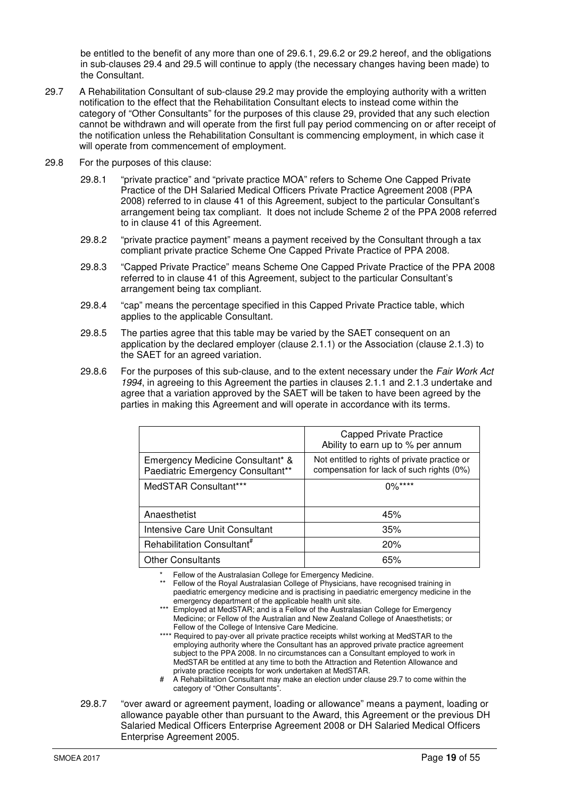be entitled to the benefit of any more than one of 29.6.1, 29.6.2 or 29.2 hereof, and the obligations in sub-clauses 29.4 and 29.5 will continue to apply (the necessary changes having been made) to the Consultant.

- 29.7 A Rehabilitation Consultant of sub-clause 29.2 may provide the employing authority with a written notification to the effect that the Rehabilitation Consultant elects to instead come within the category of "Other Consultants" for the purposes of this clause 29, provided that any such election cannot be withdrawn and will operate from the first full pay period commencing on or after receipt of the notification unless the Rehabilitation Consultant is commencing employment, in which case it will operate from commencement of employment.
- 29.8 For the purposes of this clause:
	- 29.8.1 "private practice" and "private practice MOA" refers to Scheme One Capped Private Practice of the DH Salaried Medical Officers Private Practice Agreement 2008 (PPA 2008) referred to in clause 41 of this Agreement, subject to the particular Consultant's arrangement being tax compliant. It does not include Scheme 2 of the PPA 2008 referred to in clause 41 of this Agreement.
	- 29.8.2 "private practice payment" means a payment received by the Consultant through a tax compliant private practice Scheme One Capped Private Practice of PPA 2008.
	- 29.8.3 "Capped Private Practice" means Scheme One Capped Private Practice of the PPA 2008 referred to in clause 41 of this Agreement, subject to the particular Consultant's arrangement being tax compliant.
	- 29.8.4 "cap" means the percentage specified in this Capped Private Practice table, which applies to the applicable Consultant.
	- 29.8.5 The parties agree that this table may be varied by the SAET consequent on an application by the declared employer (clause 2.1.1) or the Association (clause 2.1.3) to the SAET for an agreed variation.
	- 29.8.6 For the purposes of this sub-clause, and to the extent necessary under the Fair Work Act 1994, in agreeing to this Agreement the parties in clauses 2.1.1 and 2.1.3 undertake and agree that a variation approved by the SAET will be taken to have been agreed by the parties in making this Agreement and will operate in accordance with its terms.

|                                                                       | <b>Capped Private Practice</b><br>Ability to earn up to % per annum                        |
|-----------------------------------------------------------------------|--------------------------------------------------------------------------------------------|
| Emergency Medicine Consultant* &<br>Paediatric Emergency Consultant** | Not entitled to rights of private practice or<br>compensation for lack of such rights (0%) |
| MedSTAR Consultant***                                                 | $0\%***$                                                                                   |
| Anaesthetist                                                          | 45%                                                                                        |
| Intensive Care Unit Consultant                                        | 35%                                                                                        |
| Rehabilitation Consultant <sup>#</sup>                                | 20%                                                                                        |
| <b>Other Consultants</b>                                              | 65%                                                                                        |

Fellow of the Australasian College for Emergency Medicine.

\*\* Fellow of the Royal Australasian College of Physicians, have recognised training in paediatric emergency medicine and is practising in paediatric emergency medicine in the emergency department of the applicable health unit site.

- \*\*\* Employed at MedSTAR; and is a Fellow of the Australasian College for Emergency Medicine; or Fellow of the Australian and New Zealand College of Anaesthetists; or Fellow of the College of Intensive Care Medicine.
- \*\*\*\* Required to pay-over all private practice receipts whilst working at MedSTAR to the employing authority where the Consultant has an approved private practice agreement subject to the PPA 2008. In no circumstances can a Consultant employed to work in MedSTAR be entitled at any time to both the Attraction and Retention Allowance and private practice receipts for work undertaken at MedSTAR.
- A Rehabilitation Consultant may make an election under clause 29.7 to come within the category of "Other Consultants".
- 29.8.7 "over award or agreement payment, loading or allowance" means a payment, loading or allowance payable other than pursuant to the Award, this Agreement or the previous DH Salaried Medical Officers Enterprise Agreement 2008 or DH Salaried Medical Officers Enterprise Agreement 2005.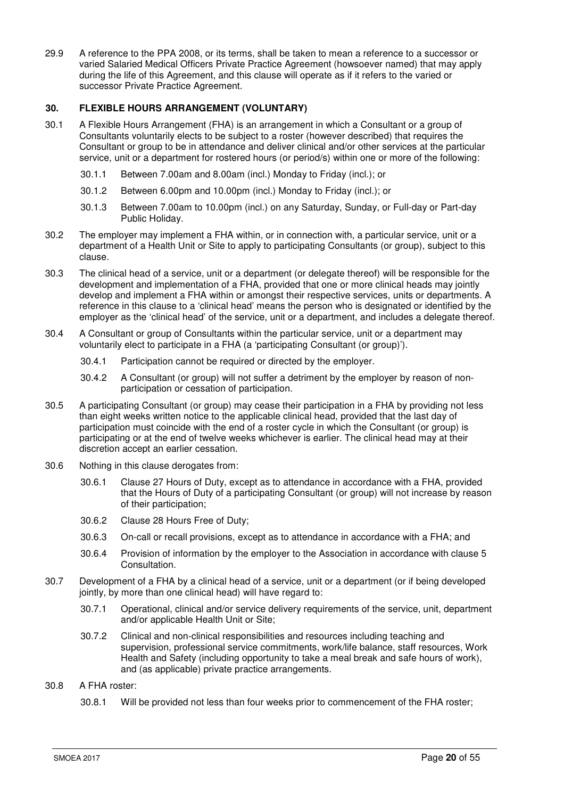29.9 A reference to the PPA 2008, or its terms, shall be taken to mean a reference to a successor or varied Salaried Medical Officers Private Practice Agreement (howsoever named) that may apply during the life of this Agreement, and this clause will operate as if it refers to the varied or successor Private Practice Agreement.

# **30. FLEXIBLE HOURS ARRANGEMENT (VOLUNTARY)**

- 30.1 A Flexible Hours Arrangement (FHA) is an arrangement in which a Consultant or a group of Consultants voluntarily elects to be subject to a roster (however described) that requires the Consultant or group to be in attendance and deliver clinical and/or other services at the particular service, unit or a department for rostered hours (or period/s) within one or more of the following:
	- 30.1.1 Between 7.00am and 8.00am (incl.) Monday to Friday (incl.); or
	- 30.1.2 Between 6.00pm and 10.00pm (incl.) Monday to Friday (incl.); or
	- 30.1.3 Between 7.00am to 10.00pm (incl.) on any Saturday, Sunday, or Full-day or Part-day Public Holiday.
- 30.2 The employer may implement a FHA within, or in connection with, a particular service, unit or a department of a Health Unit or Site to apply to participating Consultants (or group), subject to this clause.
- 30.3 The clinical head of a service, unit or a department (or delegate thereof) will be responsible for the development and implementation of a FHA, provided that one or more clinical heads may jointly develop and implement a FHA within or amongst their respective services, units or departments. A reference in this clause to a 'clinical head' means the person who is designated or identified by the employer as the 'clinical head' of the service, unit or a department, and includes a delegate thereof.
- 30.4 A Consultant or group of Consultants within the particular service, unit or a department may voluntarily elect to participate in a FHA (a 'participating Consultant (or group)').
	- 30.4.1 Participation cannot be required or directed by the employer.
	- 30.4.2 A Consultant (or group) will not suffer a detriment by the employer by reason of nonparticipation or cessation of participation.
- 30.5 A participating Consultant (or group) may cease their participation in a FHA by providing not less than eight weeks written notice to the applicable clinical head, provided that the last day of participation must coincide with the end of a roster cycle in which the Consultant (or group) is participating or at the end of twelve weeks whichever is earlier. The clinical head may at their discretion accept an earlier cessation.
- 30.6 Nothing in this clause derogates from:
	- 30.6.1 Clause 27 Hours of Duty, except as to attendance in accordance with a FHA, provided that the Hours of Duty of a participating Consultant (or group) will not increase by reason of their participation;
	- 30.6.2 Clause 28 Hours Free of Duty;
	- 30.6.3 On-call or recall provisions, except as to attendance in accordance with a FHA; and
	- 30.6.4 Provision of information by the employer to the Association in accordance with clause 5 Consultation.
- 30.7 Development of a FHA by a clinical head of a service, unit or a department (or if being developed jointly, by more than one clinical head) will have regard to:
	- 30.7.1 Operational, clinical and/or service delivery requirements of the service, unit, department and/or applicable Health Unit or Site;
	- 30.7.2 Clinical and non-clinical responsibilities and resources including teaching and supervision, professional service commitments, work/life balance, staff resources, Work Health and Safety (including opportunity to take a meal break and safe hours of work), and (as applicable) private practice arrangements.
- 30.8 A FHA roster:
	- 30.8.1 Will be provided not less than four weeks prior to commencement of the FHA roster;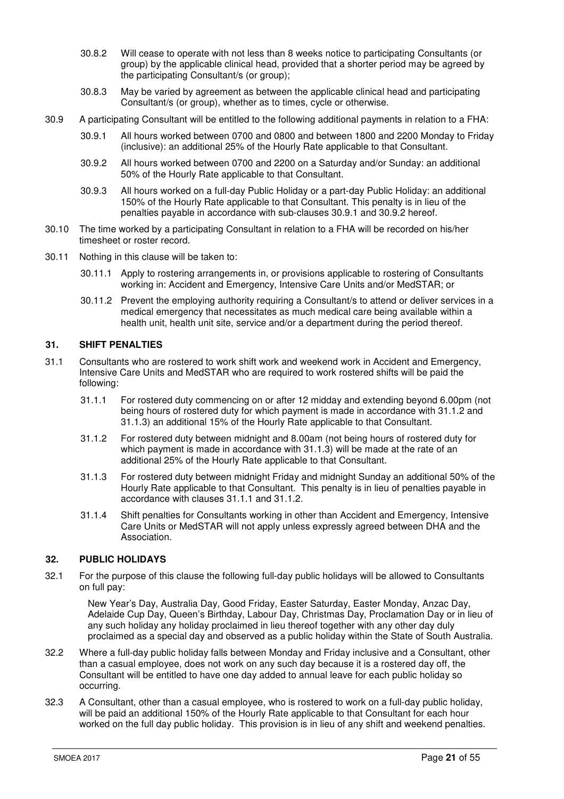- 30.8.2 Will cease to operate with not less than 8 weeks notice to participating Consultants (or group) by the applicable clinical head, provided that a shorter period may be agreed by the participating Consultant/s (or group);
- 30.8.3 May be varied by agreement as between the applicable clinical head and participating Consultant/s (or group), whether as to times, cycle or otherwise.
- 30.9 A participating Consultant will be entitled to the following additional payments in relation to a FHA:
	- 30.9.1 All hours worked between 0700 and 0800 and between 1800 and 2200 Monday to Friday (inclusive): an additional 25% of the Hourly Rate applicable to that Consultant.
	- 30.9.2 All hours worked between 0700 and 2200 on a Saturday and/or Sunday: an additional 50% of the Hourly Rate applicable to that Consultant.
	- 30.9.3 All hours worked on a full-day Public Holiday or a part-day Public Holiday: an additional 150% of the Hourly Rate applicable to that Consultant. This penalty is in lieu of the penalties payable in accordance with sub-clauses 30.9.1 and 30.9.2 hereof.
- 30.10 The time worked by a participating Consultant in relation to a FHA will be recorded on his/her timesheet or roster record.
- 30.11 Nothing in this clause will be taken to:
	- 30.11.1 Apply to rostering arrangements in, or provisions applicable to rostering of Consultants working in: Accident and Emergency, Intensive Care Units and/or MedSTAR; or
	- 30.11.2 Prevent the employing authority requiring a Consultant/s to attend or deliver services in a medical emergency that necessitates as much medical care being available within a health unit, health unit site, service and/or a department during the period thereof.

# **31. SHIFT PENALTIES**

- 31.1 Consultants who are rostered to work shift work and weekend work in Accident and Emergency, Intensive Care Units and MedSTAR who are required to work rostered shifts will be paid the following:
	- 31.1.1 For rostered duty commencing on or after 12 midday and extending beyond 6.00pm (not being hours of rostered duty for which payment is made in accordance with 31.1.2 and 31.1.3) an additional 15% of the Hourly Rate applicable to that Consultant.
	- 31.1.2 For rostered duty between midnight and 8.00am (not being hours of rostered duty for which payment is made in accordance with 31.1.3) will be made at the rate of an additional 25% of the Hourly Rate applicable to that Consultant.
	- 31.1.3 For rostered duty between midnight Friday and midnight Sunday an additional 50% of the Hourly Rate applicable to that Consultant. This penalty is in lieu of penalties payable in accordance with clauses 31.1.1 and 31.1.2.
	- 31.1.4 Shift penalties for Consultants working in other than Accident and Emergency, Intensive Care Units or MedSTAR will not apply unless expressly agreed between DHA and the Association.

# **32. PUBLIC HOLIDAYS**

32.1 For the purpose of this clause the following full-day public holidays will be allowed to Consultants on full pay:

 New Year's Day, Australia Day, Good Friday, Easter Saturday, Easter Monday, Anzac Day, Adelaide Cup Day, Queen's Birthday, Labour Day, Christmas Day, Proclamation Day or in lieu of any such holiday any holiday proclaimed in lieu thereof together with any other day duly proclaimed as a special day and observed as a public holiday within the State of South Australia.

- 32.2 Where a full-day public holiday falls between Monday and Friday inclusive and a Consultant, other than a casual employee, does not work on any such day because it is a rostered day off, the Consultant will be entitled to have one day added to annual leave for each public holiday so occurring.
- 32.3 A Consultant, other than a casual employee, who is rostered to work on a full-day public holiday, will be paid an additional 150% of the Hourly Rate applicable to that Consultant for each hour worked on the full day public holiday. This provision is in lieu of any shift and weekend penalties.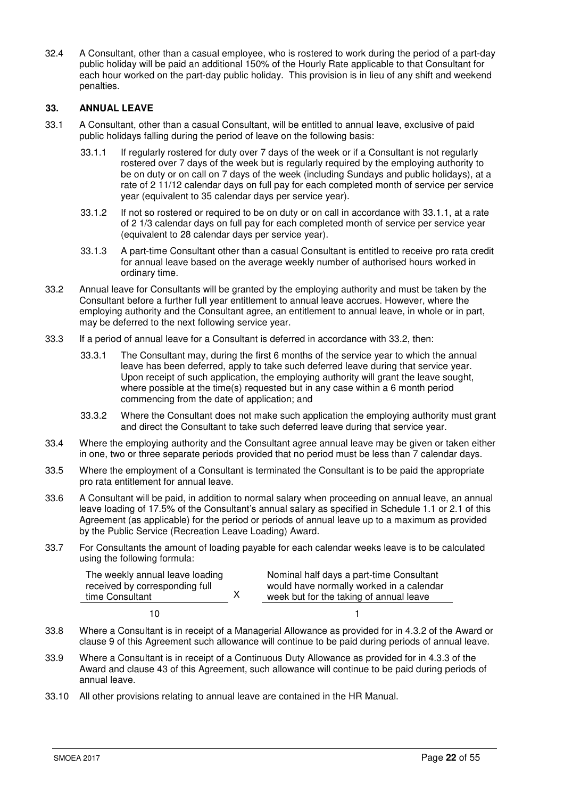32.4 A Consultant, other than a casual employee, who is rostered to work during the period of a part-day public holiday will be paid an additional 150% of the Hourly Rate applicable to that Consultant for each hour worked on the part-day public holiday. This provision is in lieu of any shift and weekend penalties.

# **33. ANNUAL LEAVE**

- 33.1 A Consultant, other than a casual Consultant, will be entitled to annual leave, exclusive of paid public holidays falling during the period of leave on the following basis:
	- 33.1.1 If regularly rostered for duty over 7 days of the week or if a Consultant is not regularly rostered over 7 days of the week but is regularly required by the employing authority to be on duty or on call on 7 days of the week (including Sundays and public holidays), at a rate of 2 11/12 calendar days on full pay for each completed month of service per service year (equivalent to 35 calendar days per service year).
	- 33.1.2 If not so rostered or required to be on duty or on call in accordance with 33.1.1, at a rate of 2 1/3 calendar days on full pay for each completed month of service per service year (equivalent to 28 calendar days per service year).
	- 33.1.3 A part-time Consultant other than a casual Consultant is entitled to receive pro rata credit for annual leave based on the average weekly number of authorised hours worked in ordinary time.
- 33.2 Annual leave for Consultants will be granted by the employing authority and must be taken by the Consultant before a further full year entitlement to annual leave accrues. However, where the employing authority and the Consultant agree, an entitlement to annual leave, in whole or in part, may be deferred to the next following service year.
- 33.3 If a period of annual leave for a Consultant is deferred in accordance with 33.2, then:
	- 33.3.1 The Consultant may, during the first 6 months of the service year to which the annual leave has been deferred, apply to take such deferred leave during that service year. Upon receipt of such application, the employing authority will grant the leave sought, where possible at the time(s) requested but in any case within a 6 month period commencing from the date of application; and
	- 33.3.2 Where the Consultant does not make such application the employing authority must grant and direct the Consultant to take such deferred leave during that service year.
- 33.4 Where the employing authority and the Consultant agree annual leave may be given or taken either in one, two or three separate periods provided that no period must be less than 7 calendar days.
- 33.5 Where the employment of a Consultant is terminated the Consultant is to be paid the appropriate pro rata entitlement for annual leave.
- 33.6 A Consultant will be paid, in addition to normal salary when proceeding on annual leave, an annual leave loading of 17.5% of the Consultant's annual salary as specified in Schedule 1.1 or 2.1 of this Agreement (as applicable) for the period or periods of annual leave up to a maximum as provided by the Public Service (Recreation Leave Loading) Award.
- 33.7 For Consultants the amount of loading payable for each calendar weeks leave is to be calculated using the following formula:

| The weekly annual leave loading<br>received by corresponding full<br>time Consultant | Nominal half days a part-time Consultant<br>would have normally worked in a calendar<br>week but for the taking of annual leave |
|--------------------------------------------------------------------------------------|---------------------------------------------------------------------------------------------------------------------------------|
| 10                                                                                   |                                                                                                                                 |

- 33.8 Where a Consultant is in receipt of a Managerial Allowance as provided for in 4.3.2 of the Award or clause 9 of this Agreement such allowance will continue to be paid during periods of annual leave.
- 33.9 Where a Consultant is in receipt of a Continuous Duty Allowance as provided for in 4.3.3 of the Award and clause 43 of this Agreement, such allowance will continue to be paid during periods of annual leave.
- 33.10 All other provisions relating to annual leave are contained in the HR Manual.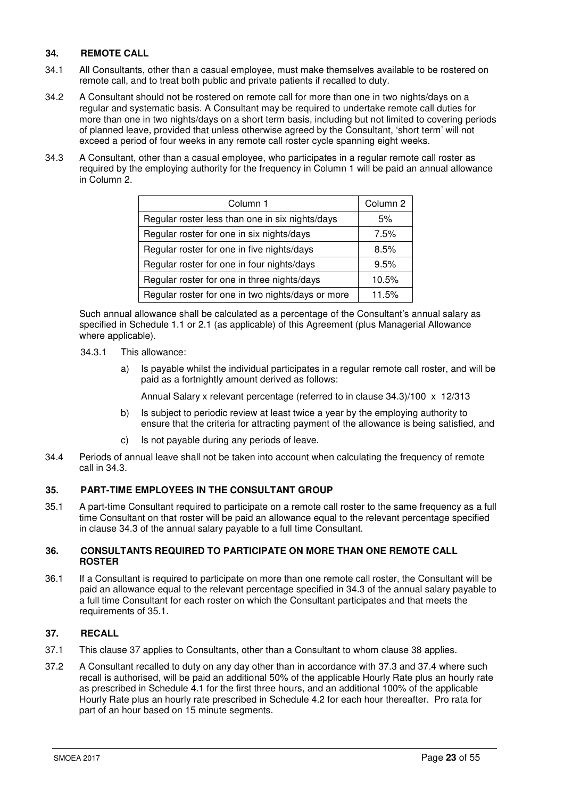# **34. REMOTE CALL**

- 34.1 All Consultants, other than a casual employee, must make themselves available to be rostered on remote call, and to treat both public and private patients if recalled to duty.
- 34.2 A Consultant should not be rostered on remote call for more than one in two nights/days on a regular and systematic basis. A Consultant may be required to undertake remote call duties for more than one in two nights/days on a short term basis, including but not limited to covering periods of planned leave, provided that unless otherwise agreed by the Consultant, 'short term' will not exceed a period of four weeks in any remote call roster cycle spanning eight weeks.
- 34.3 A Consultant, other than a casual employee, who participates in a regular remote call roster as required by the employing authority for the frequency in Column 1 will be paid an annual allowance in Column 2.

| Column 1                                          | Column 2 |
|---------------------------------------------------|----------|
| Regular roster less than one in six nights/days   | 5%       |
| Regular roster for one in six nights/days         | 7.5%     |
| Regular roster for one in five nights/days        | 8.5%     |
| Regular roster for one in four nights/days        | 9.5%     |
| Regular roster for one in three nights/days       | 10.5%    |
| Regular roster for one in two nights/days or more | 11.5%    |

 Such annual allowance shall be calculated as a percentage of the Consultant's annual salary as specified in Schedule 1.1 or 2.1 (as applicable) of this Agreement (plus Managerial Allowance where applicable).

- 34.3.1 This allowance:
	- a) Is payable whilst the individual participates in a regular remote call roster, and will be paid as a fortnightly amount derived as follows:

Annual Salary x relevant percentage (referred to in clause 34.3)/100 x 12/313

- b) Is subject to periodic review at least twice a year by the employing authority to ensure that the criteria for attracting payment of the allowance is being satisfied, and
- c) Is not payable during any periods of leave.
- 34.4 Periods of annual leave shall not be taken into account when calculating the frequency of remote call in 34.3.

# **35. PART-TIME EMPLOYEES IN THE CONSULTANT GROUP**

35.1 A part-time Consultant required to participate on a remote call roster to the same frequency as a full time Consultant on that roster will be paid an allowance equal to the relevant percentage specified in clause 34.3 of the annual salary payable to a full time Consultant.

# **36. CONSULTANTS REQUIRED TO PARTICIPATE ON MORE THAN ONE REMOTE CALL ROSTER**

36.1 If a Consultant is required to participate on more than one remote call roster, the Consultant will be paid an allowance equal to the relevant percentage specified in 34.3 of the annual salary payable to a full time Consultant for each roster on which the Consultant participates and that meets the requirements of 35.1.

# **37. RECALL**

- 37.1 This clause 37 applies to Consultants, other than a Consultant to whom clause 38 applies.
- 37.2 A Consultant recalled to duty on any day other than in accordance with 37.3 and 37.4 where such recall is authorised, will be paid an additional 50% of the applicable Hourly Rate plus an hourly rate as prescribed in Schedule 4.1 for the first three hours, and an additional 100% of the applicable Hourly Rate plus an hourly rate prescribed in Schedule 4.2 for each hour thereafter. Pro rata for part of an hour based on 15 minute segments.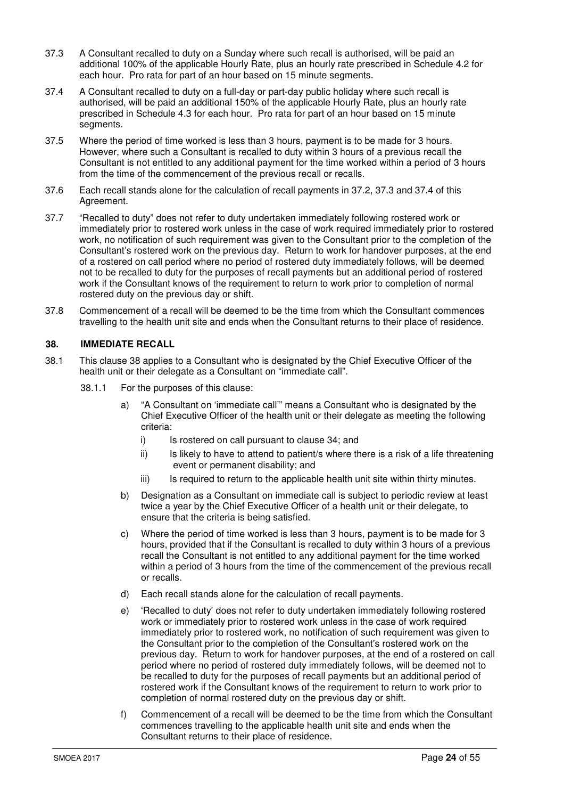- 37.3 A Consultant recalled to duty on a Sunday where such recall is authorised, will be paid an additional 100% of the applicable Hourly Rate, plus an hourly rate prescribed in Schedule 4.2 for each hour. Pro rata for part of an hour based on 15 minute segments.
- 37.4 A Consultant recalled to duty on a full-day or part-day public holiday where such recall is authorised, will be paid an additional 150% of the applicable Hourly Rate, plus an hourly rate prescribed in Schedule 4.3 for each hour. Pro rata for part of an hour based on 15 minute segments.
- 37.5 Where the period of time worked is less than 3 hours, payment is to be made for 3 hours. However, where such a Consultant is recalled to duty within 3 hours of a previous recall the Consultant is not entitled to any additional payment for the time worked within a period of 3 hours from the time of the commencement of the previous recall or recalls.
- 37.6 Each recall stands alone for the calculation of recall payments in 37.2, 37.3 and 37.4 of this Agreement.
- 37.7 "Recalled to duty" does not refer to duty undertaken immediately following rostered work or immediately prior to rostered work unless in the case of work required immediately prior to rostered work, no notification of such requirement was given to the Consultant prior to the completion of the Consultant's rostered work on the previous day. Return to work for handover purposes, at the end of a rostered on call period where no period of rostered duty immediately follows, will be deemed not to be recalled to duty for the purposes of recall payments but an additional period of rostered work if the Consultant knows of the requirement to return to work prior to completion of normal rostered duty on the previous day or shift.
- 37.8 Commencement of a recall will be deemed to be the time from which the Consultant commences travelling to the health unit site and ends when the Consultant returns to their place of residence.

# **38. IMMEDIATE RECALL**

- 38.1 This clause 38 applies to a Consultant who is designated by the Chief Executive Officer of the health unit or their delegate as a Consultant on "immediate call".
	- 38.1.1 For the purposes of this clause:
		- a) "A Consultant on 'immediate call'" means a Consultant who is designated by the Chief Executive Officer of the health unit or their delegate as meeting the following criteria:
			- i) Is rostered on call pursuant to clause 34; and
			- ii) Is likely to have to attend to patient/s where there is a risk of a life threatening event or permanent disability; and
			- iii) Is required to return to the applicable health unit site within thirty minutes.
		- b) Designation as a Consultant on immediate call is subject to periodic review at least twice a year by the Chief Executive Officer of a health unit or their delegate, to ensure that the criteria is being satisfied.
		- c) Where the period of time worked is less than 3 hours, payment is to be made for 3 hours, provided that if the Consultant is recalled to duty within 3 hours of a previous recall the Consultant is not entitled to any additional payment for the time worked within a period of 3 hours from the time of the commencement of the previous recall or recalls.
		- d) Each recall stands alone for the calculation of recall payments.
		- e) 'Recalled to duty' does not refer to duty undertaken immediately following rostered work or immediately prior to rostered work unless in the case of work required immediately prior to rostered work, no notification of such requirement was given to the Consultant prior to the completion of the Consultant's rostered work on the previous day. Return to work for handover purposes, at the end of a rostered on call period where no period of rostered duty immediately follows, will be deemed not to be recalled to duty for the purposes of recall payments but an additional period of rostered work if the Consultant knows of the requirement to return to work prior to completion of normal rostered duty on the previous day or shift.
		- f) Commencement of a recall will be deemed to be the time from which the Consultant commences travelling to the applicable health unit site and ends when the Consultant returns to their place of residence.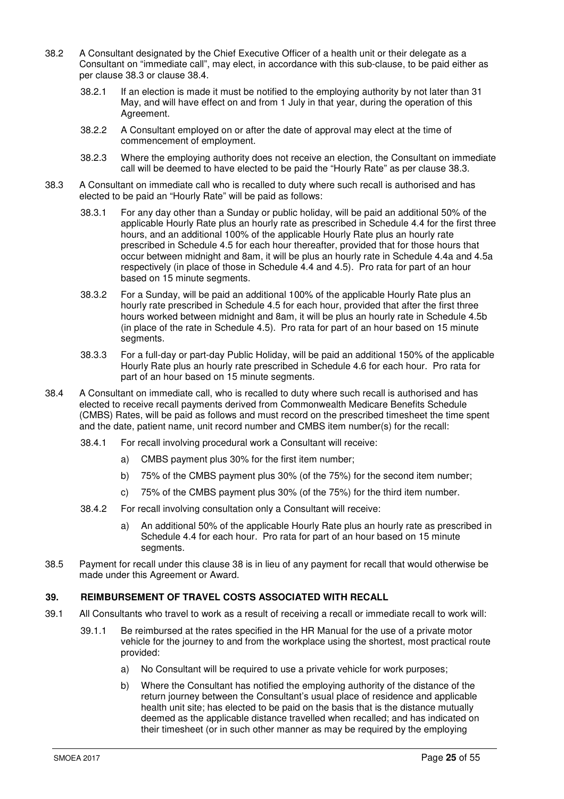- 38.2 A Consultant designated by the Chief Executive Officer of a health unit or their delegate as a Consultant on "immediate call", may elect, in accordance with this sub-clause, to be paid either as per clause 38.3 or clause 38.4.
	- 38.2.1 If an election is made it must be notified to the employing authority by not later than 31 May, and will have effect on and from 1 July in that year, during the operation of this Agreement.
	- 38.2.2 A Consultant employed on or after the date of approval may elect at the time of commencement of employment.
	- 38.2.3 Where the employing authority does not receive an election, the Consultant on immediate call will be deemed to have elected to be paid the "Hourly Rate" as per clause 38.3.
- 38.3 A Consultant on immediate call who is recalled to duty where such recall is authorised and has elected to be paid an "Hourly Rate" will be paid as follows:
	- 38.3.1 For any day other than a Sunday or public holiday, will be paid an additional 50% of the applicable Hourly Rate plus an hourly rate as prescribed in Schedule 4.4 for the first three hours, and an additional 100% of the applicable Hourly Rate plus an hourly rate prescribed in Schedule 4.5 for each hour thereafter, provided that for those hours that occur between midnight and 8am, it will be plus an hourly rate in Schedule 4.4a and 4.5a respectively (in place of those in Schedule 4.4 and 4.5). Pro rata for part of an hour based on 15 minute segments.
	- 38.3.2 For a Sunday, will be paid an additional 100% of the applicable Hourly Rate plus an hourly rate prescribed in Schedule 4.5 for each hour, provided that after the first three hours worked between midnight and 8am, it will be plus an hourly rate in Schedule 4.5b (in place of the rate in Schedule 4.5). Pro rata for part of an hour based on 15 minute segments.
	- 38.3.3 For a full-day or part-day Public Holiday, will be paid an additional 150% of the applicable Hourly Rate plus an hourly rate prescribed in Schedule 4.6 for each hour. Pro rata for part of an hour based on 15 minute segments.
- 38.4 A Consultant on immediate call, who is recalled to duty where such recall is authorised and has elected to receive recall payments derived from Commonwealth Medicare Benefits Schedule (CMBS) Rates, will be paid as follows and must record on the prescribed timesheet the time spent and the date, patient name, unit record number and CMBS item number(s) for the recall:
	- 38.4.1 For recall involving procedural work a Consultant will receive:
		- a) CMBS payment plus 30% for the first item number;
		- b) 75% of the CMBS payment plus 30% (of the 75%) for the second item number;
		- c) 75% of the CMBS payment plus 30% (of the 75%) for the third item number.
	- 38.4.2 For recall involving consultation only a Consultant will receive:
		- a) An additional 50% of the applicable Hourly Rate plus an hourly rate as prescribed in Schedule 4.4 for each hour. Pro rata for part of an hour based on 15 minute segments.
- 38.5 Payment for recall under this clause 38 is in lieu of any payment for recall that would otherwise be made under this Agreement or Award.

# **39. REIMBURSEMENT OF TRAVEL COSTS ASSOCIATED WITH RECALL**

- 39.1 All Consultants who travel to work as a result of receiving a recall or immediate recall to work will:
	- 39.1.1 Be reimbursed at the rates specified in the HR Manual for the use of a private motor vehicle for the journey to and from the workplace using the shortest, most practical route provided:
		- a) No Consultant will be required to use a private vehicle for work purposes;
		- b) Where the Consultant has notified the employing authority of the distance of the return journey between the Consultant's usual place of residence and applicable health unit site; has elected to be paid on the basis that is the distance mutually deemed as the applicable distance travelled when recalled; and has indicated on their timesheet (or in such other manner as may be required by the employing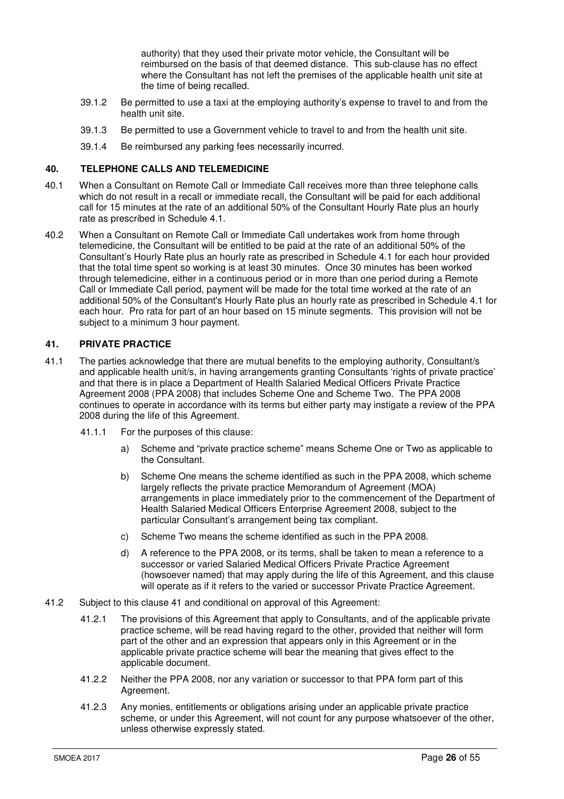authority) that they used their private motor vehicle, the Consultant will be reimbursed on the basis of that deemed distance. This sub-clause has no effect where the Consultant has not left the premises of the applicable health unit site at the time of being recalled.

- 39.1.2 Be permitted to use a taxi at the employing authority's expense to travel to and from the health unit site.
- 39.1.3 Be permitted to use a Government vehicle to travel to and from the health unit site.
- 39.1.4 Be reimbursed any parking fees necessarily incurred.

# **40. TELEPHONE CALLS AND TELEMEDICINE**

- 40.1 When a Consultant on Remote Call or Immediate Call receives more than three telephone calls which do not result in a recall or immediate recall, the Consultant will be paid for each additional call for 15 minutes at the rate of an additional 50% of the Consultant Hourly Rate plus an hourly rate as prescribed in Schedule 4.1.
- 40.2 When a Consultant on Remote Call or Immediate Call undertakes work from home through telemedicine, the Consultant will be entitled to be paid at the rate of an additional 50% of the Consultant's Hourly Rate plus an hourly rate as prescribed in Schedule 4.1 for each hour provided that the total time spent so working is at least 30 minutes. Once 30 minutes has been worked through telemedicine, either in a continuous period or in more than one period during a Remote Call or Immediate Call period, payment will be made for the total time worked at the rate of an additional 50% of the Consultant's Hourly Rate plus an hourly rate as prescribed in Schedule 4.1 for each hour. Pro rata for part of an hour based on 15 minute segments. This provision will not be subject to a minimum 3 hour payment.

#### **41. PRIVATE PRACTICE**

- 41.1 The parties acknowledge that there are mutual benefits to the employing authority, Consultant/s and applicable health unit/s, in having arrangements granting Consultants 'rights of private practice' and that there is in place a Department of Health Salaried Medical Officers Private Practice Agreement 2008 (PPA 2008) that includes Scheme One and Scheme Two. The PPA 2008 continues to operate in accordance with its terms but either party may instigate a review of the PPA 2008 during the life of this Agreement.
	- 41.1.1 For the purposes of this clause:
		- a) Scheme and "private practice scheme" means Scheme One or Two as applicable to the Consultant.
		- b) Scheme One means the scheme identified as such in the PPA 2008, which scheme largely reflects the private practice Memorandum of Agreement (MOA) arrangements in place immediately prior to the commencement of the Department of Health Salaried Medical Officers Enterprise Agreement 2008, subject to the particular Consultant's arrangement being tax compliant.
		- c) Scheme Two means the scheme identified as such in the PPA 2008.
		- d) A reference to the PPA 2008, or its terms, shall be taken to mean a reference to a successor or varied Salaried Medical Officers Private Practice Agreement (howsoever named) that may apply during the life of this Agreement, and this clause will operate as if it refers to the varied or successor Private Practice Agreement.
- 41.2 Subject to this clause 41 and conditional on approval of this Agreement:
	- 41.2.1 The provisions of this Agreement that apply to Consultants, and of the applicable private practice scheme, will be read having regard to the other, provided that neither will form part of the other and an expression that appears only in this Agreement or in the applicable private practice scheme will bear the meaning that gives effect to the applicable document.
	- 41.2.2 Neither the PPA 2008, nor any variation or successor to that PPA form part of this Agreement.
	- 41.2.3 Any monies, entitlements or obligations arising under an applicable private practice scheme, or under this Agreement, will not count for any purpose whatsoever of the other, unless otherwise expressly stated.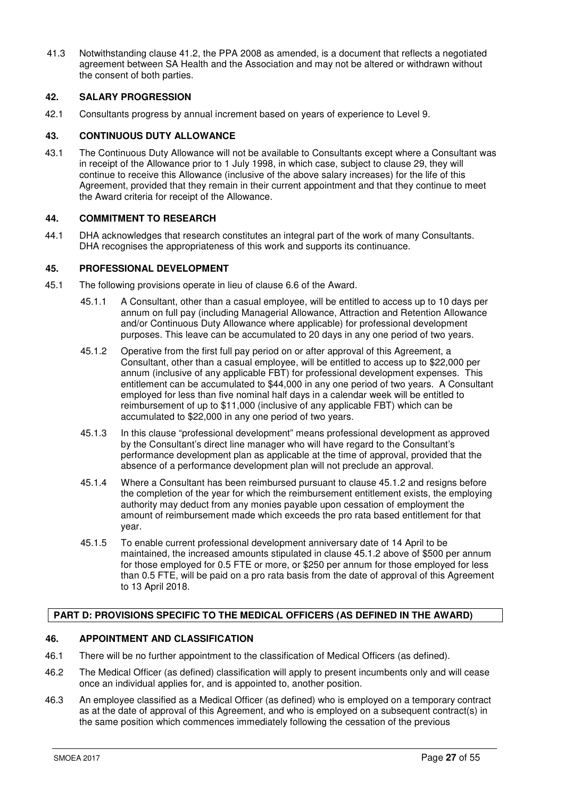41.3 Notwithstanding clause 41.2, the PPA 2008 as amended, is a document that reflects a negotiated agreement between SA Health and the Association and may not be altered or withdrawn without the consent of both parties.

# **42. SALARY PROGRESSION**

42.1 Consultants progress by annual increment based on years of experience to Level 9.

# **43. CONTINUOUS DUTY ALLOWANCE**

43.1 The Continuous Duty Allowance will not be available to Consultants except where a Consultant was in receipt of the Allowance prior to 1 July 1998, in which case, subject to clause 29, they will continue to receive this Allowance (inclusive of the above salary increases) for the life of this Agreement, provided that they remain in their current appointment and that they continue to meet the Award criteria for receipt of the Allowance.

# **44. COMMITMENT TO RESEARCH**

44.1 DHA acknowledges that research constitutes an integral part of the work of many Consultants. DHA recognises the appropriateness of this work and supports its continuance.

# **45. PROFESSIONAL DEVELOPMENT**

- 45.1 The following provisions operate in lieu of clause 6.6 of the Award.
	- 45.1.1 A Consultant, other than a casual employee, will be entitled to access up to 10 days per annum on full pay (including Managerial Allowance, Attraction and Retention Allowance and/or Continuous Duty Allowance where applicable) for professional development purposes. This leave can be accumulated to 20 days in any one period of two years.
	- 45.1.2 Operative from the first full pay period on or after approval of this Agreement, a Consultant, other than a casual employee, will be entitled to access up to \$22,000 per annum (inclusive of any applicable FBT) for professional development expenses. This entitlement can be accumulated to \$44,000 in any one period of two years. A Consultant employed for less than five nominal half days in a calendar week will be entitled to reimbursement of up to \$11,000 (inclusive of any applicable FBT) which can be accumulated to \$22,000 in any one period of two years.
	- 45.1.3 In this clause "professional development" means professional development as approved by the Consultant's direct line manager who will have regard to the Consultant's performance development plan as applicable at the time of approval, provided that the absence of a performance development plan will not preclude an approval.
	- 45.1.4 Where a Consultant has been reimbursed pursuant to clause 45.1.2 and resigns before the completion of the year for which the reimbursement entitlement exists, the employing authority may deduct from any monies payable upon cessation of employment the amount of reimbursement made which exceeds the pro rata based entitlement for that year.
	- 45.1.5 To enable current professional development anniversary date of 14 April to be maintained, the increased amounts stipulated in clause 45.1.2 above of \$500 per annum for those employed for 0.5 FTE or more, or \$250 per annum for those employed for less than 0.5 FTE, will be paid on a pro rata basis from the date of approval of this Agreement to 13 April 2018.

# **PART D: PROVISIONS SPECIFIC TO THE MEDICAL OFFICERS (AS DEFINED IN THE AWARD)**

# **46. APPOINTMENT AND CLASSIFICATION**

- 46.1 There will be no further appointment to the classification of Medical Officers (as defined).
- 46.2 The Medical Officer (as defined) classification will apply to present incumbents only and will cease once an individual applies for, and is appointed to, another position.
- 46.3 An employee classified as a Medical Officer (as defined) who is employed on a temporary contract as at the date of approval of this Agreement, and who is employed on a subsequent contract(s) in the same position which commences immediately following the cessation of the previous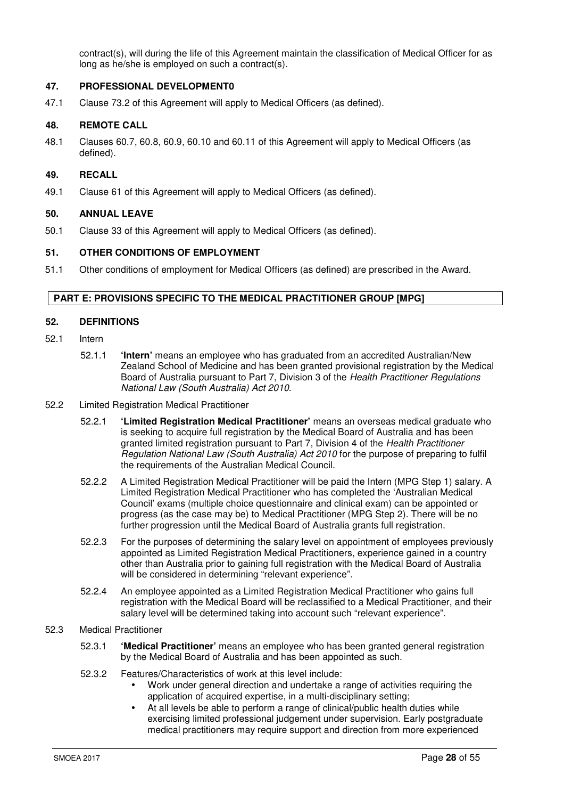contract(s), will during the life of this Agreement maintain the classification of Medical Officer for as long as he/she is employed on such a contract(s).

# **47. PROFESSIONAL DEVELOPMENT0**

47.1 Clause 73.2 of this Agreement will apply to Medical Officers (as defined).

#### **48. REMOTE CALL**

48.1 Clauses 60.7, 60.8, 60.9, 60.10 and 60.11 of this Agreement will apply to Medical Officers (as defined).

#### **49. RECALL**

49.1 Clause 61 of this Agreement will apply to Medical Officers (as defined).

#### **50. ANNUAL LEAVE**

50.1 Clause 33 of this Agreement will apply to Medical Officers (as defined).

#### **51. OTHER CONDITIONS OF EMPLOYMENT**

51.1 Other conditions of employment for Medical Officers (as defined) are prescribed in the Award.

# **PART E: PROVISIONS SPECIFIC TO THE MEDICAL PRACTITIONER GROUP [MPG]**

#### **52. DEFINITIONS**

- 52.1 Intern
	- 52.1.1 **'Intern'** means an employee who has graduated from an accredited Australian/New Zealand School of Medicine and has been granted provisional registration by the Medical Board of Australia pursuant to Part 7, Division 3 of the Health Practitioner Regulations National Law (South Australia) Act 2010.
- 52.2 Limited Registration Medical Practitioner
	- 52.2.1 **'Limited Registration Medical Practitioner'** means an overseas medical graduate who is seeking to acquire full registration by the Medical Board of Australia and has been granted limited registration pursuant to Part 7, Division 4 of the Health Practitioner Regulation National Law (South Australia) Act 2010 for the purpose of preparing to fulfil the requirements of the Australian Medical Council.
	- 52.2.2 A Limited Registration Medical Practitioner will be paid the Intern (MPG Step 1) salary. A Limited Registration Medical Practitioner who has completed the 'Australian Medical Council' exams (multiple choice questionnaire and clinical exam) can be appointed or progress (as the case may be) to Medical Practitioner (MPG Step 2). There will be no further progression until the Medical Board of Australia grants full registration.
	- 52.2.3 For the purposes of determining the salary level on appointment of employees previously appointed as Limited Registration Medical Practitioners, experience gained in a country other than Australia prior to gaining full registration with the Medical Board of Australia will be considered in determining "relevant experience".
	- 52.2.4 An employee appointed as a Limited Registration Medical Practitioner who gains full registration with the Medical Board will be reclassified to a Medical Practitioner, and their salary level will be determined taking into account such "relevant experience".

## 52.3 Medical Practitioner

- 52.3.1 **'Medical Practitioner'** means an employee who has been granted general registration by the Medical Board of Australia and has been appointed as such.
- 52.3.2 Features/Characteristics of work at this level include:
	- Work under general direction and undertake a range of activities requiring the application of acquired expertise, in a multi-disciplinary setting;
	- At all levels be able to perform a range of clinical/public health duties while exercising limited professional judgement under supervision. Early postgraduate medical practitioners may require support and direction from more experienced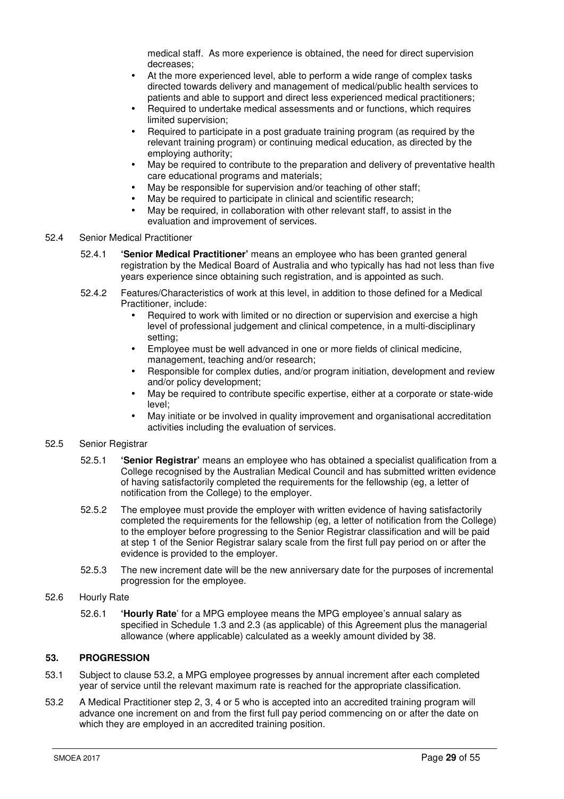medical staff. As more experience is obtained, the need for direct supervision decreases;

- At the more experienced level, able to perform a wide range of complex tasks directed towards delivery and management of medical/public health services to patients and able to support and direct less experienced medical practitioners;
- Required to undertake medical assessments and or functions, which requires limited supervision;
- Required to participate in a post graduate training program (as required by the relevant training program) or continuing medical education, as directed by the employing authority;
- May be required to contribute to the preparation and delivery of preventative health care educational programs and materials;
- May be responsible for supervision and/or teaching of other staff;
- May be required to participate in clinical and scientific research;
- May be required, in collaboration with other relevant staff, to assist in the evaluation and improvement of services.

#### 52.4 Senior Medical Practitioner

- 52.4.1 **'Senior Medical Practitioner'** means an employee who has been granted general registration by the Medical Board of Australia and who typically has had not less than five years experience since obtaining such registration, and is appointed as such.
- 52.4.2 Features/Characteristics of work at this level, in addition to those defined for a Medical Practitioner, include:
	- Required to work with limited or no direction or supervision and exercise a high level of professional judgement and clinical competence, in a multi-disciplinary setting;
	- Employee must be well advanced in one or more fields of clinical medicine, management, teaching and/or research;
	- Responsible for complex duties, and/or program initiation, development and review and/or policy development;
	- May be required to contribute specific expertise, either at a corporate or state-wide level;
	- May initiate or be involved in quality improvement and organisational accreditation activities including the evaluation of services.

# 52.5 Senior Registrar

- 52.5.1 **'Senior Registrar'** means an employee who has obtained a specialist qualification from a College recognised by the Australian Medical Council and has submitted written evidence of having satisfactorily completed the requirements for the fellowship (eg, a letter of notification from the College) to the employer.
- 52.5.2 The employee must provide the employer with written evidence of having satisfactorily completed the requirements for the fellowship (eg, a letter of notification from the College) to the employer before progressing to the Senior Registrar classification and will be paid at step 1 of the Senior Registrar salary scale from the first full pay period on or after the evidence is provided to the employer.
- 52.5.3 The new increment date will be the new anniversary date for the purposes of incremental progression for the employee.
- 52.6 Hourly Rate
	- 52.6.1 **'Hourly Rate**' for a MPG employee means the MPG employee's annual salary as specified in Schedule 1.3 and 2.3 (as applicable) of this Agreement plus the managerial allowance (where applicable) calculated as a weekly amount divided by 38.

# **53. PROGRESSION**

- 53.1 Subject to clause 53.2, a MPG employee progresses by annual increment after each completed year of service until the relevant maximum rate is reached for the appropriate classification.
- 53.2 A Medical Practitioner step 2, 3, 4 or 5 who is accepted into an accredited training program will advance one increment on and from the first full pay period commencing on or after the date on which they are employed in an accredited training position.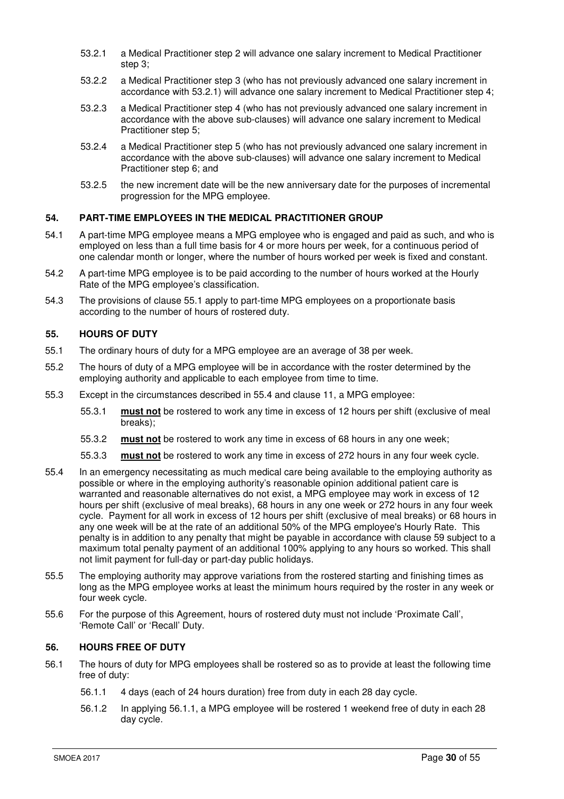- 53.2.1 a Medical Practitioner step 2 will advance one salary increment to Medical Practitioner step 3;
- 53.2.2 a Medical Practitioner step 3 (who has not previously advanced one salary increment in accordance with 53.2.1) will advance one salary increment to Medical Practitioner step 4;
- 53.2.3 a Medical Practitioner step 4 (who has not previously advanced one salary increment in accordance with the above sub-clauses) will advance one salary increment to Medical Practitioner step 5;
- 53.2.4 a Medical Practitioner step 5 (who has not previously advanced one salary increment in accordance with the above sub-clauses) will advance one salary increment to Medical Practitioner step 6; and
- 53.2.5 the new increment date will be the new anniversary date for the purposes of incremental progression for the MPG employee.

# **54. PART-TIME EMPLOYEES IN THE MEDICAL PRACTITIONER GROUP**

- 54.1 A part-time MPG employee means a MPG employee who is engaged and paid as such, and who is employed on less than a full time basis for 4 or more hours per week, for a continuous period of one calendar month or longer, where the number of hours worked per week is fixed and constant.
- 54.2 A part-time MPG employee is to be paid according to the number of hours worked at the Hourly Rate of the MPG employee's classification.
- 54.3 The provisions of clause 55.1 apply to part-time MPG employees on a proportionate basis according to the number of hours of rostered duty.

#### **55. HOURS OF DUTY**

- 55.1 The ordinary hours of duty for a MPG employee are an average of 38 per week.
- 55.2 The hours of duty of a MPG employee will be in accordance with the roster determined by the employing authority and applicable to each employee from time to time.
- 55.3 Except in the circumstances described in 55.4 and clause 11, a MPG employee:
	- 55.3.1 **must not** be rostered to work any time in excess of 12 hours per shift (exclusive of meal breaks);
	- 55.3.2 **must not** be rostered to work any time in excess of 68 hours in any one week;
	- 55.3.3 **must not** be rostered to work any time in excess of 272 hours in any four week cycle.
- 55.4 In an emergency necessitating as much medical care being available to the employing authority as possible or where in the employing authority's reasonable opinion additional patient care is warranted and reasonable alternatives do not exist, a MPG employee may work in excess of 12 hours per shift (exclusive of meal breaks), 68 hours in any one week or 272 hours in any four week cycle. Payment for all work in excess of 12 hours per shift (exclusive of meal breaks) or 68 hours in any one week will be at the rate of an additional 50% of the MPG employee's Hourly Rate. This penalty is in addition to any penalty that might be payable in accordance with clause 59 subject to a maximum total penalty payment of an additional 100% applying to any hours so worked. This shall not limit payment for full-day or part-day public holidays.
- 55.5 The employing authority may approve variations from the rostered starting and finishing times as long as the MPG employee works at least the minimum hours required by the roster in any week or four week cycle.
- 55.6 For the purpose of this Agreement, hours of rostered duty must not include 'Proximate Call', 'Remote Call' or 'Recall' Duty.

# **56. HOURS FREE OF DUTY**

- 56.1 The hours of duty for MPG employees shall be rostered so as to provide at least the following time free of duty:
	- 56.1.1 4 days (each of 24 hours duration) free from duty in each 28 day cycle.
	- 56.1.2 In applying 56.1.1, a MPG employee will be rostered 1 weekend free of duty in each 28 day cycle.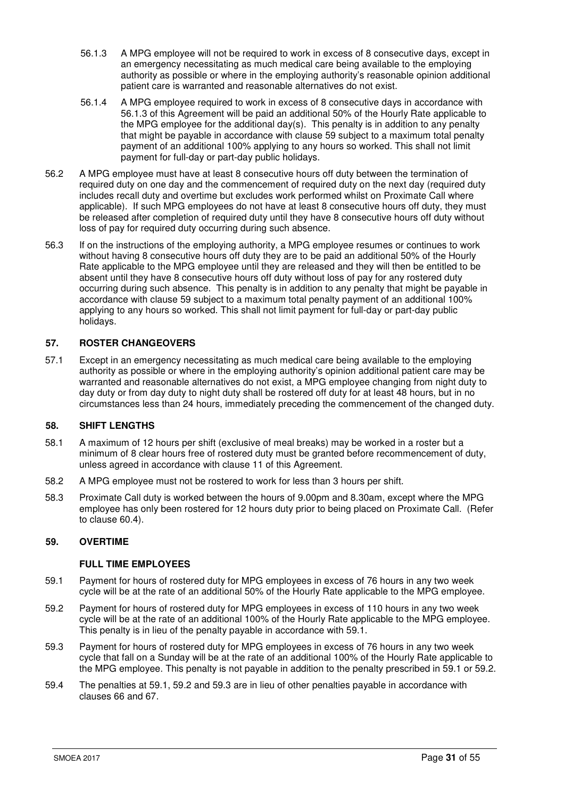- 56.1.3 A MPG employee will not be required to work in excess of 8 consecutive days, except in an emergency necessitating as much medical care being available to the employing authority as possible or where in the employing authority's reasonable opinion additional patient care is warranted and reasonable alternatives do not exist.
- 56.1.4 A MPG employee required to work in excess of 8 consecutive days in accordance with 56.1.3 of this Agreement will be paid an additional 50% of the Hourly Rate applicable to the MPG employee for the additional  $day(s)$ . This penalty is in addition to any penalty that might be payable in accordance with clause 59 subject to a maximum total penalty payment of an additional 100% applying to any hours so worked. This shall not limit payment for full-day or part-day public holidays.
- 56.2 A MPG employee must have at least 8 consecutive hours off duty between the termination of required duty on one day and the commencement of required duty on the next day (required duty includes recall duty and overtime but excludes work performed whilst on Proximate Call where applicable). If such MPG employees do not have at least 8 consecutive hours off duty, they must be released after completion of required duty until they have 8 consecutive hours off duty without loss of pay for required duty occurring during such absence.
- 56.3 If on the instructions of the employing authority, a MPG employee resumes or continues to work without having 8 consecutive hours off duty they are to be paid an additional 50% of the Hourly Rate applicable to the MPG employee until they are released and they will then be entitled to be absent until they have 8 consecutive hours off duty without loss of pay for any rostered duty occurring during such absence. This penalty is in addition to any penalty that might be payable in accordance with clause 59 subject to a maximum total penalty payment of an additional 100% applying to any hours so worked. This shall not limit payment for full-day or part-day public holidays.

# **57. ROSTER CHANGEOVERS**

57.1 Except in an emergency necessitating as much medical care being available to the employing authority as possible or where in the employing authority's opinion additional patient care may be warranted and reasonable alternatives do not exist, a MPG employee changing from night duty to day duty or from day duty to night duty shall be rostered off duty for at least 48 hours, but in no circumstances less than 24 hours, immediately preceding the commencement of the changed duty.

# **58. SHIFT LENGTHS**

- 58.1 A maximum of 12 hours per shift (exclusive of meal breaks) may be worked in a roster but a minimum of 8 clear hours free of rostered duty must be granted before recommencement of duty, unless agreed in accordance with clause 11 of this Agreement.
- 58.2 A MPG employee must not be rostered to work for less than 3 hours per shift.
- 58.3 Proximate Call duty is worked between the hours of 9.00pm and 8.30am, except where the MPG employee has only been rostered for 12 hours duty prior to being placed on Proximate Call. (Refer to clause 60.4).

# **59. OVERTIME**

# **FULL TIME EMPLOYEES**

- 59.1 Payment for hours of rostered duty for MPG employees in excess of 76 hours in any two week cycle will be at the rate of an additional 50% of the Hourly Rate applicable to the MPG employee.
- 59.2 Payment for hours of rostered duty for MPG employees in excess of 110 hours in any two week cycle will be at the rate of an additional 100% of the Hourly Rate applicable to the MPG employee. This penalty is in lieu of the penalty payable in accordance with 59.1.
- 59.3 Payment for hours of rostered duty for MPG employees in excess of 76 hours in any two week cycle that fall on a Sunday will be at the rate of an additional 100% of the Hourly Rate applicable to the MPG employee. This penalty is not payable in addition to the penalty prescribed in 59.1 or 59.2.
- 59.4 The penalties at 59.1, 59.2 and 59.3 are in lieu of other penalties payable in accordance with clauses 66 and 67.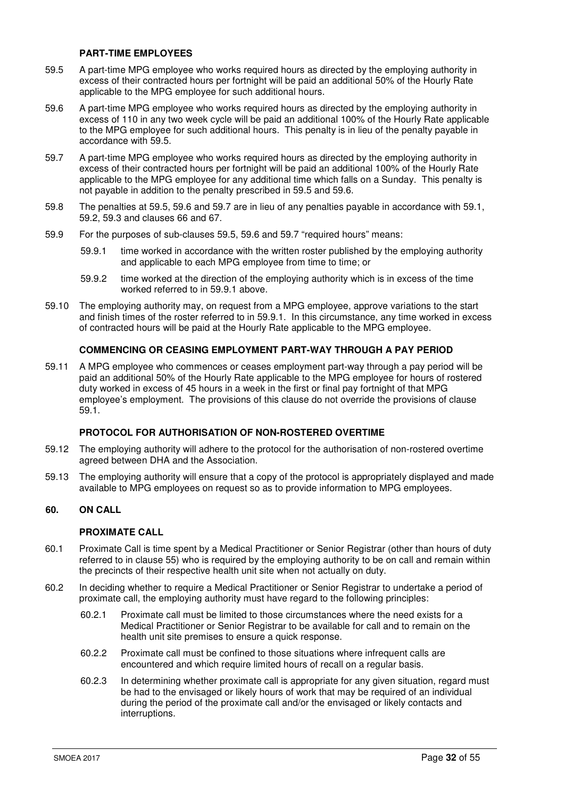#### **PART-TIME EMPLOYEES**

- 59.5 A part-time MPG employee who works required hours as directed by the employing authority in excess of their contracted hours per fortnight will be paid an additional 50% of the Hourly Rate applicable to the MPG employee for such additional hours.
- 59.6 A part-time MPG employee who works required hours as directed by the employing authority in excess of 110 in any two week cycle will be paid an additional 100% of the Hourly Rate applicable to the MPG employee for such additional hours. This penalty is in lieu of the penalty payable in accordance with 59.5.
- 59.7 A part-time MPG employee who works required hours as directed by the employing authority in excess of their contracted hours per fortnight will be paid an additional 100% of the Hourly Rate applicable to the MPG employee for any additional time which falls on a Sunday. This penalty is not payable in addition to the penalty prescribed in 59.5 and 59.6.
- 59.8 The penalties at 59.5, 59.6 and 59.7 are in lieu of any penalties payable in accordance with 59.1, 59.2, 59.3 and clauses 66 and 67.
- 59.9 For the purposes of sub-clauses 59.5, 59.6 and 59.7 "required hours" means:
	- 59.9.1 time worked in accordance with the written roster published by the employing authority and applicable to each MPG employee from time to time; or
	- 59.9.2 time worked at the direction of the employing authority which is in excess of the time worked referred to in 59.9.1 above.
- 59.10 The employing authority may, on request from a MPG employee, approve variations to the start and finish times of the roster referred to in 59.9.1. In this circumstance, any time worked in excess of contracted hours will be paid at the Hourly Rate applicable to the MPG employee.

# **COMMENCING OR CEASING EMPLOYMENT PART-WAY THROUGH A PAY PERIOD**

59.11 A MPG employee who commences or ceases employment part-way through a pay period will be paid an additional 50% of the Hourly Rate applicable to the MPG employee for hours of rostered duty worked in excess of 45 hours in a week in the first or final pay fortnight of that MPG employee's employment. The provisions of this clause do not override the provisions of clause 59.1.

# **PROTOCOL FOR AUTHORISATION OF NON-ROSTERED OVERTIME**

- 59.12 The employing authority will adhere to the protocol for the authorisation of non-rostered overtime agreed between DHA and the Association.
- 59.13 The employing authority will ensure that a copy of the protocol is appropriately displayed and made available to MPG employees on request so as to provide information to MPG employees.

# **60. ON CALL**

# **PROXIMATE CALL**

- 60.1 Proximate Call is time spent by a Medical Practitioner or Senior Registrar (other than hours of duty referred to in clause 55) who is required by the employing authority to be on call and remain within the precincts of their respective health unit site when not actually on duty.
- 60.2 In deciding whether to require a Medical Practitioner or Senior Registrar to undertake a period of proximate call, the employing authority must have regard to the following principles:
	- 60.2.1 Proximate call must be limited to those circumstances where the need exists for a Medical Practitioner or Senior Registrar to be available for call and to remain on the health unit site premises to ensure a quick response.
	- 60.2.2 Proximate call must be confined to those situations where infrequent calls are encountered and which require limited hours of recall on a regular basis.
	- 60.2.3 In determining whether proximate call is appropriate for any given situation, regard must be had to the envisaged or likely hours of work that may be required of an individual during the period of the proximate call and/or the envisaged or likely contacts and interruptions.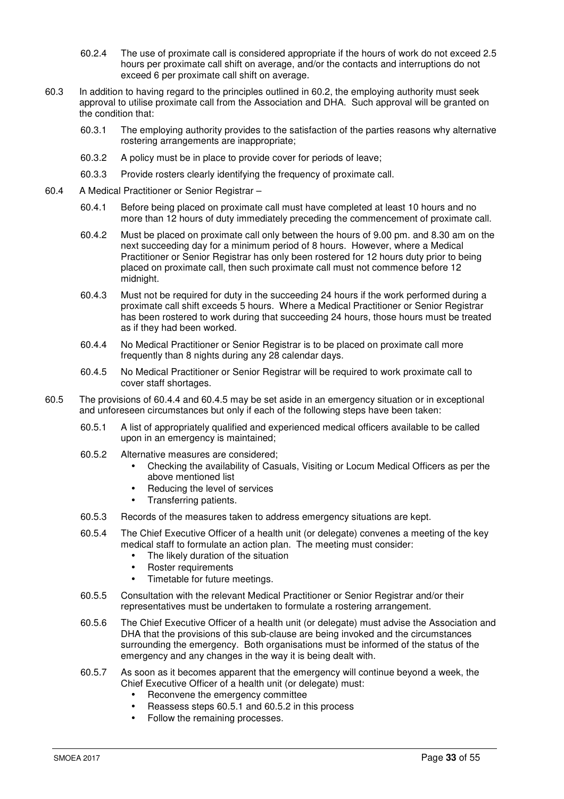- 60.2.4 The use of proximate call is considered appropriate if the hours of work do not exceed 2.5 hours per proximate call shift on average, and/or the contacts and interruptions do not exceed 6 per proximate call shift on average.
- 60.3 In addition to having regard to the principles outlined in 60.2, the employing authority must seek approval to utilise proximate call from the Association and DHA. Such approval will be granted on the condition that:
	- 60.3.1 The employing authority provides to the satisfaction of the parties reasons why alternative rostering arrangements are inappropriate;
	- 60.3.2 A policy must be in place to provide cover for periods of leave;
	- 60.3.3 Provide rosters clearly identifying the frequency of proximate call.
- 60.4 A Medical Practitioner or Senior Registrar
	- 60.4.1 Before being placed on proximate call must have completed at least 10 hours and no more than 12 hours of duty immediately preceding the commencement of proximate call.
	- 60.4.2 Must be placed on proximate call only between the hours of 9.00 pm. and 8.30 am on the next succeeding day for a minimum period of 8 hours. However, where a Medical Practitioner or Senior Registrar has only been rostered for 12 hours duty prior to being placed on proximate call, then such proximate call must not commence before 12 midnight.
	- 60.4.3 Must not be required for duty in the succeeding 24 hours if the work performed during a proximate call shift exceeds 5 hours. Where a Medical Practitioner or Senior Registrar has been rostered to work during that succeeding 24 hours, those hours must be treated as if they had been worked.
	- 60.4.4 No Medical Practitioner or Senior Registrar is to be placed on proximate call more frequently than 8 nights during any 28 calendar days.
	- 60.4.5 No Medical Practitioner or Senior Registrar will be required to work proximate call to cover staff shortages.
- 60.5 The provisions of 60.4.4 and 60.4.5 may be set aside in an emergency situation or in exceptional and unforeseen circumstances but only if each of the following steps have been taken:
	- 60.5.1 A list of appropriately qualified and experienced medical officers available to be called upon in an emergency is maintained;
	- 60.5.2 Alternative measures are considered;
		- Checking the availability of Casuals, Visiting or Locum Medical Officers as per the above mentioned list
		- Reducing the level of services
		- Transferring patients.
	- 60.5.3 Records of the measures taken to address emergency situations are kept.
	- 60.5.4 The Chief Executive Officer of a health unit (or delegate) convenes a meeting of the key medical staff to formulate an action plan. The meeting must consider:
		- The likely duration of the situation
		- Roster requirements
		- Timetable for future meetings.
	- 60.5.5 Consultation with the relevant Medical Practitioner or Senior Registrar and/or their representatives must be undertaken to formulate a rostering arrangement.
	- 60.5.6 The Chief Executive Officer of a health unit (or delegate) must advise the Association and DHA that the provisions of this sub-clause are being invoked and the circumstances surrounding the emergency. Both organisations must be informed of the status of the emergency and any changes in the way it is being dealt with.
	- 60.5.7 As soon as it becomes apparent that the emergency will continue beyond a week, the Chief Executive Officer of a health unit (or delegate) must:
		- Reconvene the emergency committee
		- Reassess steps 60.5.1 and 60.5.2 in this process
		- Follow the remaining processes.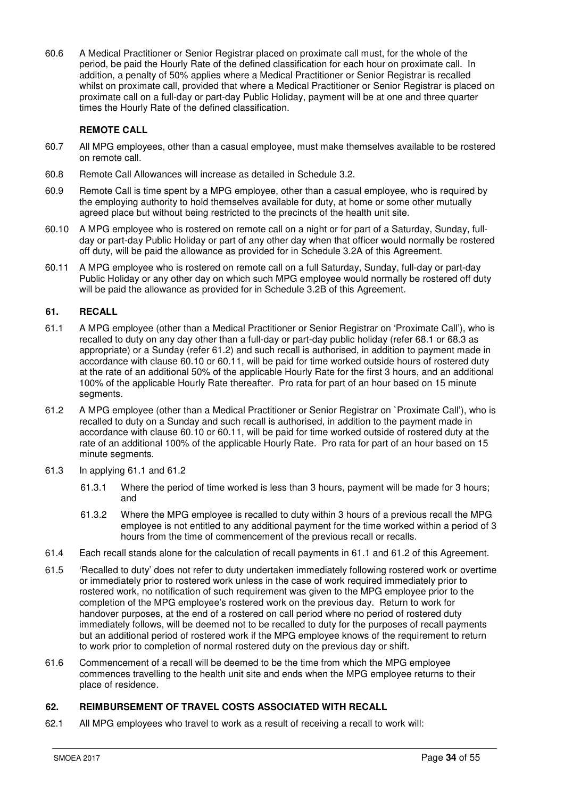60.6 A Medical Practitioner or Senior Registrar placed on proximate call must, for the whole of the period, be paid the Hourly Rate of the defined classification for each hour on proximate call. In addition, a penalty of 50% applies where a Medical Practitioner or Senior Registrar is recalled whilst on proximate call, provided that where a Medical Practitioner or Senior Registrar is placed on proximate call on a full-day or part-day Public Holiday, payment will be at one and three quarter times the Hourly Rate of the defined classification.

# **REMOTE CALL**

- 60.7 All MPG employees, other than a casual employee, must make themselves available to be rostered on remote call.
- 60.8 Remote Call Allowances will increase as detailed in Schedule 3.2.
- 60.9 Remote Call is time spent by a MPG employee, other than a casual employee, who is required by the employing authority to hold themselves available for duty, at home or some other mutually agreed place but without being restricted to the precincts of the health unit site.
- 60.10 A MPG employee who is rostered on remote call on a night or for part of a Saturday, Sunday, fullday or part-day Public Holiday or part of any other day when that officer would normally be rostered off duty, will be paid the allowance as provided for in Schedule 3.2A of this Agreement.
- 60.11 A MPG employee who is rostered on remote call on a full Saturday, Sunday, full-day or part-day Public Holiday or any other day on which such MPG employee would normally be rostered off duty will be paid the allowance as provided for in Schedule 3.2B of this Agreement.

# **61. RECALL**

- 61.1 A MPG employee (other than a Medical Practitioner or Senior Registrar on 'Proximate Call'), who is recalled to duty on any day other than a full-day or part-day public holiday (refer 68.1 or 68.3 as appropriate) or a Sunday (refer 61.2) and such recall is authorised, in addition to payment made in accordance with clause 60.10 or 60.11, will be paid for time worked outside hours of rostered duty at the rate of an additional 50% of the applicable Hourly Rate for the first 3 hours, and an additional 100% of the applicable Hourly Rate thereafter. Pro rata for part of an hour based on 15 minute segments.
- 61.2 A MPG employee (other than a Medical Practitioner or Senior Registrar on `Proximate Call'), who is recalled to duty on a Sunday and such recall is authorised, in addition to the payment made in accordance with clause 60.10 or 60.11, will be paid for time worked outside of rostered duty at the rate of an additional 100% of the applicable Hourly Rate. Pro rata for part of an hour based on 15 minute segments.
- 61.3 In applying 61.1 and 61.2
	- 61.3.1 Where the period of time worked is less than 3 hours, payment will be made for 3 hours; and
	- 61.3.2 Where the MPG employee is recalled to duty within 3 hours of a previous recall the MPG employee is not entitled to any additional payment for the time worked within a period of 3 hours from the time of commencement of the previous recall or recalls.
- 61.4 Each recall stands alone for the calculation of recall payments in 61.1 and 61.2 of this Agreement.
- 61.5 'Recalled to duty' does not refer to duty undertaken immediately following rostered work or overtime or immediately prior to rostered work unless in the case of work required immediately prior to rostered work, no notification of such requirement was given to the MPG employee prior to the completion of the MPG employee's rostered work on the previous day. Return to work for handover purposes, at the end of a rostered on call period where no period of rostered duty immediately follows, will be deemed not to be recalled to duty for the purposes of recall payments but an additional period of rostered work if the MPG employee knows of the requirement to return to work prior to completion of normal rostered duty on the previous day or shift.
- 61.6 Commencement of a recall will be deemed to be the time from which the MPG employee commences travelling to the health unit site and ends when the MPG employee returns to their place of residence.

# **62. REIMBURSEMENT OF TRAVEL COSTS ASSOCIATED WITH RECALL**

62.1 All MPG employees who travel to work as a result of receiving a recall to work will: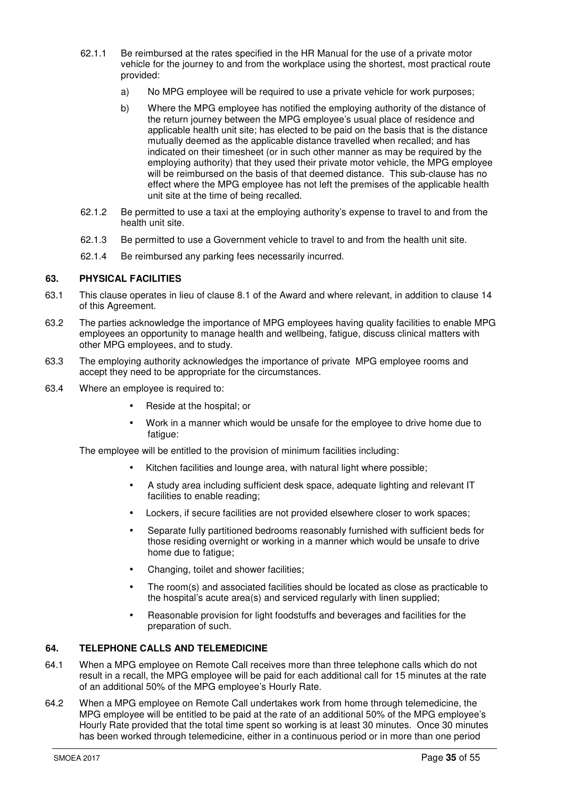- 62.1.1 Be reimbursed at the rates specified in the HR Manual for the use of a private motor vehicle for the journey to and from the workplace using the shortest, most practical route provided:
	- a) No MPG employee will be required to use a private vehicle for work purposes;
	- b) Where the MPG employee has notified the employing authority of the distance of the return journey between the MPG employee's usual place of residence and applicable health unit site; has elected to be paid on the basis that is the distance mutually deemed as the applicable distance travelled when recalled; and has indicated on their timesheet (or in such other manner as may be required by the employing authority) that they used their private motor vehicle, the MPG employee will be reimbursed on the basis of that deemed distance. This sub-clause has no effect where the MPG employee has not left the premises of the applicable health unit site at the time of being recalled.
- 62.1.2 Be permitted to use a taxi at the employing authority's expense to travel to and from the health unit site.
- 62.1.3 Be permitted to use a Government vehicle to travel to and from the health unit site.
- 62.1.4 Be reimbursed any parking fees necessarily incurred.

#### **63. PHYSICAL FACILITIES**

- 63.1 This clause operates in lieu of clause 8.1 of the Award and where relevant, in addition to clause 14 of this Agreement.
- 63.2 The parties acknowledge the importance of MPG employees having quality facilities to enable MPG employees an opportunity to manage health and wellbeing, fatigue, discuss clinical matters with other MPG employees, and to study.
- 63.3 The employing authority acknowledges the importance of private MPG employee rooms and accept they need to be appropriate for the circumstances.
- 63.4 Where an employee is required to:
	- Reside at the hospital; or
	- Work in a manner which would be unsafe for the employee to drive home due to fatique:

The employee will be entitled to the provision of minimum facilities including:

- Kitchen facilities and lounge area, with natural light where possible;
- A study area including sufficient desk space, adequate lighting and relevant IT facilities to enable reading;
- Lockers, if secure facilities are not provided elsewhere closer to work spaces;
- Separate fully partitioned bedrooms reasonably furnished with sufficient beds for those residing overnight or working in a manner which would be unsafe to drive home due to fatigue;
- Changing, toilet and shower facilities;
- The room(s) and associated facilities should be located as close as practicable to the hospital's acute area(s) and serviced regularly with linen supplied;
- Reasonable provision for light foodstuffs and beverages and facilities for the preparation of such.

# **64. TELEPHONE CALLS AND TELEMEDICINE**

- 64.1 When a MPG employee on Remote Call receives more than three telephone calls which do not result in a recall, the MPG employee will be paid for each additional call for 15 minutes at the rate of an additional 50% of the MPG employee's Hourly Rate.
- 64.2 When a MPG employee on Remote Call undertakes work from home through telemedicine, the MPG employee will be entitled to be paid at the rate of an additional 50% of the MPG employee's Hourly Rate provided that the total time spent so working is at least 30 minutes. Once 30 minutes has been worked through telemedicine, either in a continuous period or in more than one period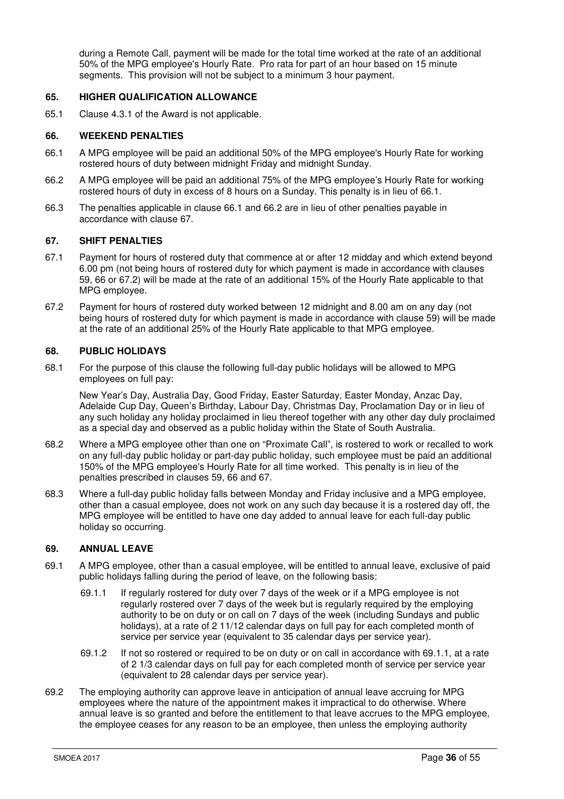during a Remote Call, payment will be made for the total time worked at the rate of an additional 50% of the MPG employee's Hourly Rate. Pro rata for part of an hour based on 15 minute segments. This provision will not be subject to a minimum 3 hour payment.

#### **65. HIGHER QUALIFICATION ALLOWANCE**

65.1 Clause 4.3.1 of the Award is not applicable.

#### **66. WEEKEND PENALTIES**

- 66.1 A MPG employee will be paid an additional 50% of the MPG employee's Hourly Rate for working rostered hours of duty between midnight Friday and midnight Sunday.
- 66.2 A MPG employee will be paid an additional 75% of the MPG employee's Hourly Rate for working rostered hours of duty in excess of 8 hours on a Sunday. This penalty is in lieu of 66.1.
- 66.3 The penalties applicable in clause 66.1 and 66.2 are in lieu of other penalties payable in accordance with clause 67.

#### **67. SHIFT PENALTIES**

- 67.1 Payment for hours of rostered duty that commence at or after 12 midday and which extend beyond 6.00 pm (not being hours of rostered duty for which payment is made in accordance with clauses 59, 66 or 67.2) will be made at the rate of an additional 15% of the Hourly Rate applicable to that MPG employee.
- 67.2 Payment for hours of rostered duty worked between 12 midnight and 8.00 am on any day (not being hours of rostered duty for which payment is made in accordance with clause 59) will be made at the rate of an additional 25% of the Hourly Rate applicable to that MPG employee.

# **68. PUBLIC HOLIDAYS**

68.1 For the purpose of this clause the following full-day public holidays will be allowed to MPG employees on full pay:

New Year's Day, Australia Day, Good Friday, Easter Saturday, Easter Monday, Anzac Day, Adelaide Cup Day, Queen's Birthday, Labour Day, Christmas Day, Proclamation Day or in lieu of any such holiday any holiday proclaimed in lieu thereof together with any other day duly proclaimed as a special day and observed as a public holiday within the State of South Australia.

- 68.2 Where a MPG employee other than one on "Proximate Call", is rostered to work or recalled to work on any full-day public holiday or part-day public holiday, such employee must be paid an additional 150% of the MPG employee's Hourly Rate for all time worked. This penalty is in lieu of the penalties prescribed in clauses 59, 66 and 67.
- 68.3 Where a full-day public holiday falls between Monday and Friday inclusive and a MPG employee, other than a casual employee, does not work on any such day because it is a rostered day off, the MPG employee will be entitled to have one day added to annual leave for each full-day public holiday so occurring.

# **69. ANNUAL LEAVE**

- 69.1 A MPG employee, other than a casual employee, will be entitled to annual leave, exclusive of paid public holidays falling during the period of leave, on the following basis:
	- 69.1.1 If regularly rostered for duty over 7 days of the week or if a MPG employee is not regularly rostered over 7 days of the week but is regularly required by the employing authority to be on duty or on call on 7 days of the week (including Sundays and public holidays), at a rate of 2 11/12 calendar days on full pay for each completed month of service per service year (equivalent to 35 calendar days per service year).
	- 69.1.2 If not so rostered or required to be on duty or on call in accordance with 69.1.1, at a rate of 2 1/3 calendar days on full pay for each completed month of service per service year (equivalent to 28 calendar days per service year).
- 69.2 The employing authority can approve leave in anticipation of annual leave accruing for MPG employees where the nature of the appointment makes it impractical to do otherwise. Where annual leave is so granted and before the entitlement to that leave accrues to the MPG employee, the employee ceases for any reason to be an employee, then unless the employing authority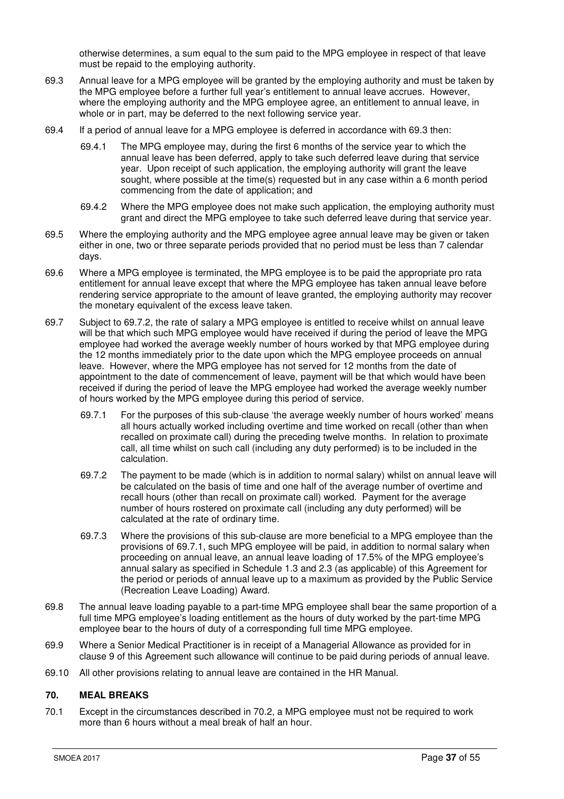otherwise determines, a sum equal to the sum paid to the MPG employee in respect of that leave must be repaid to the employing authority.

- 69.3 Annual leave for a MPG employee will be granted by the employing authority and must be taken by the MPG employee before a further full year's entitlement to annual leave accrues. However, where the employing authority and the MPG employee agree, an entitlement to annual leave, in whole or in part, may be deferred to the next following service year.
- 69.4 If a period of annual leave for a MPG employee is deferred in accordance with 69.3 then:
	- 69.4.1 The MPG employee may, during the first 6 months of the service year to which the annual leave has been deferred, apply to take such deferred leave during that service year. Upon receipt of such application, the employing authority will grant the leave sought, where possible at the time(s) requested but in any case within a 6 month period commencing from the date of application; and
	- 69.4.2 Where the MPG employee does not make such application, the employing authority must grant and direct the MPG employee to take such deferred leave during that service year.
- 69.5 Where the employing authority and the MPG employee agree annual leave may be given or taken either in one, two or three separate periods provided that no period must be less than 7 calendar days.
- 69.6 Where a MPG employee is terminated, the MPG employee is to be paid the appropriate pro rata entitlement for annual leave except that where the MPG employee has taken annual leave before rendering service appropriate to the amount of leave granted, the employing authority may recover the monetary equivalent of the excess leave taken.
- 69.7 Subject to 69.7.2, the rate of salary a MPG employee is entitled to receive whilst on annual leave will be that which such MPG employee would have received if during the period of leave the MPG employee had worked the average weekly number of hours worked by that MPG employee during the 12 months immediately prior to the date upon which the MPG employee proceeds on annual leave. However, where the MPG employee has not served for 12 months from the date of appointment to the date of commencement of leave, payment will be that which would have been received if during the period of leave the MPG employee had worked the average weekly number of hours worked by the MPG employee during this period of service.
	- 69.7.1 For the purposes of this sub-clause 'the average weekly number of hours worked' means all hours actually worked including overtime and time worked on recall (other than when recalled on proximate call) during the preceding twelve months. In relation to proximate call, all time whilst on such call (including any duty performed) is to be included in the calculation.
	- 69.7.2 The payment to be made (which is in addition to normal salary) whilst on annual leave will be calculated on the basis of time and one half of the average number of overtime and recall hours (other than recall on proximate call) worked. Payment for the average number of hours rostered on proximate call (including any duty performed) will be calculated at the rate of ordinary time.
	- 69.7.3 Where the provisions of this sub-clause are more beneficial to a MPG employee than the provisions of 69.7.1, such MPG employee will be paid, in addition to normal salary when proceeding on annual leave, an annual leave loading of 17.5% of the MPG employee's annual salary as specified in Schedule 1.3 and 2.3 (as applicable) of this Agreement for the period or periods of annual leave up to a maximum as provided by the Public Service (Recreation Leave Loading) Award.
- 69.8 The annual leave loading payable to a part-time MPG employee shall bear the same proportion of a full time MPG employee's loading entitlement as the hours of duty worked by the part-time MPG employee bear to the hours of duty of a corresponding full time MPG employee.
- 69.9 Where a Senior Medical Practitioner is in receipt of a Managerial Allowance as provided for in clause 9 of this Agreement such allowance will continue to be paid during periods of annual leave.
- 69.10 All other provisions relating to annual leave are contained in the HR Manual.

# **70. MEAL BREAKS**

70.1 Except in the circumstances described in 70.2, a MPG employee must not be required to work more than 6 hours without a meal break of half an hour.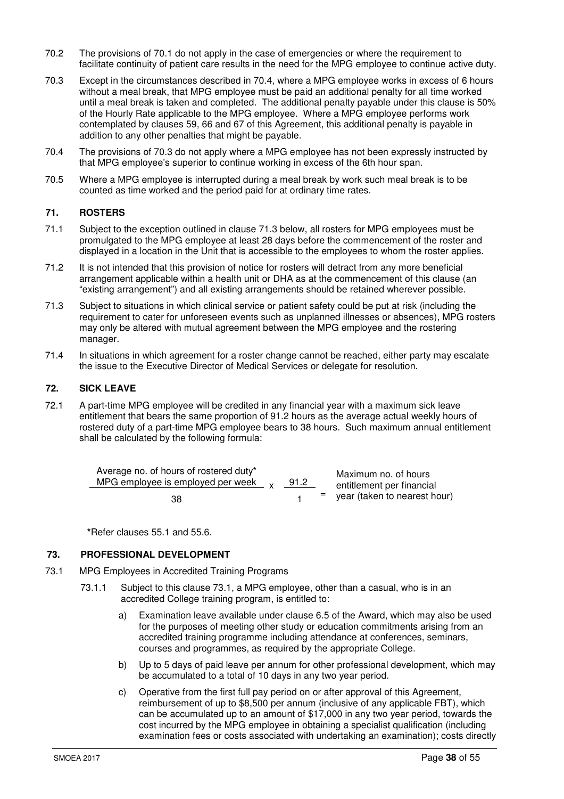- 70.2 The provisions of 70.1 do not apply in the case of emergencies or where the requirement to facilitate continuity of patient care results in the need for the MPG employee to continue active duty.
- 70.3 Except in the circumstances described in 70.4, where a MPG employee works in excess of 6 hours without a meal break, that MPG employee must be paid an additional penalty for all time worked until a meal break is taken and completed. The additional penalty payable under this clause is 50% of the Hourly Rate applicable to the MPG employee. Where a MPG employee performs work contemplated by clauses 59, 66 and 67 of this Agreement, this additional penalty is payable in addition to any other penalties that might be payable.
- 70.4 The provisions of 70.3 do not apply where a MPG employee has not been expressly instructed by that MPG employee's superior to continue working in excess of the 6th hour span.
- 70.5 Where a MPG employee is interrupted during a meal break by work such meal break is to be counted as time worked and the period paid for at ordinary time rates.

# **71. ROSTERS**

- 71.1 Subject to the exception outlined in clause 71.3 below, all rosters for MPG employees must be promulgated to the MPG employee at least 28 days before the commencement of the roster and displayed in a location in the Unit that is accessible to the employees to whom the roster applies.
- 71.2 It is not intended that this provision of notice for rosters will detract from any more beneficial arrangement applicable within a health unit or DHA as at the commencement of this clause (an "existing arrangement") and all existing arrangements should be retained wherever possible.
- 71.3 Subject to situations in which clinical service or patient safety could be put at risk (including the requirement to cater for unforeseen events such as unplanned illnesses or absences), MPG rosters may only be altered with mutual agreement between the MPG employee and the rostering manager.
- 71.4 In situations in which agreement for a roster change cannot be reached, either party may escalate the issue to the Executive Director of Medical Services or delegate for resolution.

# **72. SICK LEAVE**

72.1 A part-time MPG employee will be credited in any financial year with a maximum sick leave entitlement that bears the same proportion of 91.2 hours as the average actual weekly hours of rostered duty of a part-time MPG employee bears to 38 hours. Such maximum annual entitlement shall be calculated by the following formula:

| Average no. of hours of rostered duty*<br>MPG employee is employed per week $_{\text{y}}$ | 91.2 | Maximum no. of hours<br>entitlement per financial |
|-------------------------------------------------------------------------------------------|------|---------------------------------------------------|
| 38                                                                                        |      | $=$ year (taken to nearest hour)                  |

 **\***Refer clauses 55.1 and 55.6.

# **73. PROFESSIONAL DEVELOPMENT**

- 73.1 MPG Employees in Accredited Training Programs
	- 73.1.1 Subject to this clause 73.1, a MPG employee, other than a casual, who is in an accredited College training program, is entitled to:
		- a) Examination leave available under clause 6.5 of the Award, which may also be used for the purposes of meeting other study or education commitments arising from an accredited training programme including attendance at conferences, seminars, courses and programmes, as required by the appropriate College.
		- b) Up to 5 days of paid leave per annum for other professional development, which may be accumulated to a total of 10 days in any two year period.
		- c) Operative from the first full pay period on or after approval of this Agreement, reimbursement of up to \$8,500 per annum (inclusive of any applicable FBT), which can be accumulated up to an amount of \$17,000 in any two year period, towards the cost incurred by the MPG employee in obtaining a specialist qualification (including examination fees or costs associated with undertaking an examination); costs directly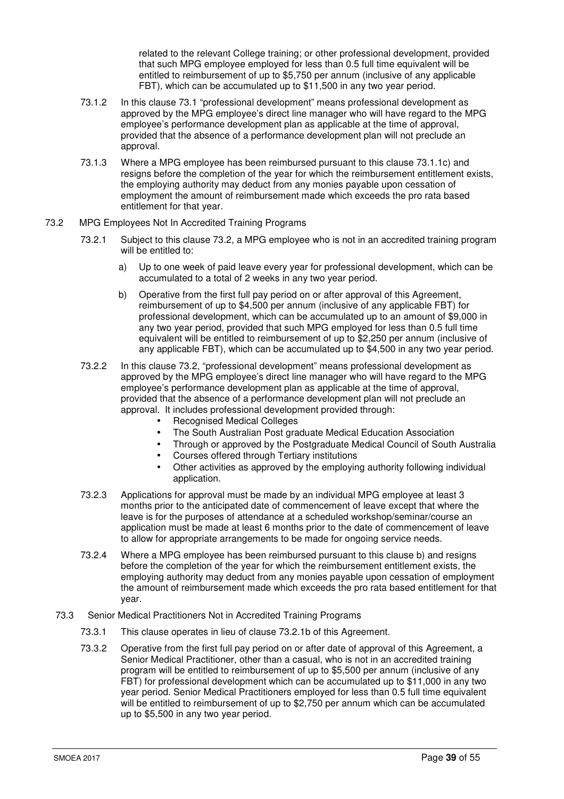related to the relevant College training; or other professional development, provided that such MPG employee employed for less than 0.5 full time equivalent will be entitled to reimbursement of up to \$5,750 per annum (inclusive of any applicable FBT), which can be accumulated up to \$11,500 in any two year period.

- 73.1.2 In this clause 73.1 "professional development" means professional development as approved by the MPG employee's direct line manager who will have regard to the MPG employee's performance development plan as applicable at the time of approval, provided that the absence of a performance development plan will not preclude an approval.
- 73.1.3 Where a MPG employee has been reimbursed pursuant to this clause 73.1.1c) and resigns before the completion of the year for which the reimbursement entitlement exists, the employing authority may deduct from any monies payable upon cessation of employment the amount of reimbursement made which exceeds the pro rata based entitlement for that year.
- 73.2 MPG Employees Not In Accredited Training Programs
	- 73.2.1 Subject to this clause 73.2, a MPG employee who is not in an accredited training program will be entitled to:
		- a) Up to one week of paid leave every year for professional development, which can be accumulated to a total of 2 weeks in any two year period.
		- b) Operative from the first full pay period on or after approval of this Agreement, reimbursement of up to \$4,500 per annum (inclusive of any applicable FBT) for professional development, which can be accumulated up to an amount of \$9,000 in any two year period, provided that such MPG employed for less than 0.5 full time equivalent will be entitled to reimbursement of up to \$2,250 per annum (inclusive of any applicable FBT), which can be accumulated up to \$4,500 in any two year period.
	- 73.2.2 In this clause 73.2, "professional development" means professional development as approved by the MPG employee's direct line manager who will have regard to the MPG employee's performance development plan as applicable at the time of approval, provided that the absence of a performance development plan will not preclude an approval. It includes professional development provided through:
		- Recognised Medical Colleges
		- The South Australian Post graduate Medical Education Association
		- Through or approved by the Postgraduate Medical Council of South Australia
			- Courses offered through Tertiary institutions
			- Other activities as approved by the employing authority following individual application.
	- 73.2.3 Applications for approval must be made by an individual MPG employee at least 3 months prior to the anticipated date of commencement of leave except that where the leave is for the purposes of attendance at a scheduled workshop/seminar/course an application must be made at least 6 months prior to the date of commencement of leave to allow for appropriate arrangements to be made for ongoing service needs.
	- 73.2.4 Where a MPG employee has been reimbursed pursuant to this clause b) and resigns before the completion of the year for which the reimbursement entitlement exists, the employing authority may deduct from any monies payable upon cessation of employment the amount of reimbursement made which exceeds the pro rata based entitlement for that year.
	- 73.3 Senior Medical Practitioners Not in Accredited Training Programs
		- 73.3.1 This clause operates in lieu of clause 73.2.1b of this Agreement.
		- 73.3.2 Operative from the first full pay period on or after date of approval of this Agreement, a Senior Medical Practitioner, other than a casual, who is not in an accredited training program will be entitled to reimbursement of up to \$5,500 per annum (inclusive of any FBT) for professional development which can be accumulated up to \$11,000 in any two year period. Senior Medical Practitioners employed for less than 0.5 full time equivalent will be entitled to reimbursement of up to \$2,750 per annum which can be accumulated up to \$5,500 in any two year period.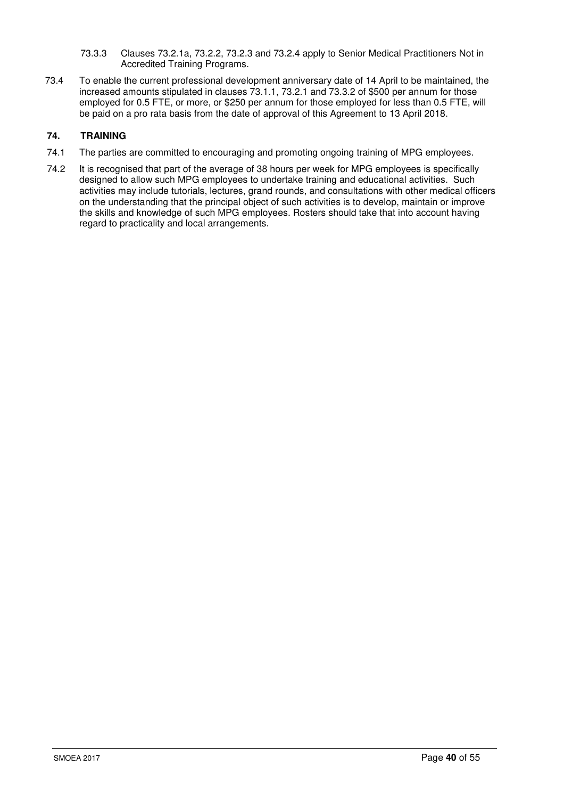- 73.3.3 Clauses 73.2.1a, 73.2.2, 73.2.3 and 73.2.4 apply to Senior Medical Practitioners Not in Accredited Training Programs.
- 73.4 To enable the current professional development anniversary date of 14 April to be maintained, the increased amounts stipulated in clauses 73.1.1, 73.2.1 and 73.3.2 of \$500 per annum for those employed for 0.5 FTE, or more, or \$250 per annum for those employed for less than 0.5 FTE, will be paid on a pro rata basis from the date of approval of this Agreement to 13 April 2018.

# **74. TRAINING**

- 74.1 The parties are committed to encouraging and promoting ongoing training of MPG employees.
- 74.2 It is recognised that part of the average of 38 hours per week for MPG employees is specifically designed to allow such MPG employees to undertake training and educational activities. Such activities may include tutorials, lectures, grand rounds, and consultations with other medical officers on the understanding that the principal object of such activities is to develop, maintain or improve the skills and knowledge of such MPG employees. Rosters should take that into account having regard to practicality and local arrangements.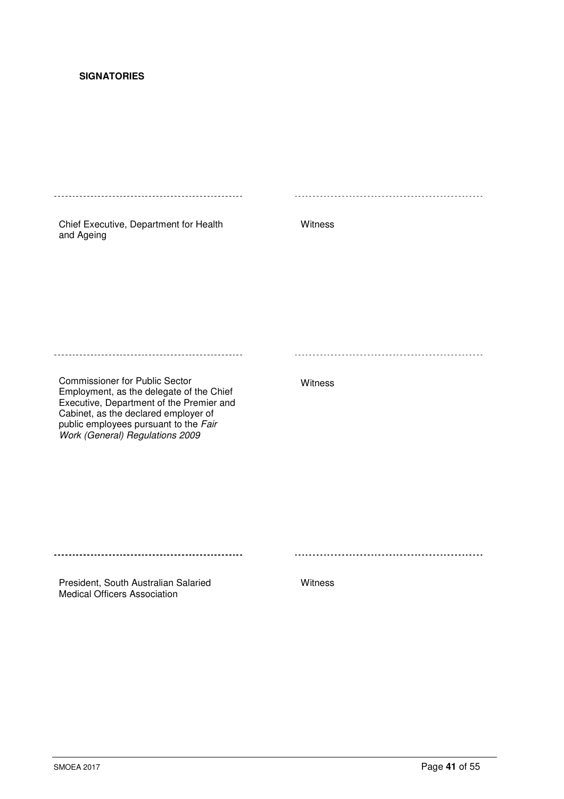# **SIGNATORIES**

| Chief Executive, Department for Health<br>and Ageing                                                                                                                                                                                              | Witness |
|---------------------------------------------------------------------------------------------------------------------------------------------------------------------------------------------------------------------------------------------------|---------|
|                                                                                                                                                                                                                                                   |         |
|                                                                                                                                                                                                                                                   |         |
|                                                                                                                                                                                                                                                   |         |
| <b>Commissioner for Public Sector</b><br>Employment, as the delegate of the Chief<br>Executive, Department of the Premier and<br>Cabinet, as the declared employer of<br>public employees pursuant to the Fair<br>Work (General) Regulations 2009 | Witness |
|                                                                                                                                                                                                                                                   |         |
|                                                                                                                                                                                                                                                   |         |
|                                                                                                                                                                                                                                                   |         |

President, South Australian Salaried Medical Officers Association

Witness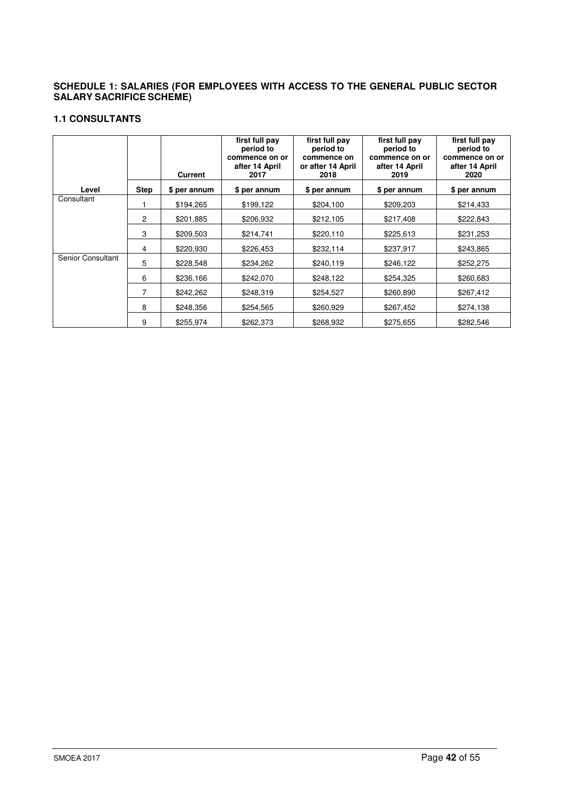# **SCHEDULE 1: SALARIES (FOR EMPLOYEES WITH ACCESS TO THE GENERAL PUBLIC SECTOR SALARY SACRIFICE SCHEME)**

# **1.1 CONSULTANTS**

|                   |                | <b>Current</b> | first full pay<br>period to<br>commence on or<br>after 14 April<br>2017 | first full pay<br>period to<br>commence on<br>or after 14 April<br>2018 | first full pay<br>period to<br>commence on or<br>after 14 April<br>2019 | first full pay<br>period to<br>commence on or<br>after 14 April<br>2020 |
|-------------------|----------------|----------------|-------------------------------------------------------------------------|-------------------------------------------------------------------------|-------------------------------------------------------------------------|-------------------------------------------------------------------------|
| Level             | <b>Step</b>    | \$ per annum   | \$ per annum                                                            | \$ per annum                                                            | \$ per annum                                                            | \$ per annum                                                            |
| Consultant        |                | \$194,265      | \$199,122                                                               | \$204,100                                                               | \$209,203                                                               | \$214,433                                                               |
|                   | 2              | \$201,885      | \$206,932                                                               | \$212,105                                                               | \$217,408                                                               | \$222,843                                                               |
|                   | 3              | \$209,503      | \$214,741                                                               | \$220,110                                                               | \$225,613                                                               | \$231,253                                                               |
|                   | 4              | \$220,930      | \$226,453                                                               | \$232,114                                                               | \$237,917                                                               | \$243,865                                                               |
| Senior Consultant | 5              | \$228,548      | \$234,262                                                               | \$240,119                                                               | \$246,122                                                               | \$252,275                                                               |
|                   | 6              | \$236,166      | \$242,070                                                               | \$248,122                                                               | \$254,325                                                               | \$260,683                                                               |
|                   | $\overline{7}$ | \$242,262      | \$248,319                                                               | \$254,527                                                               | \$260,890                                                               | \$267,412                                                               |
|                   | 8              | \$248,356      | \$254,565                                                               | \$260,929                                                               | \$267,452                                                               | \$274,138                                                               |
|                   | 9              | \$255,974      | \$262,373                                                               | \$268,932                                                               | \$275,655                                                               | \$282,546                                                               |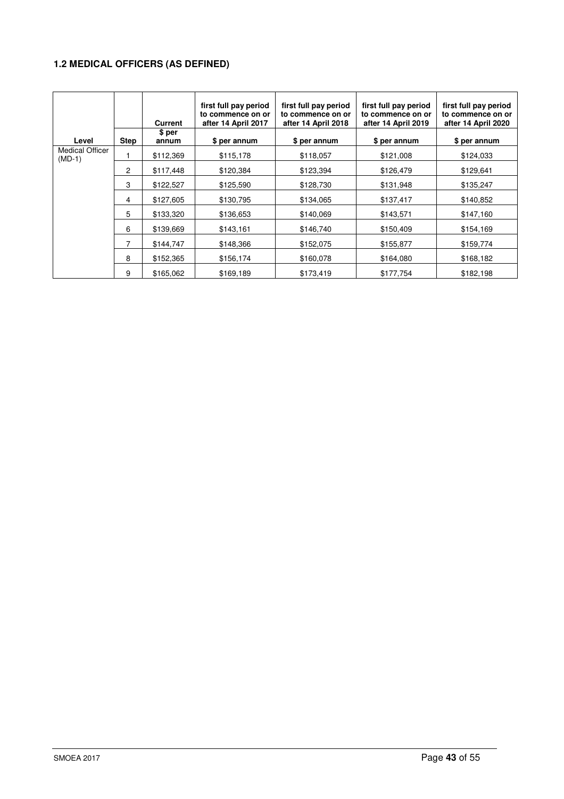# **1.2 MEDICAL OFFICERS (AS DEFINED)**

|                                    |             | <b>Current</b>  | first full pay period<br>to commence on or<br>after 14 April 2017 | first full pay period<br>to commence on or<br>after 14 April 2018 | first full pay period<br>to commence on or<br>after 14 April 2019 | first full pay period<br>to commence on or<br>after 14 April 2020 |
|------------------------------------|-------------|-----------------|-------------------------------------------------------------------|-------------------------------------------------------------------|-------------------------------------------------------------------|-------------------------------------------------------------------|
| Level                              | <b>Step</b> | \$ per<br>annum | \$ per annum                                                      | \$ per annum                                                      | \$ per annum                                                      | \$ per annum                                                      |
| <b>Medical Officer</b><br>$(MD-1)$ |             | \$112,369       | \$115,178                                                         | \$118,057                                                         | \$121,008                                                         | \$124,033                                                         |
|                                    | 2           | \$117,448       | \$120,384                                                         | \$123,394                                                         | \$126,479                                                         | \$129,641                                                         |
|                                    | 3           | \$122,527       | \$125,590                                                         | \$128,730                                                         | \$131,948                                                         | \$135,247                                                         |
|                                    | 4           | \$127,605       | \$130,795                                                         | \$134,065                                                         | \$137,417                                                         | \$140,852                                                         |
|                                    | 5           | \$133,320       | \$136,653                                                         | \$140,069                                                         | \$143,571                                                         | \$147,160                                                         |
|                                    | 6           | \$139,669       | \$143,161                                                         | \$146,740                                                         | \$150,409                                                         | \$154,169                                                         |
|                                    | 7           | \$144,747       | \$148,366                                                         | \$152,075                                                         | \$155,877                                                         | \$159,774                                                         |
|                                    | 8           | \$152,365       | \$156,174                                                         | \$160,078                                                         | \$164,080                                                         | \$168,182                                                         |
|                                    | 9           | \$165,062       | \$169,189                                                         | \$173,419                                                         | \$177,754                                                         | \$182,198                                                         |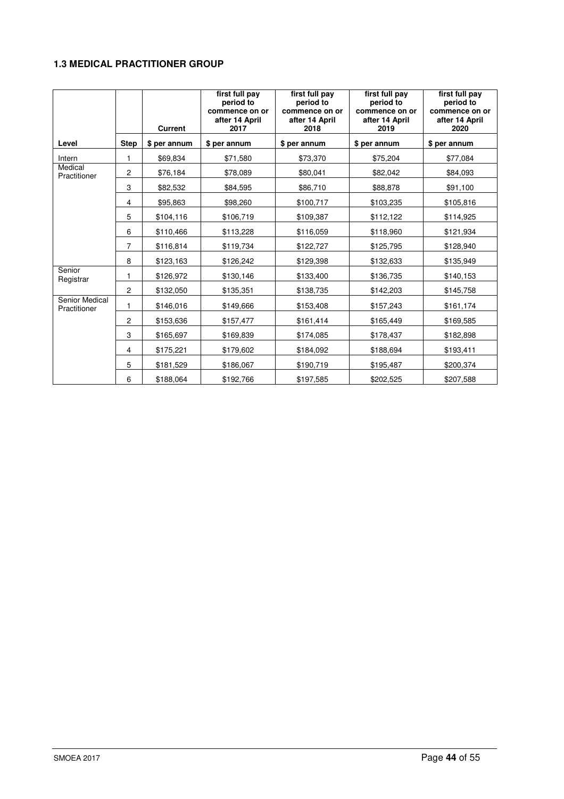# **1.3 MEDICAL PRACTITIONER GROUP**

|                                |                | <b>Current</b> | first full pay<br>period to<br>commence on or<br>after 14 April<br>2017 | first full pay<br>period to<br>commence on or<br>after 14 April<br>2018 | first full pay<br>period to<br>commence on or<br>after 14 April<br>2019 | first full pay<br>period to<br>commence on or<br>after 14 April<br>2020 |
|--------------------------------|----------------|----------------|-------------------------------------------------------------------------|-------------------------------------------------------------------------|-------------------------------------------------------------------------|-------------------------------------------------------------------------|
| Level                          | <b>Step</b>    | \$ per annum   | \$ per annum                                                            | \$ per annum                                                            | \$ per annum                                                            | \$ per annum                                                            |
| Intern                         | 1              | \$69,834       | \$71,580                                                                | \$73,370                                                                | \$75,204                                                                | \$77,084                                                                |
| Medical<br>Practitioner        | 2              | \$76,184       | \$78,089                                                                | \$80,041                                                                | \$82,042                                                                | \$84,093                                                                |
|                                | 3              | \$82,532       | \$84,595                                                                | \$86,710                                                                | \$88,878                                                                | \$91,100                                                                |
|                                | 4              | \$95,863       | \$98,260                                                                | \$100,717                                                               | \$103,235                                                               | \$105,816                                                               |
|                                | 5              | \$104,116      | \$106,719                                                               | \$109,387                                                               | \$112,122                                                               | \$114,925                                                               |
|                                | 6              | \$110,466      | \$113,228                                                               | \$116,059                                                               | \$118,960                                                               | \$121,934                                                               |
|                                | $\overline{7}$ | \$116,814      | \$119,734                                                               | \$122,727                                                               | \$125,795                                                               | \$128,940                                                               |
|                                | 8              | \$123,163      | \$126,242                                                               | \$129,398                                                               | \$132,633                                                               | \$135,949                                                               |
| Senior<br>Registrar            | 1              | \$126,972      | \$130,146                                                               | \$133,400                                                               | \$136,735                                                               | \$140,153                                                               |
|                                | 2              | \$132,050      | \$135,351                                                               | \$138,735                                                               | \$142,203                                                               | \$145,758                                                               |
| Senior Medical<br>Practitioner | 1              | \$146,016      | \$149,666                                                               | \$153,408                                                               | \$157,243                                                               | \$161,174                                                               |
|                                | 2              | \$153,636      | \$157,477                                                               | \$161,414                                                               | \$165,449                                                               | \$169,585                                                               |
|                                | 3              | \$165,697      | \$169,839                                                               | \$174,085                                                               | \$178,437                                                               | \$182,898                                                               |
|                                | 4              | \$175,221      | \$179,602                                                               | \$184,092                                                               | \$188,694                                                               | \$193,411                                                               |
|                                | 5              | \$181,529      | \$186,067                                                               | \$190,719                                                               | \$195,487                                                               | \$200,374                                                               |
|                                | 6              | \$188,064      | \$192,766                                                               | \$197,585                                                               | \$202,525                                                               | \$207,588                                                               |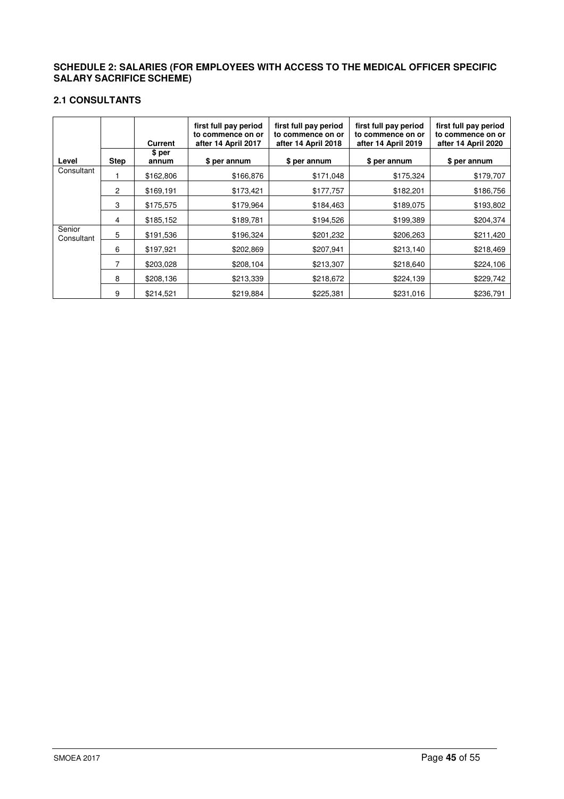## **SCHEDULE 2: SALARIES (FOR EMPLOYEES WITH ACCESS TO THE MEDICAL OFFICER SPECIFIC SALARY SACRIFICE SCHEME)**

# **2.1 CONSULTANTS**

|                      |                | Current         | first full pay period<br>to commence on or<br>after 14 April 2017 | first full pay period<br>to commence on or<br>after 14 April 2018 | first full pay period<br>to commence on or<br>after 14 April 2019 | first full pay period<br>to commence on or<br>after 14 April 2020 |
|----------------------|----------------|-----------------|-------------------------------------------------------------------|-------------------------------------------------------------------|-------------------------------------------------------------------|-------------------------------------------------------------------|
| Level                | <b>Step</b>    | \$ per<br>annum | \$ per annum                                                      | \$ per annum                                                      | \$ per annum                                                      | \$ per annum                                                      |
| Consultant           |                | \$162,806       | \$166,876                                                         | \$171,048                                                         | \$175,324                                                         | \$179,707                                                         |
|                      | $\overline{c}$ | \$169,191       | \$173,421                                                         | \$177,757                                                         | \$182,201                                                         | \$186,756                                                         |
|                      | 3              | \$175,575       | \$179,964                                                         | \$184,463                                                         | \$189,075                                                         | \$193,802                                                         |
|                      | 4              | \$185,152       | \$189,781                                                         | \$194,526                                                         | \$199,389                                                         | \$204,374                                                         |
| Senior<br>Consultant | 5              | \$191,536       | \$196,324                                                         | \$201,232                                                         | \$206,263                                                         | \$211,420                                                         |
|                      | 6              | \$197,921       | \$202,869                                                         | \$207,941                                                         | \$213,140                                                         | \$218,469                                                         |
|                      | 7              | \$203,028       | \$208,104                                                         | \$213,307                                                         | \$218,640                                                         | \$224,106                                                         |
|                      | 8              | \$208,136       | \$213,339                                                         | \$218,672                                                         | \$224,139                                                         | \$229,742                                                         |
|                      | 9              | \$214,521       | \$219,884                                                         | \$225,381                                                         | \$231,016                                                         | \$236.791                                                         |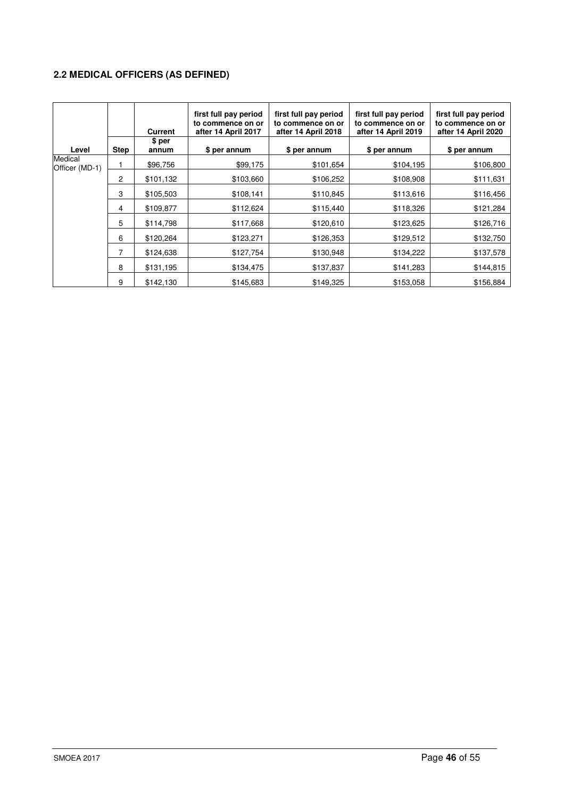# **2.2 MEDICAL OFFICERS (AS DEFINED)**

|                           |                | <b>Current</b>  | first full pay period<br>to commence on or<br>after 14 April 2017 | first full pay period<br>to commence on or<br>after 14 April 2018 | first full pay period<br>to commence on or<br>after 14 April 2019 | first full pay period<br>to commence on or<br>after 14 April 2020 |
|---------------------------|----------------|-----------------|-------------------------------------------------------------------|-------------------------------------------------------------------|-------------------------------------------------------------------|-------------------------------------------------------------------|
| Level                     | Step           | \$ per<br>annum | \$ per annum                                                      | \$ per annum                                                      | \$ per annum                                                      | \$ per annum                                                      |
| Medical<br>Officer (MD-1) |                | \$96,756        | \$99,175                                                          | \$101,654                                                         | \$104,195                                                         | \$106,800                                                         |
|                           | $\overline{c}$ | \$101,132       | \$103,660                                                         | \$106,252                                                         | \$108,908                                                         | \$111,631                                                         |
|                           | 3              | \$105,503       | \$108,141                                                         | \$110,845                                                         | \$113,616                                                         | \$116,456                                                         |
|                           | 4              | \$109,877       | \$112,624                                                         | \$115,440                                                         | \$118,326                                                         | \$121,284                                                         |
|                           | 5              | \$114,798       | \$117,668                                                         | \$120,610                                                         | \$123,625                                                         | \$126,716                                                         |
|                           | 6              | \$120,264       | \$123,271                                                         | \$126,353                                                         | \$129,512                                                         | \$132,750                                                         |
|                           | $\overline{7}$ | \$124,638       | \$127,754                                                         | \$130,948                                                         | \$134,222                                                         | \$137,578                                                         |
|                           | 8              | \$131,195       | \$134,475                                                         | \$137,837                                                         | \$141,283                                                         | \$144,815                                                         |
|                           | 9              | \$142,130       | \$145,683                                                         | \$149,325                                                         | \$153,058                                                         | \$156,884                                                         |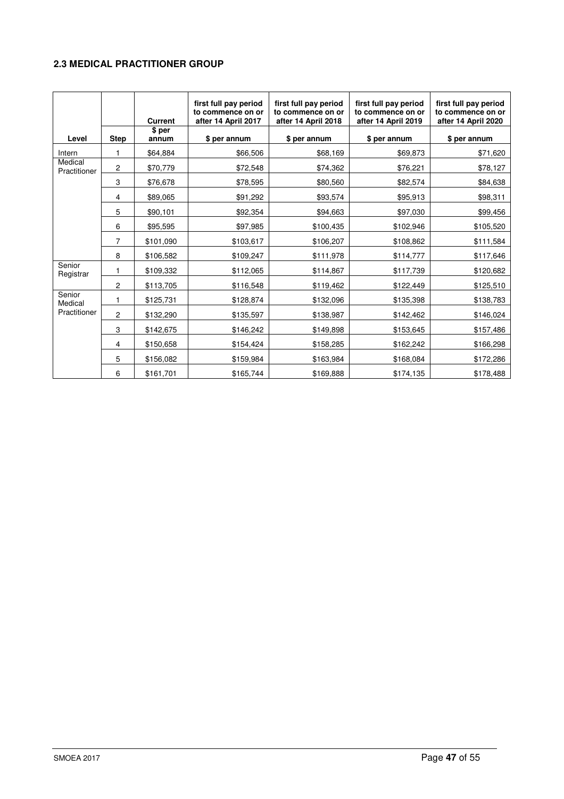# **2.3 MEDICAL PRACTITIONER GROUP**

|                         |              | <b>Current</b><br>\$ per | first full pay period<br>to commence on or<br>after 14 April 2017 | first full pay period<br>to commence on or<br>after 14 April 2018 | first full pay period<br>to commence on or<br>after 14 April 2019 | first full pay period<br>to commence on or<br>after 14 April 2020 |
|-------------------------|--------------|--------------------------|-------------------------------------------------------------------|-------------------------------------------------------------------|-------------------------------------------------------------------|-------------------------------------------------------------------|
| Level                   | <b>Step</b>  | annum                    | \$ per annum                                                      | \$ per annum                                                      | \$ per annum                                                      | \$ per annum                                                      |
| Intern                  | 1            | \$64,884                 | \$66,506                                                          | \$68,169                                                          | \$69,873                                                          | \$71,620                                                          |
| Medical<br>Practitioner | 2            | \$70,779                 | \$72,548                                                          | \$74,362                                                          | \$76,221                                                          | \$78,127                                                          |
|                         | 3            | \$76,678                 | \$78,595                                                          | \$80,560                                                          | \$82,574                                                          | \$84,638                                                          |
|                         | 4            | \$89,065                 | \$91,292                                                          | \$93,574                                                          | \$95,913                                                          | \$98,311                                                          |
|                         | 5            | \$90,101                 | \$92,354                                                          | \$94,663                                                          | \$97,030                                                          | \$99,456                                                          |
|                         | 6            | \$95,595                 | \$97,985                                                          | \$100,435                                                         | \$102,946                                                         | \$105,520                                                         |
|                         | 7            | \$101,090                | \$103,617                                                         | \$106,207                                                         | \$108,862                                                         | \$111,584                                                         |
|                         | 8            | \$106,582                | \$109,247                                                         | \$111,978                                                         | \$114,777                                                         | \$117,646                                                         |
| Senior<br>Registrar     | 1            | \$109,332                | \$112,065                                                         | \$114,867                                                         | \$117,739                                                         | \$120,682                                                         |
|                         | $\mathbf{2}$ | \$113,705                | \$116,548                                                         | \$119,462                                                         | \$122,449                                                         | \$125,510                                                         |
| Senior<br>Medical       | 1            | \$125,731                | \$128,874                                                         | \$132,096                                                         | \$135,398                                                         | \$138,783                                                         |
| Practitioner            | 2            | \$132,290                | \$135,597                                                         | \$138,987                                                         | \$142,462                                                         | \$146,024                                                         |
|                         | 3            | \$142,675                | \$146,242                                                         | \$149,898                                                         | \$153,645                                                         | \$157,486                                                         |
|                         | 4            | \$150,658                | \$154,424                                                         | \$158,285                                                         | \$162,242                                                         | \$166,298                                                         |
|                         | 5            | \$156,082                | \$159,984                                                         | \$163,984                                                         | \$168,084                                                         | \$172,286                                                         |
|                         | 6            | \$161,701                | \$165,744                                                         | \$169,888                                                         | \$174,135                                                         | \$178,488                                                         |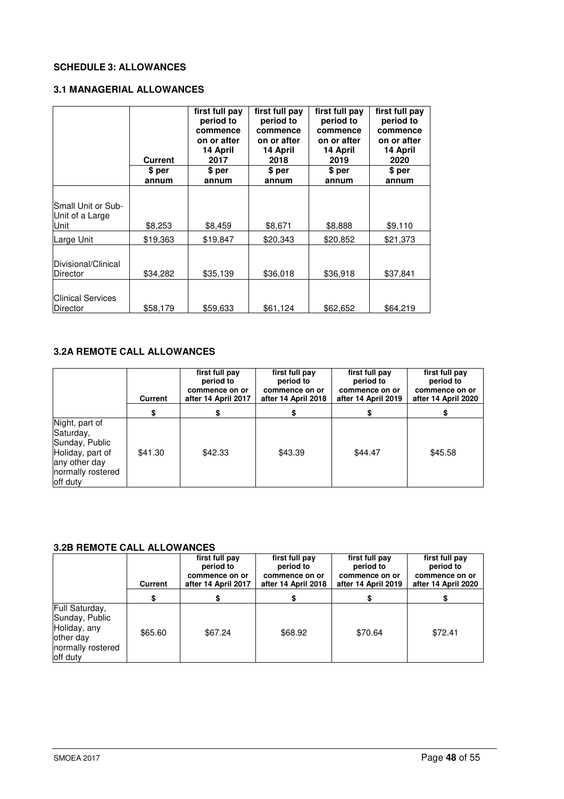# **SCHEDULE 3: ALLOWANCES**

# **3.1 MANAGERIAL ALLOWANCES**

|                                               | Current  | first full pay<br>period to<br>commence<br>on or after<br>14 April<br>2017 | first full pay<br>period to<br>commence<br>on or after<br>14 April<br>2018 | first full pay<br>period to<br>commence<br>on or after<br>14 April<br>2019 | first full pay<br>period to<br>commence<br>on or after<br>14 April<br>2020 |
|-----------------------------------------------|----------|----------------------------------------------------------------------------|----------------------------------------------------------------------------|----------------------------------------------------------------------------|----------------------------------------------------------------------------|
|                                               | \$ per   | \$ per                                                                     | \$ per                                                                     | \$ per                                                                     | \$ per                                                                     |
|                                               | annum    | annum                                                                      | annum                                                                      | annum                                                                      | annum                                                                      |
| Small Unit or Sub-<br>Unit of a Large<br>Unit | \$8,253  | \$8,459                                                                    | \$8,671                                                                    | \$8,888                                                                    | \$9,110                                                                    |
| Large Unit                                    | \$19,363 | \$19,847                                                                   | \$20,343                                                                   | \$20,852                                                                   | \$21,373                                                                   |
| Divisional/Clinical<br><b>Director</b>        | \$34,282 | \$35,139                                                                   | \$36,018                                                                   | \$36,918                                                                   | \$37,841                                                                   |
| <b>Clinical Services</b><br><b>Director</b>   | \$58,179 | \$59,633                                                                   | \$61,124                                                                   | \$62,652                                                                   | \$64,219                                                                   |

# **3.2A REMOTE CALL ALLOWANCES**

|                                                                                                                     | Current | first full pay<br>period to<br>commence on or<br>after 14 April 2017 | first full pay<br>period to<br>commence on or<br>after 14 April 2018 | first full pay<br>period to<br>commence on or<br>after 14 April 2019 | first full pay<br>period to<br>commence on or<br>after 14 April 2020 |
|---------------------------------------------------------------------------------------------------------------------|---------|----------------------------------------------------------------------|----------------------------------------------------------------------|----------------------------------------------------------------------|----------------------------------------------------------------------|
|                                                                                                                     |         |                                                                      |                                                                      |                                                                      |                                                                      |
| Night, part of<br>Saturday,<br>Sunday, Public<br>Holiday, part of<br>any other day<br>normally rostered<br>off duty | \$41.30 | \$42.33                                                              | \$43.39                                                              | \$44.47                                                              | \$45.58                                                              |

# **3.2B REMOTE CALL ALLOWANCES**

|                                                                                                 | Current | first full pay<br>period to<br>commence on or<br>after 14 April 2017 | first full pay<br>period to<br>commence on or<br>after 14 April 2018 | first full pay<br>period to<br>commence on or<br>after 14 April 2019 | first full pay<br>period to<br>commence on or<br>after 14 April 2020 |
|-------------------------------------------------------------------------------------------------|---------|----------------------------------------------------------------------|----------------------------------------------------------------------|----------------------------------------------------------------------|----------------------------------------------------------------------|
|                                                                                                 |         |                                                                      |                                                                      |                                                                      |                                                                      |
| Full Saturday,<br>Sunday, Public<br>Holiday, any<br>lother day<br>normally rostered<br>off duty | \$65.60 | \$67.24                                                              | \$68.92                                                              | \$70.64                                                              | \$72.41                                                              |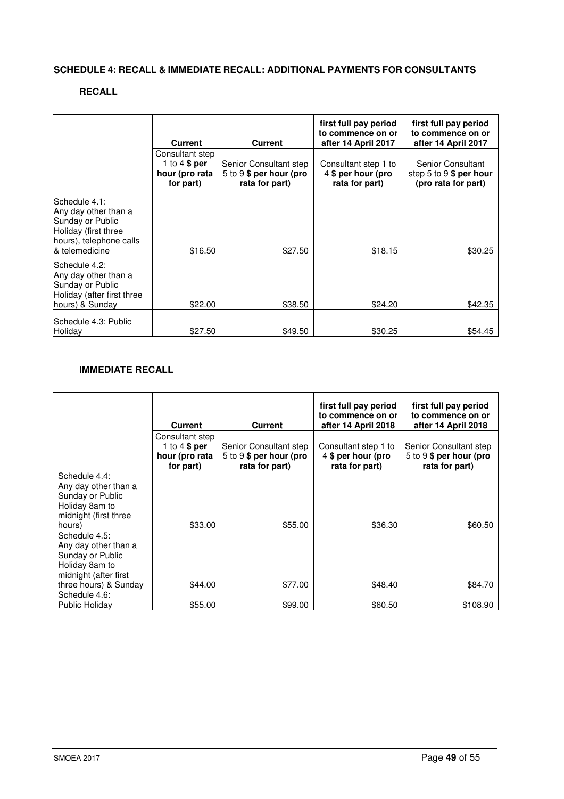# **SCHEDULE 4: RECALL & IMMEDIATE RECALL: ADDITIONAL PAYMENTS FOR CONSULTANTS**

# **RECALL**

|                                                                                                                                | <b>Current</b>                                                    | <b>Current</b>                                                      | first full pay period<br>to commence on or<br>after 14 April 2017 | first full pay period<br>to commence on or<br>after 14 April 2017    |
|--------------------------------------------------------------------------------------------------------------------------------|-------------------------------------------------------------------|---------------------------------------------------------------------|-------------------------------------------------------------------|----------------------------------------------------------------------|
|                                                                                                                                | Consultant step<br>1 to $4$ \$ per<br>hour (pro rata<br>for part) | Senior Consultant step<br>5 to 9 \$ per hour (pro<br>rata for part) | Consultant step 1 to<br>4 \$ per hour (pro<br>rata for part)      | Senior Consultant<br>step 5 to 9 $$$ per hour<br>(pro rata for part) |
| Schedule 4.1:<br>Any day other than a<br>Sunday or Public<br>Holiday (first three<br>hours), telephone calls<br>& telemedicine | \$16.50                                                           | \$27.50                                                             | \$18.15                                                           | \$30.25                                                              |
| Schedule 4.2:<br>Any day other than a<br>Sunday or Public<br>Holiday (after first three<br>hours) & Sunday                     | \$22.00                                                           | \$38.50                                                             | \$24.20                                                           | \$42.35                                                              |
| lSchedule 4.3: Public<br>Holiday                                                                                               | \$27.50                                                           | \$49.50                                                             | \$30.25                                                           | \$54.45                                                              |

# **IMMEDIATE RECALL**

|                                                                                                                               | <b>Current</b>                                                   | <b>Current</b>                                                       | first full pay period<br>to commence on or<br>after 14 April 2018 | first full pay period<br>to commence on or<br>after 14 April 2018    |
|-------------------------------------------------------------------------------------------------------------------------------|------------------------------------------------------------------|----------------------------------------------------------------------|-------------------------------------------------------------------|----------------------------------------------------------------------|
|                                                                                                                               | Consultant step<br>1 to $4 $ per$<br>hour (pro rata<br>for part) | Senior Consultant step<br>5 to 9 $$$ per hour (pro<br>rata for part) | Consultant step 1 to<br>4 \$ per hour (pro<br>rata for part)      | Senior Consultant step<br>5 to 9 $$$ per hour (pro<br>rata for part) |
| Schedule 4.4:<br>Any day other than a<br>Sunday or Public<br>Holiday 8am to<br>midnight (first three<br>hours)                | \$33.00                                                          | \$55.00                                                              | \$36.30                                                           | \$60.50                                                              |
| Schedule 4.5:<br>Any day other than a<br>Sunday or Public<br>Holiday 8am to<br>midnight (after first<br>three hours) & Sunday | \$44.00                                                          | \$77.00                                                              | \$48.40                                                           | \$84.70                                                              |
| Schedule 4.6:<br>Public Holiday                                                                                               | \$55.00                                                          | \$99.00                                                              | \$60.50                                                           | \$108.90                                                             |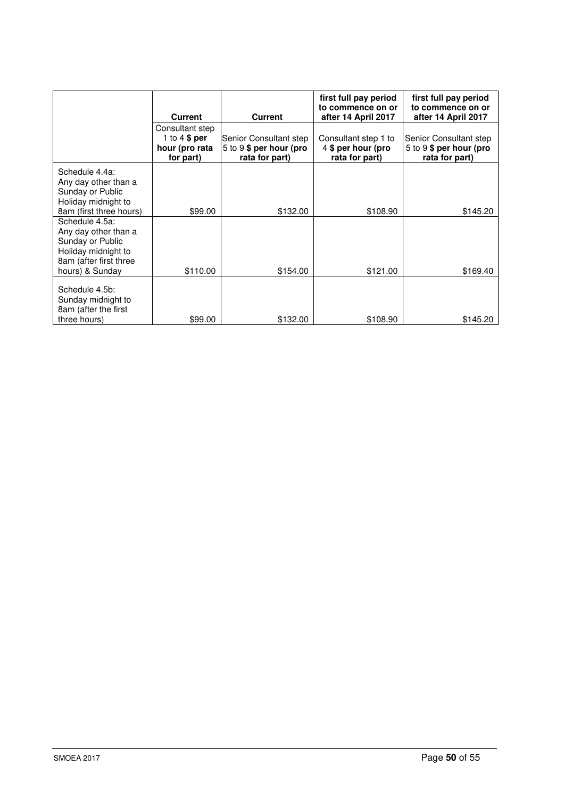|                                                                                                                                | <b>Current</b>                                                   | <b>Current</b>                                                      | first full pay period<br>to commence on or<br>after 14 April 2017 | first full pay period<br>to commence on or<br>after 14 April 2017   |
|--------------------------------------------------------------------------------------------------------------------------------|------------------------------------------------------------------|---------------------------------------------------------------------|-------------------------------------------------------------------|---------------------------------------------------------------------|
|                                                                                                                                | Consultant step<br>1 to $4 $ per$<br>hour (pro rata<br>for part) | Senior Consultant step<br>5 to 9 \$ per hour (pro<br>rata for part) | Consultant step 1 to<br>4 \$ per hour (pro<br>rata for part)      | Senior Consultant step<br>5 to 9 \$ per hour (pro<br>rata for part) |
| Schedule 4.4a:<br>Any day other than a<br>Sunday or Public<br>Holiday midnight to<br>8am (first three hours)                   | \$99.00                                                          | \$132.00                                                            | \$108.90                                                          | \$145.20                                                            |
| Schedule 4.5a:<br>Any day other than a<br>Sunday or Public<br>Holiday midnight to<br>8am (after first three<br>hours) & Sunday | \$110.00                                                         | \$154.00                                                            | \$121.00                                                          | \$169.40                                                            |
| Schedule 4.5b:<br>Sunday midnight to<br>8am (after the first<br>three hours)                                                   | \$99.00                                                          | \$132.00                                                            | \$108.90                                                          | \$145.20                                                            |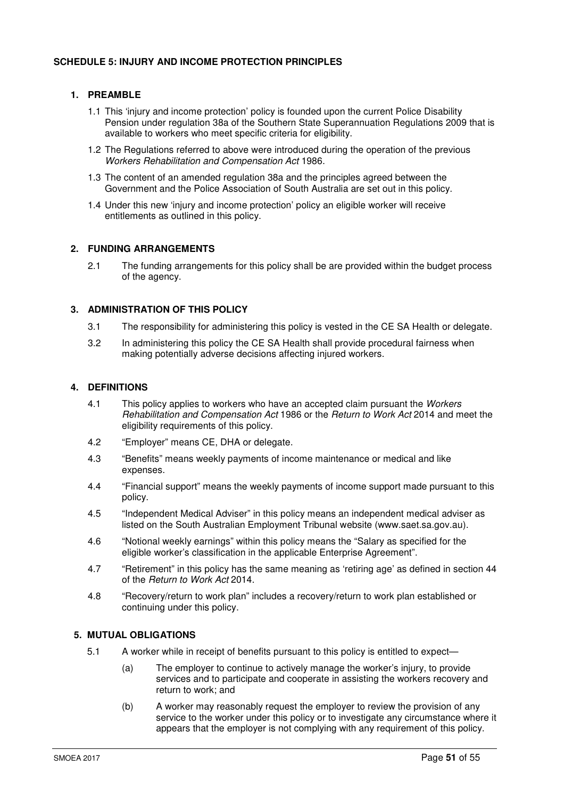# **1. PREAMBLE**

- 1.1 This 'injury and income protection' policy is founded upon the current Police Disability Pension under regulation 38a of the Southern State Superannuation Regulations 2009 that is available to workers who meet specific criteria for eligibility.
- 1.2 The Regulations referred to above were introduced during the operation of the previous Workers Rehabilitation and Compensation Act 1986.
- 1.3 The content of an amended regulation 38a and the principles agreed between the Government and the Police Association of South Australia are set out in this policy.
- 1.4 Under this new 'injury and income protection' policy an eligible worker will receive entitlements as outlined in this policy.

# **2. FUNDING ARRANGEMENTS**

2.1 The funding arrangements for this policy shall be are provided within the budget process of the agency.

# **3. ADMINISTRATION OF THIS POLICY**

- 3.1 The responsibility for administering this policy is vested in the CE SA Health or delegate.
- 3.2 In administering this policy the CE SA Health shall provide procedural fairness when making potentially adverse decisions affecting injured workers.

# **4. DEFINITIONS**

- 4.1 This policy applies to workers who have an accepted claim pursuant the Workers Rehabilitation and Compensation Act 1986 or the Return to Work Act 2014 and meet the eligibility requirements of this policy.
- 4.2 "Employer" means CE, DHA or delegate.
- 4.3 "Benefits" means weekly payments of income maintenance or medical and like expenses.
- 4.4 "Financial support" means the weekly payments of income support made pursuant to this policy.
- 4.5 "Independent Medical Adviser" in this policy means an independent medical adviser as listed on the South Australian Employment Tribunal website (www.saet.sa.gov.au).
- 4.6 "Notional weekly earnings" within this policy means the "Salary as specified for the eligible worker's classification in the applicable Enterprise Agreement".
- 4.7 "Retirement" in this policy has the same meaning as 'retiring age' as defined in section 44 of the Return to Work Act 2014.
- 4.8 "Recovery/return to work plan" includes a recovery/return to work plan established or continuing under this policy.

# **5. MUTUAL OBLIGATIONS**

- 5.1 A worker while in receipt of benefits pursuant to this policy is entitled to expect—
	- (a) The employer to continue to actively manage the worker's injury, to provide services and to participate and cooperate in assisting the workers recovery and return to work; and
	- (b) A worker may reasonably request the employer to review the provision of any service to the worker under this policy or to investigate any circumstance where it appears that the employer is not complying with any requirement of this policy.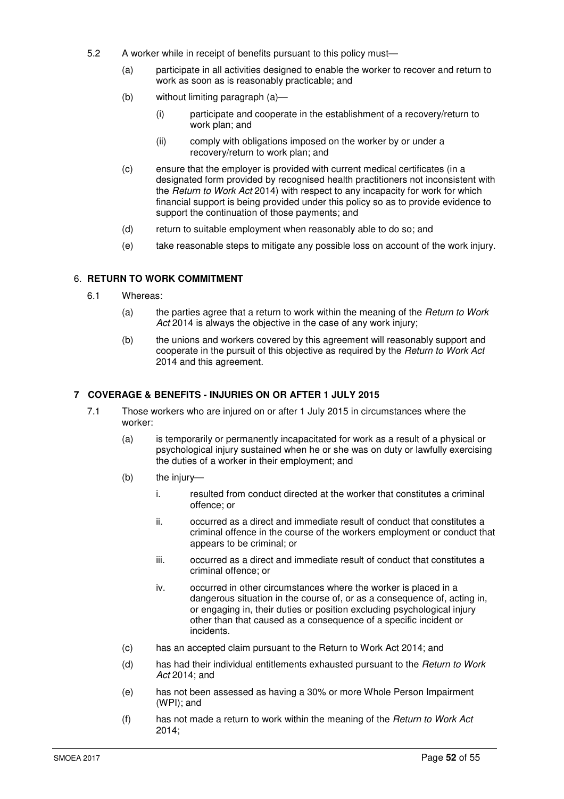- 5.2 A worker while in receipt of benefits pursuant to this policy must—
	- (a) participate in all activities designed to enable the worker to recover and return to work as soon as is reasonably practicable; and
	- (b) without limiting paragraph (a)—
		- (i) participate and cooperate in the establishment of a recovery/return to work plan; and
		- (ii) comply with obligations imposed on the worker by or under a recovery/return to work plan; and
	- (c) ensure that the employer is provided with current medical certificates (in a designated form provided by recognised health practitioners not inconsistent with the Heturn to Work Act 2014) with respect to any incapacity for work for which financial support is being provided under this policy so as to provide evidence to support the continuation of those payments; and
	- (d) return to suitable employment when reasonably able to do so; and
	- (e) take reasonable steps to mitigate any possible loss on account of the work injury.

# 6. **RETURN TO WORK COMMITMENT**

- 6.1 Whereas:
	- (a) the parties agree that a return to work within the meaning of the Return to Work Act 2014 is always the objective in the case of any work injury;
	- (b) the unions and workers covered by this agreement will reasonably support and cooperate in the pursuit of this objective as required by the Return to Work Act 2014 and this agreement.

#### **7 COVERAGE & BENEFITS - INJURIES ON OR AFTER 1 JULY 2015**

- 7.1 Those workers who are injured on or after 1 July 2015 in circumstances where the worker:
	- (a) is temporarily or permanently incapacitated for work as a result of a physical or psychological injury sustained when he or she was on duty or lawfully exercising the duties of a worker in their employment; and
	- (b) the injury
		- i. resulted from conduct directed at the worker that constitutes a criminal offence; or
		- ii. occurred as a direct and immediate result of conduct that constitutes a criminal offence in the course of the workers employment or conduct that appears to be criminal; or
		- iii. occurred as a direct and immediate result of conduct that constitutes a criminal offence; or
		- iv. occurred in other circumstances where the worker is placed in a dangerous situation in the course of, or as a consequence of, acting in, or engaging in, their duties or position excluding psychological injury other than that caused as a consequence of a specific incident or incidents.
	- (c) has an accepted claim pursuant to the Return to Work Act 2014; and
	- (d) has had their individual entitlements exhausted pursuant to the Return to Work Act 2014; and
	- (e) has not been assessed as having a 30% or more Whole Person Impairment (WPI); and
	- (f) has not made a return to work within the meaning of the Return to Work Act 2014;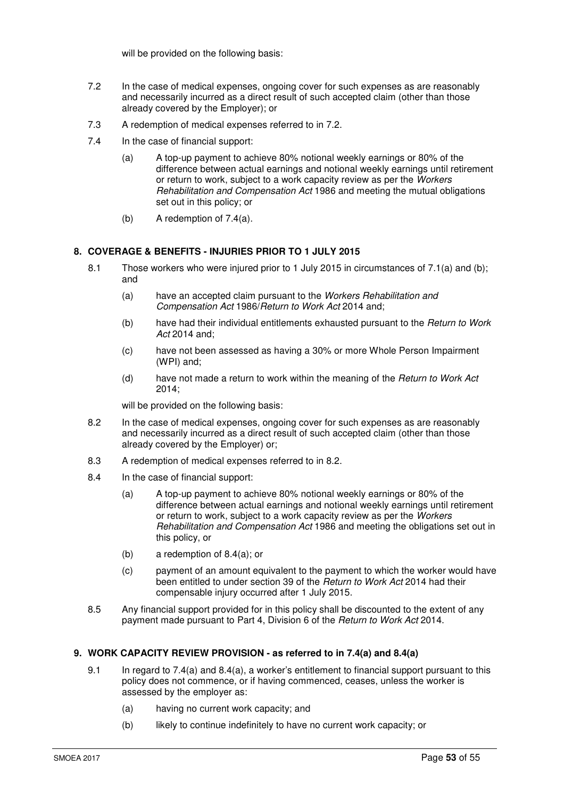will be provided on the following basis:

- 7.2 In the case of medical expenses, ongoing cover for such expenses as are reasonably and necessarily incurred as a direct result of such accepted claim (other than those already covered by the Employer); or
- 7.3 A redemption of medical expenses referred to in 7.2.
- 7.4 In the case of financial support:
	- (a) A top-up payment to achieve 80% notional weekly earnings or 80% of the difference between actual earnings and notional weekly earnings until retirement or return to work, subject to a work capacity review as per the Workers Rehabilitation and Compensation Act 1986 and meeting the mutual obligations set out in this policy; or
	- (b) A redemption of 7.4(a).

# **8. COVERAGE & BENEFITS - INJURIES PRIOR TO 1 JULY 2015**

- 8.1 Those workers who were injured prior to 1 July 2015 in circumstances of 7.1(a) and (b); and
	- (a) have an accepted claim pursuant to the Workers Rehabilitation and Compensation Act 1986/Return to Work Act 2014 and;
	- (b) have had their individual entitlements exhausted pursuant to the Return to Work Act 2014 and;
	- (c) have not been assessed as having a 30% or more Whole Person Impairment (WPI) and;
	- (d) have not made a return to work within the meaning of the *Return to Work Act* 2014;

will be provided on the following basis:

- 8.2 In the case of medical expenses, ongoing cover for such expenses as are reasonably and necessarily incurred as a direct result of such accepted claim (other than those already covered by the Employer) or;
- 8.3 A redemption of medical expenses referred to in 8.2.
- 8.4 In the case of financial support:
	- (a) A top-up payment to achieve 80% notional weekly earnings or 80% of the difference between actual earnings and notional weekly earnings until retirement or return to work, subject to a work capacity review as per the Workers Rehabilitation and Compensation Act 1986 and meeting the obligations set out in this policy, or
	- (b) a redemption of 8.4(a); or
	- (c) payment of an amount equivalent to the payment to which the worker would have been entitled to under section 39 of the Return to Work Act 2014 had their compensable injury occurred after 1 July 2015.
- 8.5 Any financial support provided for in this policy shall be discounted to the extent of any payment made pursuant to Part 4, Division 6 of the Return to Work Act 2014.

# **9. WORK CAPACITY REVIEW PROVISION - as referred to in 7.4(a) and 8.4(a)**

- 9.1 In regard to 7.4(a) and 8.4(a), a worker's entitlement to financial support pursuant to this policy does not commence, or if having commenced, ceases, unless the worker is assessed by the employer as:
	- (a) having no current work capacity; and
	- (b) likely to continue indefinitely to have no current work capacity; or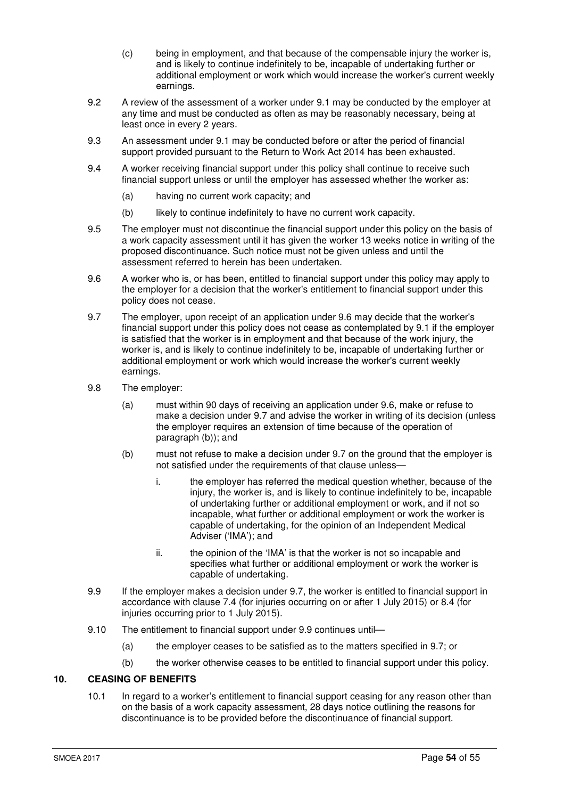- (c) being in employment, and that because of the compensable injury the worker is, and is likely to continue indefinitely to be, incapable of undertaking further or additional employment or work which would increase the worker's current weekly earnings.
- 9.2 A review of the assessment of a worker under 9.1 may be conducted by the employer at any time and must be conducted as often as may be reasonably necessary, being at least once in every 2 years.
- 9.3 An assessment under 9.1 may be conducted before or after the period of financial support provided pursuant to the Return to Work Act 2014 has been exhausted.
- 9.4 A worker receiving financial support under this policy shall continue to receive such financial support unless or until the employer has assessed whether the worker as:
	- (a) having no current work capacity; and
	- (b) likely to continue indefinitely to have no current work capacity.
- 9.5 The employer must not discontinue the financial support under this policy on the basis of a work capacity assessment until it has given the worker 13 weeks notice in writing of the proposed discontinuance. Such notice must not be given unless and until the assessment referred to herein has been undertaken.
- 9.6 A worker who is, or has been, entitled to financial support under this policy may apply to the employer for a decision that the worker's entitlement to financial support under this policy does not cease.
- 9.7 The employer, upon receipt of an application under 9.6 may decide that the worker's financial support under this policy does not cease as contemplated by 9.1 if the employer is satisfied that the worker is in employment and that because of the work injury, the worker is, and is likely to continue indefinitely to be, incapable of undertaking further or additional employment or work which would increase the worker's current weekly earnings.
- 9.8 The employer:
	- (a) must within 90 days of receiving an application under 9.6, make or refuse to make a decision under 9.7 and advise the worker in writing of its decision (unless the employer requires an extension of time because of the operation of paragraph (b)); and
	- (b) must not refuse to make a decision under 9.7 on the ground that the employer is not satisfied under the requirements of that clause unless
		- i. the employer has referred the medical question whether, because of the injury, the worker is, and is likely to continue indefinitely to be, incapable of undertaking further or additional employment or work, and if not so incapable, what further or additional employment or work the worker is capable of undertaking, for the opinion of an Independent Medical Adviser ('IMA'); and
		- ii. the opinion of the 'IMA' is that the worker is not so incapable and specifies what further or additional employment or work the worker is capable of undertaking.
- 9.9 If the employer makes a decision under 9.7, the worker is entitled to financial support in accordance with clause 7.4 (for injuries occurring on or after 1 July 2015) or 8.4 (for injuries occurring prior to 1 July 2015).
- 9.10 The entitlement to financial support under 9.9 continues until-
	- (a) the employer ceases to be satisfied as to the matters specified in 9.7; or
	- (b) the worker otherwise ceases to be entitled to financial support under this policy.

# **10. CEASING OF BENEFITS**

10.1 In regard to a worker's entitlement to financial support ceasing for any reason other than on the basis of a work capacity assessment, 28 days notice outlining the reasons for discontinuance is to be provided before the discontinuance of financial support.